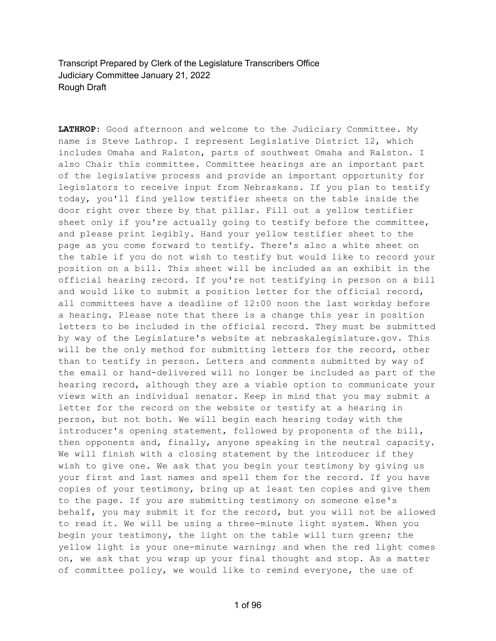Transcript Prepared by Clerk of the Legislature Transcribers Office Judiciary Committee January 21, 2022 Rough Draft

**LATHROP:** Good afternoon and welcome to the Judiciary Committee. My name is Steve Lathrop. I represent Legislative District 12, which includes Omaha and Ralston, parts of southwest Omaha and Ralston. I also Chair this committee. Committee hearings are an important part of the legislative process and provide an important opportunity for legislators to receive input from Nebraskans. If you plan to testify today, you'll find yellow testifier sheets on the table inside the door right over there by that pillar. Fill out a yellow testifier sheet only if you're actually going to testify before the committee, and please print legibly. Hand your yellow testifier sheet to the page as you come forward to testify. There's also a white sheet on the table if you do not wish to testify but would like to record your position on a bill. This sheet will be included as an exhibit in the official hearing record. If you're not testifying in person on a bill and would like to submit a position letter for the official record, all committees have a deadline of 12:00 noon the last workday before a hearing. Please note that there is a change this year in position letters to be included in the official record. They must be submitted by way of the Legislature's website at nebraskalegislature.gov. This will be the only method for submitting letters for the record, other than to testify in person. Letters and comments submitted by way of the email or hand-delivered will no longer be included as part of the hearing record, although they are a viable option to communicate your views with an individual senator. Keep in mind that you may submit a letter for the record on the website or testify at a hearing in person, but not both. We will begin each hearing today with the introducer's opening statement, followed by proponents of the bill, then opponents and, finally, anyone speaking in the neutral capacity. We will finish with a closing statement by the introducer if they wish to give one. We ask that you begin your testimony by giving us your first and last names and spell them for the record. If you have copies of your testimony, bring up at least ten copies and give them to the page. If you are submitting testimony on someone else's behalf, you may submit it for the record, but you will not be allowed to read it. We will be using a three-minute light system. When you begin your testimony, the light on the table will turn green; the yellow light is your one-minute warning; and when the red light comes on, we ask that you wrap up your final thought and stop. As a matter of committee policy, we would like to remind everyone, the use of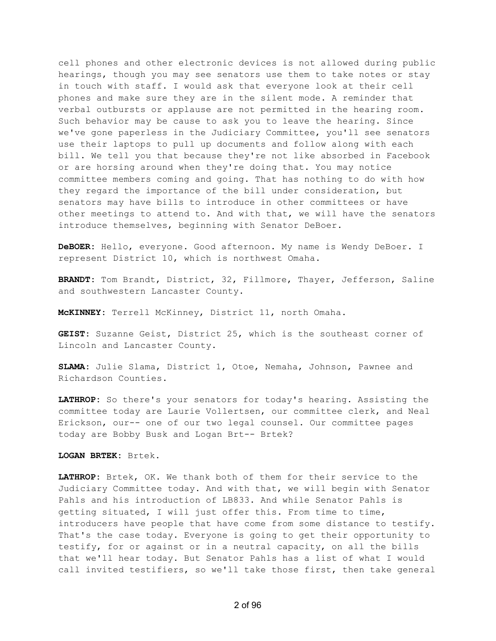cell phones and other electronic devices is not allowed during public hearings, though you may see senators use them to take notes or stay in touch with staff. I would ask that everyone look at their cell phones and make sure they are in the silent mode. A reminder that verbal outbursts or applause are not permitted in the hearing room. Such behavior may be cause to ask you to leave the hearing. Since we've gone paperless in the Judiciary Committee, you'll see senators use their laptops to pull up documents and follow along with each bill. We tell you that because they're not like absorbed in Facebook or are horsing around when they're doing that. You may notice committee members coming and going. That has nothing to do with how they regard the importance of the bill under consideration, but senators may have bills to introduce in other committees or have other meetings to attend to. And with that, we will have the senators introduce themselves, beginning with Senator DeBoer.

**DeBOER:** Hello, everyone. Good afternoon. My name is Wendy DeBoer. I represent District 10, which is northwest Omaha.

**BRANDT:** Tom Brandt, District, 32, Fillmore, Thayer, Jefferson, Saline and southwestern Lancaster County.

**McKINNEY:** Terrell McKinney, District 11, north Omaha.

**GEIST:** Suzanne Geist, District 25, which is the southeast corner of Lincoln and Lancaster County.

**SLAMA:** Julie Slama, District 1, Otoe, Nemaha, Johnson, Pawnee and Richardson Counties.

**LATHROP:** So there's your senators for today's hearing. Assisting the committee today are Laurie Vollertsen, our committee clerk, and Neal Erickson, our-- one of our two legal counsel. Our committee pages today are Bobby Busk and Logan Brt-- Brtek?

**LOGAN BRTEK:** Brtek.

**LATHROP:** Brtek, OK. We thank both of them for their service to the Judiciary Committee today. And with that, we will begin with Senator Pahls and his introduction of LB833. And while Senator Pahls is getting situated, I will just offer this. From time to time, introducers have people that have come from some distance to testify. That's the case today. Everyone is going to get their opportunity to testify, for or against or in a neutral capacity, on all the bills that we'll hear today. But Senator Pahls has a list of what I would call invited testifiers, so we'll take those first, then take general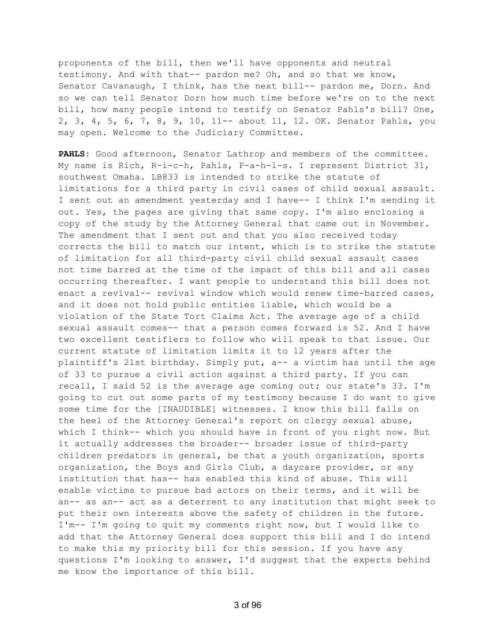proponents of the bill, then we'll have opponents and neutral testimony. And with that-- pardon me? Oh, and so that we know, Senator Cavanaugh, I think, has the next bill-- pardon me, Dorn. And so we can tell Senator Dorn how much time before we're on to the next bill, how many people intend to testify on Senator Pahls's bill? One, 2, 3, 4, 5, 6, 7, 8, 9, 10, 11-- about 11, 12. OK. Senator Pahls, you may open. Welcome to the Judiciary Committee.

**PAHLS:** Good afternoon, Senator Lathrop and members of the committee. My name is Rich, R-i-c-h, Pahls, P-a-h-l-s. I represent District 31, southwest Omaha. LB833 is intended to strike the statute of limitations for a third party in civil cases of child sexual assault. I sent out an amendment yesterday and I have-- I think I'm sending it out. Yes, the pages are giving that same copy. I'm also enclosing a copy of the study by the Attorney General that came out in November. The amendment that I sent out and that you also received today corrects the bill to match our intent, which is to strike the statute of limitation for all third-party civil child sexual assault cases not time barred at the time of the impact of this bill and all cases occurring thereafter. I want people to understand this bill does not enact a revival-- revival window which would renew time-barred cases, and it does not hold public entities liable, which would be a violation of the State Tort Claims Act. The average age of a child sexual assault comes-- that a person comes forward is 52. And I have two excellent testifiers to follow who will speak to that issue. Our current statute of limitation limits it to 12 years after the plaintiff's 21st birthday. Simply put, a-- a victim has until the age of 33 to pursue a civil action against a third party. If you can recall, I said 52 is the average age coming out; our state's 33. I'm going to cut out some parts of my testimony because I do want to give some time for the [INAUDIBLE] witnesses. I know this bill falls on the heel of the Attorney General's report on clergy sexual abuse, which I think-- which you should have in front of you right now. But it actually addresses the broader-- broader issue of third-party children predators in general, be that a youth organization, sports organization, the Boys and Girls Club, a daycare provider, or any institution that has-- has enabled this kind of abuse. This will enable victims to pursue bad actors on their terms, and it will be an-- as an-- act as a deterrent to any institution that might seek to put their own interests above the safety of children in the future. I'm-- I'm going to quit my comments right now, but I would like to add that the Attorney General does support this bill and I do intend to make this my priority bill for this session. If you have any questions I'm looking to answer, I'd suggest that the experts behind me know the importance of this bill.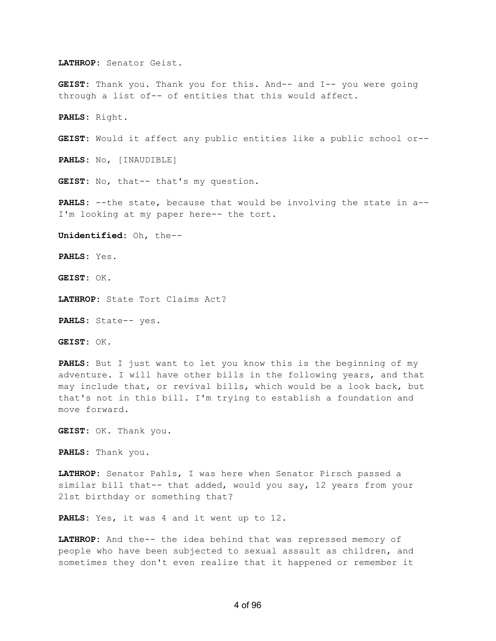**LATHROP:** Senator Geist.

**GEIST:** Thank you. Thank you for this. And-- and I-- you were going through a list of-- of entities that this would affect.

**PAHLS:** Right.

**GEIST:** Would it affect any public entities like a public school or--

**PAHLS:** No, [INAUDIBLE]

**GEIST:** No, that-- that's my question.

**PAHLS:** --the state, because that would be involving the state in a-- I'm looking at my paper here-- the tort.

**Unidentified:** Oh, the--

**PAHLS:** Yes.

**GEIST:** OK.

**LATHROP:** State Tort Claims Act?

**PAHLS:** State-- yes.

**GEIST:** OK.

**PAHLS:** But I just want to let you know this is the beginning of my adventure. I will have other bills in the following years, and that may include that, or revival bills, which would be a look back, but that's not in this bill. I'm trying to establish a foundation and move forward.

**GEIST:** OK. Thank you.

**PAHLS:** Thank you.

**LATHROP:** Senator Pahls, I was here when Senator Pirsch passed a similar bill that-- that added, would you say, 12 years from your 21st birthday or something that?

**PAHLS:** Yes, it was 4 and it went up to 12.

**LATHROP:** And the-- the idea behind that was repressed memory of people who have been subjected to sexual assault as children, and sometimes they don't even realize that it happened or remember it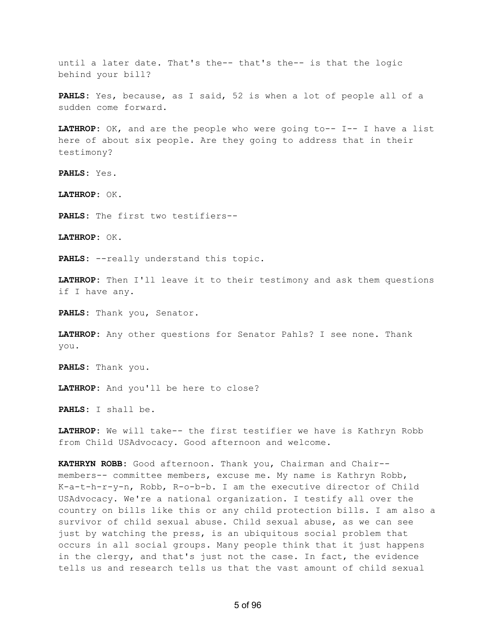until a later date. That's the-- that's the-- is that the logic behind your bill?

**PAHLS:** Yes, because, as I said, 52 is when a lot of people all of a sudden come forward.

**LATHROP:** OK, and are the people who were going to-- I-- I have a list here of about six people. Are they going to address that in their testimony?

**PAHLS:** Yes.

**LATHROP:** OK.

**PAHLS:** The first two testifiers--

**LATHROP:** OK.

**PAHLS:** --really understand this topic.

**LATHROP:** Then I'll leave it to their testimony and ask them questions if I have any.

**PAHLS:** Thank you, Senator.

**LATHROP:** Any other questions for Senator Pahls? I see none. Thank you.

**PAHLS:** Thank you.

**LATHROP:** And you'll be here to close?

**PAHLS:** I shall be.

**LATHROP:** We will take-- the first testifier we have is Kathryn Robb from Child USAdvocacy. Good afternoon and welcome.

**KATHRYN ROBB:** Good afternoon. Thank you, Chairman and Chair- members-- committee members, excuse me. My name is Kathryn Robb, K-a-t-h-r-y-n, Robb, R-o-b-b. I am the executive director of Child USAdvocacy. We're a national organization. I testify all over the country on bills like this or any child protection bills. I am also a survivor of child sexual abuse. Child sexual abuse, as we can see just by watching the press, is an ubiquitous social problem that occurs in all social groups. Many people think that it just happens in the clergy, and that's just not the case. In fact, the evidence tells us and research tells us that the vast amount of child sexual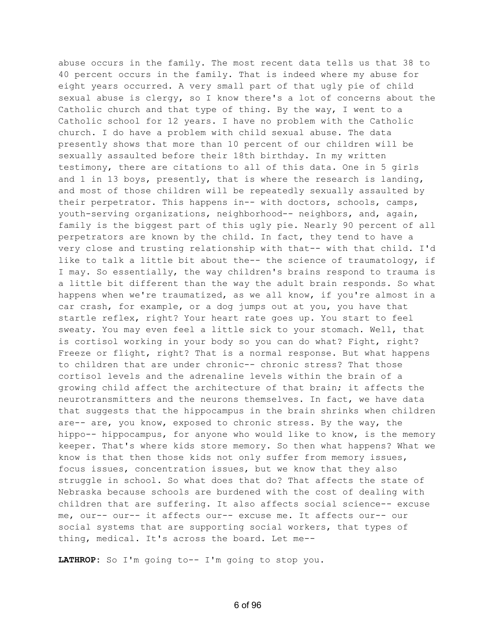abuse occurs in the family. The most recent data tells us that 38 to 40 percent occurs in the family. That is indeed where my abuse for eight years occurred. A very small part of that ugly pie of child sexual abuse is clergy, so I know there's a lot of concerns about the Catholic church and that type of thing. By the way, I went to a Catholic school for 12 years. I have no problem with the Catholic church. I do have a problem with child sexual abuse. The data presently shows that more than 10 percent of our children will be sexually assaulted before their 18th birthday. In my written testimony, there are citations to all of this data. One in 5 girls and 1 in 13 boys, presently, that is where the research is landing, and most of those children will be repeatedly sexually assaulted by their perpetrator. This happens in-- with doctors, schools, camps, youth-serving organizations, neighborhood-- neighbors, and, again, family is the biggest part of this ugly pie. Nearly 90 percent of all perpetrators are known by the child. In fact, they tend to have a very close and trusting relationship with that-- with that child. I'd like to talk a little bit about the-- the science of traumatology, if I may. So essentially, the way children's brains respond to trauma is a little bit different than the way the adult brain responds. So what happens when we're traumatized, as we all know, if you're almost in a car crash, for example, or a dog jumps out at you, you have that startle reflex, right? Your heart rate goes up. You start to feel sweaty. You may even feel a little sick to your stomach. Well, that is cortisol working in your body so you can do what? Fight, right? Freeze or flight, right? That is a normal response. But what happens to children that are under chronic-- chronic stress? That those cortisol levels and the adrenaline levels within the brain of a growing child affect the architecture of that brain; it affects the neurotransmitters and the neurons themselves. In fact, we have data that suggests that the hippocampus in the brain shrinks when children are-- are, you know, exposed to chronic stress. By the way, the hippo-- hippocampus, for anyone who would like to know, is the memory keeper. That's where kids store memory. So then what happens? What we know is that then those kids not only suffer from memory issues, focus issues, concentration issues, but we know that they also struggle in school. So what does that do? That affects the state of Nebraska because schools are burdened with the cost of dealing with children that are suffering. It also affects social science-- excuse me, our-- our-- it affects our-- excuse me. It affects our-- our social systems that are supporting social workers, that types of thing, medical. It's across the board. Let me--

**LATHROP:** So I'm going to-- I'm going to stop you.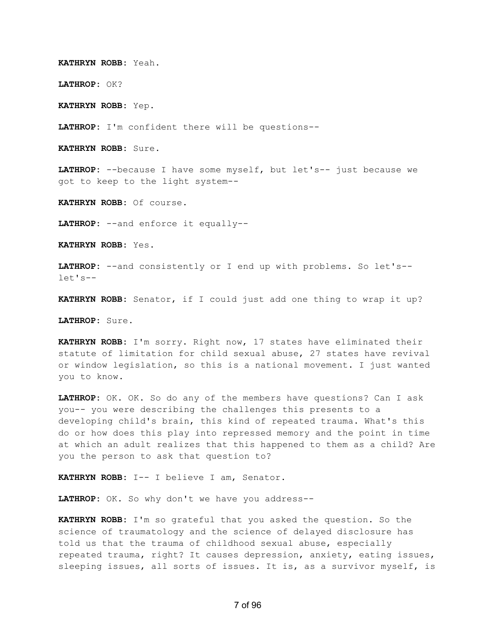**KATHRYN ROBB:** Yeah.

**LATHROP:** OK?

**KATHRYN ROBB:** Yep.

**LATHROP:** I'm confident there will be questions--

**KATHRYN ROBB:** Sure.

**LATHROP:** --because I have some myself, but let's-- just because we got to keep to the light system--

**KATHRYN ROBB:** Of course.

**LATHROP:** --and enforce it equally--

**KATHRYN ROBB:** Yes.

**LATHROP:** --and consistently or I end up with problems. So let's- let's--

**KATHRYN ROBB:** Senator, if I could just add one thing to wrap it up?

**LATHROP:** Sure.

**KATHRYN ROBB:** I'm sorry. Right now, 17 states have eliminated their statute of limitation for child sexual abuse, 27 states have revival or window legislation, so this is a national movement. I just wanted you to know.

**LATHROP:** OK. OK. So do any of the members have questions? Can I ask you-- you were describing the challenges this presents to a developing child's brain, this kind of repeated trauma. What's this do or how does this play into repressed memory and the point in time at which an adult realizes that this happened to them as a child? Are you the person to ask that question to?

**KATHRYN ROBB:** I-- I believe I am, Senator.

**LATHROP:** OK. So why don't we have you address--

**KATHRYN ROBB:** I'm so grateful that you asked the question. So the science of traumatology and the science of delayed disclosure has told us that the trauma of childhood sexual abuse, especially repeated trauma, right? It causes depression, anxiety, eating issues, sleeping issues, all sorts of issues. It is, as a survivor myself, is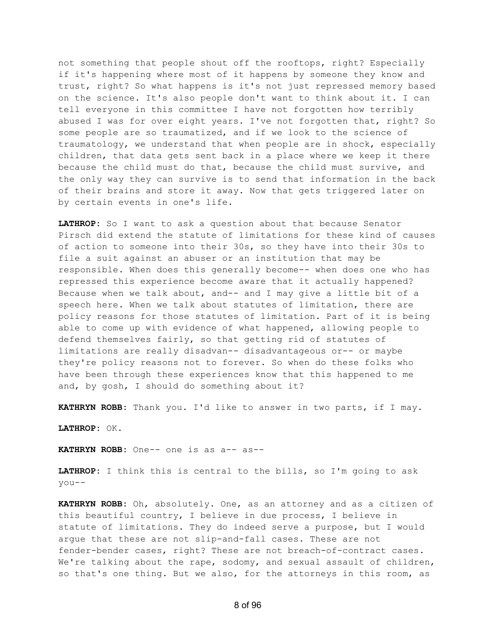not something that people shout off the rooftops, right? Especially if it's happening where most of it happens by someone they know and trust, right? So what happens is it's not just repressed memory based on the science. It's also people don't want to think about it. I can tell everyone in this committee I have not forgotten how terribly abused I was for over eight years. I've not forgotten that, right? So some people are so traumatized, and if we look to the science of traumatology, we understand that when people are in shock, especially children, that data gets sent back in a place where we keep it there because the child must do that, because the child must survive, and the only way they can survive is to send that information in the back of their brains and store it away. Now that gets triggered later on by certain events in one's life.

**LATHROP:** So I want to ask a question about that because Senator Pirsch did extend the statute of limitations for these kind of causes of action to someone into their 30s, so they have into their 30s to file a suit against an abuser or an institution that may be responsible. When does this generally become-- when does one who has repressed this experience become aware that it actually happened? Because when we talk about, and-- and I may give a little bit of a speech here. When we talk about statutes of limitation, there are policy reasons for those statutes of limitation. Part of it is being able to come up with evidence of what happened, allowing people to defend themselves fairly, so that getting rid of statutes of limitations are really disadvan-- disadvantageous or-- or maybe they're policy reasons not to forever. So when do these folks who have been through these experiences know that this happened to me and, by gosh, I should do something about it?

**KATHRYN ROBB:** Thank you. I'd like to answer in two parts, if I may.

**LATHROP:** OK.

**KATHRYN ROBB:** One-- one is as a-- as--

**LATHROP:** I think this is central to the bills, so I'm going to ask you--

**KATHRYN ROBB:** Oh, absolutely. One, as an attorney and as a citizen of this beautiful country, I believe in due process, I believe in statute of limitations. They do indeed serve a purpose, but I would argue that these are not slip-and-fall cases. These are not fender-bender cases, right? These are not breach-of-contract cases. We're talking about the rape, sodomy, and sexual assault of children, so that's one thing. But we also, for the attorneys in this room, as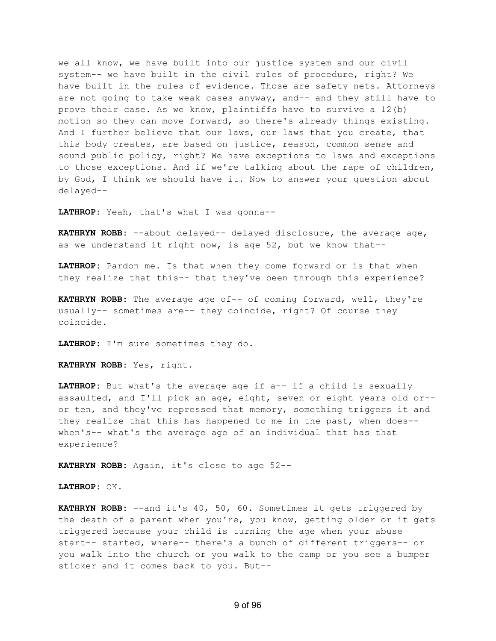we all know, we have built into our justice system and our civil system-- we have built in the civil rules of procedure, right? We have built in the rules of evidence. Those are safety nets. Attorneys are not going to take weak cases anyway, and-- and they still have to prove their case. As we know, plaintiffs have to survive a 12(b) motion so they can move forward, so there's already things existing. And I further believe that our laws, our laws that you create, that this body creates, are based on justice, reason, common sense and sound public policy, right? We have exceptions to laws and exceptions to those exceptions. And if we're talking about the rape of children, by God, I think we should have it. Now to answer your question about delayed--

**LATHROP:** Yeah, that's what I was gonna--

**KATHRYN ROBB:** --about delayed-- delayed disclosure, the average age, as we understand it right now, is age 52, but we know that--

**LATHROP:** Pardon me. Is that when they come forward or is that when they realize that this-- that they've been through this experience?

**KATHRYN ROBB:** The average age of-- of coming forward, well, they're usually-- sometimes are-- they coincide, right? Of course they coincide.

**LATHROP:** I'm sure sometimes they do.

**KATHRYN ROBB:** Yes, right.

**LATHROP:** But what's the average age if a-- if a child is sexually assaulted, and I'll pick an age, eight, seven or eight years old or- or ten, and they've repressed that memory, something triggers it and they realize that this has happened to me in the past, when does- when's-- what's the average age of an individual that has that experience?

**KATHRYN ROBB:** Again, it's close to age 52--

**LATHROP:** OK.

**KATHRYN ROBB:** --and it's 40, 50, 60. Sometimes it gets triggered by the death of a parent when you're, you know, getting older or it gets triggered because your child is turning the age when your abuse start-- started, where-- there's a bunch of different triggers-- or you walk into the church or you walk to the camp or you see a bumper sticker and it comes back to you. But--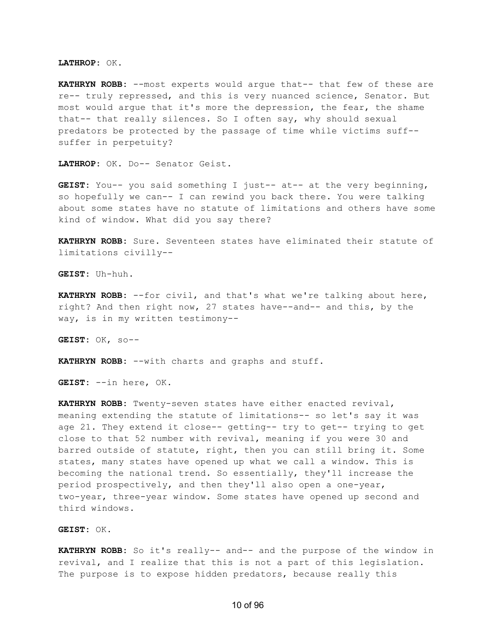**LATHROP:** OK.

**KATHRYN ROBB:** --most experts would argue that-- that few of these are re-- truly repressed, and this is very nuanced science, Senator. But most would argue that it's more the depression, the fear, the shame that-- that really silences. So I often say, why should sexual predators be protected by the passage of time while victims suff- suffer in perpetuity?

**LATHROP:** OK. Do-- Senator Geist.

**GEIST:** You-- you said something I just-- at-- at the very beginning, so hopefully we can-- I can rewind you back there. You were talking about some states have no statute of limitations and others have some kind of window. What did you say there?

**KATHRYN ROBB:** Sure. Seventeen states have eliminated their statute of limitations civilly--

**GEIST:** Uh-huh.

**KATHRYN ROBB:** --for civil, and that's what we're talking about here, right? And then right now, 27 states have--and-- and this, by the way, is in my written testimony--

**GEIST:** OK, so--

**KATHRYN ROBB:** --with charts and graphs and stuff.

**GEIST:** --in here, OK.

**KATHRYN ROBB:** Twenty-seven states have either enacted revival, meaning extending the statute of limitations-- so let's say it was age 21. They extend it close-- getting-- try to get-- trying to get close to that 52 number with revival, meaning if you were 30 and barred outside of statute, right, then you can still bring it. Some states, many states have opened up what we call a window. This is becoming the national trend. So essentially, they'll increase the period prospectively, and then they'll also open a one-year, two-year, three-year window. Some states have opened up second and third windows.

**GEIST:** OK.

**KATHRYN ROBB:** So it's really-- and-- and the purpose of the window in revival, and I realize that this is not a part of this legislation. The purpose is to expose hidden predators, because really this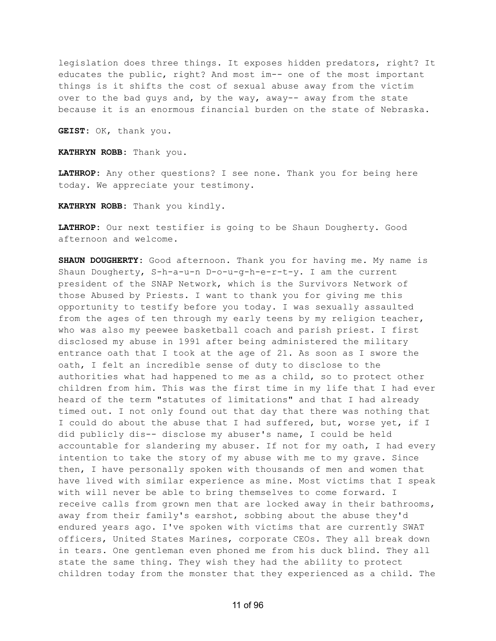legislation does three things. It exposes hidden predators, right? It educates the public, right? And most im-- one of the most important things is it shifts the cost of sexual abuse away from the victim over to the bad guys and, by the way, away-- away from the state because it is an enormous financial burden on the state of Nebraska.

**GEIST:** OK, thank you.

**KATHRYN ROBB:** Thank you.

**LATHROP:** Any other questions? I see none. Thank you for being here today. We appreciate your testimony.

**KATHRYN ROBB:** Thank you kindly.

**LATHROP:** Our next testifier is going to be Shaun Dougherty. Good afternoon and welcome.

**SHAUN DOUGHERTY:** Good afternoon. Thank you for having me. My name is Shaun Dougherty, S-h-a-u-n D-o-u-g-h-e-r-t-y. I am the current president of the SNAP Network, which is the Survivors Network of those Abused by Priests. I want to thank you for giving me this opportunity to testify before you today. I was sexually assaulted from the ages of ten through my early teens by my religion teacher, who was also my peewee basketball coach and parish priest. I first disclosed my abuse in 1991 after being administered the military entrance oath that I took at the age of 21. As soon as I swore the oath, I felt an incredible sense of duty to disclose to the authorities what had happened to me as a child, so to protect other children from him. This was the first time in my life that I had ever heard of the term "statutes of limitations" and that I had already timed out. I not only found out that day that there was nothing that I could do about the abuse that I had suffered, but, worse yet, if I did publicly dis-- disclose my abuser's name, I could be held accountable for slandering my abuser. If not for my oath, I had every intention to take the story of my abuse with me to my grave. Since then, I have personally spoken with thousands of men and women that have lived with similar experience as mine. Most victims that I speak with will never be able to bring themselves to come forward. I receive calls from grown men that are locked away in their bathrooms, away from their family's earshot, sobbing about the abuse they'd endured years ago. I've spoken with victims that are currently SWAT officers, United States Marines, corporate CEOs. They all break down in tears. One gentleman even phoned me from his duck blind. They all state the same thing. They wish they had the ability to protect children today from the monster that they experienced as a child. The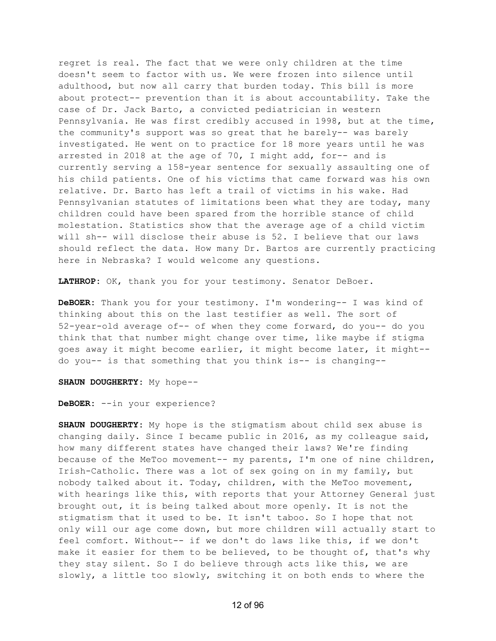regret is real. The fact that we were only children at the time doesn't seem to factor with us. We were frozen into silence until adulthood, but now all carry that burden today. This bill is more about protect-- prevention than it is about accountability. Take the case of Dr. Jack Barto, a convicted pediatrician in western Pennsylvania. He was first credibly accused in 1998, but at the time, the community's support was so great that he barely-- was barely investigated. He went on to practice for 18 more years until he was arrested in 2018 at the age of 70, I might add, for-- and is currently serving a 158-year sentence for sexually assaulting one of his child patients. One of his victims that came forward was his own relative. Dr. Barto has left a trail of victims in his wake. Had Pennsylvanian statutes of limitations been what they are today, many children could have been spared from the horrible stance of child molestation. Statistics show that the average age of a child victim will sh-- will disclose their abuse is 52. I believe that our laws should reflect the data. How many Dr. Bartos are currently practicing here in Nebraska? I would welcome any questions.

**LATHROP:** OK, thank you for your testimony. Senator DeBoer.

**DeBOER:** Thank you for your testimony. I'm wondering-- I was kind of thinking about this on the last testifier as well. The sort of 52-year-old average of-- of when they come forward, do you-- do you think that that number might change over time, like maybe if stigma goes away it might become earlier, it might become later, it might- do you-- is that something that you think is-- is changing--

**SHAUN DOUGHERTY:** My hope--

**DeBOER:** --in your experience?

**SHAUN DOUGHERTY:** My hope is the stigmatism about child sex abuse is changing daily. Since I became public in 2016, as my colleague said, how many different states have changed their laws? We're finding because of the MeToo movement-- my parents, I'm one of nine children, Irish-Catholic. There was a lot of sex going on in my family, but nobody talked about it. Today, children, with the MeToo movement, with hearings like this, with reports that your Attorney General just brought out, it is being talked about more openly. It is not the stigmatism that it used to be. It isn't taboo. So I hope that not only will our age come down, but more children will actually start to feel comfort. Without-- if we don't do laws like this, if we don't make it easier for them to be believed, to be thought of, that's why they stay silent. So I do believe through acts like this, we are slowly, a little too slowly, switching it on both ends to where the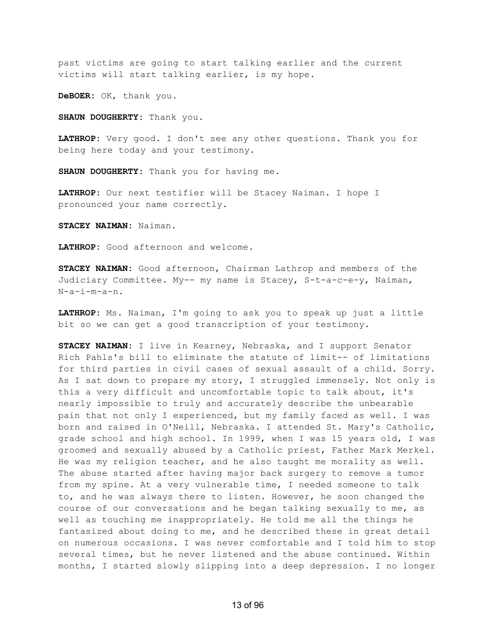past victims are going to start talking earlier and the current victims will start talking earlier, is my hope.

**DeBOER:** OK, thank you.

**SHAUN DOUGHERTY:** Thank you.

**LATHROP:** Very good. I don't see any other questions. Thank you for being here today and your testimony.

**SHAUN DOUGHERTY:** Thank you for having me.

**LATHROP:** Our next testifier will be Stacey Naiman. I hope I pronounced your name correctly.

**STACEY NAIMAN:** Naiman.

**LATHROP:** Good afternoon and welcome.

**STACEY NAIMAN:** Good afternoon, Chairman Lathrop and members of the Judiciary Committee. My-- my name is Stacey, S-t-a-c-e-y, Naiman, N-a-i-m-a-n.

**LATHROP:** Ms. Naiman, I'm going to ask you to speak up just a little bit so we can get a good transcription of your testimony.

**STACEY NAIMAN:** I live in Kearney, Nebraska, and I support Senator Rich Pahls's bill to eliminate the statute of limit-- of limitations for third parties in civil cases of sexual assault of a child. Sorry. As I sat down to prepare my story, I struggled immensely. Not only is this a very difficult and uncomfortable topic to talk about, it's nearly impossible to truly and accurately describe the unbearable pain that not only I experienced, but my family faced as well. I was born and raised in O'Neill, Nebraska. I attended St. Mary's Catholic, grade school and high school. In 1999, when I was 15 years old, I was groomed and sexually abused by a Catholic priest, Father Mark Merkel. He was my religion teacher, and he also taught me morality as well. The abuse started after having major back surgery to remove a tumor from my spine. At a very vulnerable time, I needed someone to talk to, and he was always there to listen. However, he soon changed the course of our conversations and he began talking sexually to me, as well as touching me inappropriately. He told me all the things he fantasized about doing to me, and he described these in great detail on numerous occasions. I was never comfortable and I told him to stop several times, but he never listened and the abuse continued. Within months, I started slowly slipping into a deep depression. I no longer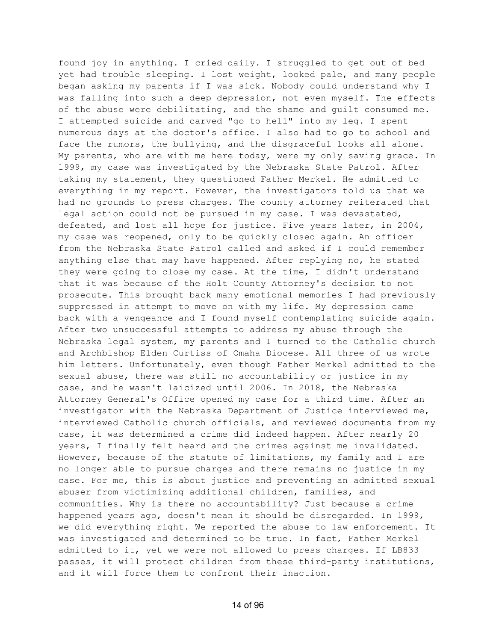found joy in anything. I cried daily. I struggled to get out of bed yet had trouble sleeping. I lost weight, looked pale, and many people began asking my parents if I was sick. Nobody could understand why I was falling into such a deep depression, not even myself. The effects of the abuse were debilitating, and the shame and guilt consumed me. I attempted suicide and carved "go to hell" into my leg. I spent numerous days at the doctor's office. I also had to go to school and face the rumors, the bullying, and the disgraceful looks all alone. My parents, who are with me here today, were my only saving grace. In 1999, my case was investigated by the Nebraska State Patrol. After taking my statement, they questioned Father Merkel. He admitted to everything in my report. However, the investigators told us that we had no grounds to press charges. The county attorney reiterated that legal action could not be pursued in my case. I was devastated, defeated, and lost all hope for justice. Five years later, in 2004, my case was reopened, only to be quickly closed again. An officer from the Nebraska State Patrol called and asked if I could remember anything else that may have happened. After replying no, he stated they were going to close my case. At the time, I didn't understand that it was because of the Holt County Attorney's decision to not prosecute. This brought back many emotional memories I had previously suppressed in attempt to move on with my life. My depression came back with a vengeance and I found myself contemplating suicide again. After two unsuccessful attempts to address my abuse through the Nebraska legal system, my parents and I turned to the Catholic church and Archbishop Elden Curtiss of Omaha Diocese. All three of us wrote him letters. Unfortunately, even though Father Merkel admitted to the sexual abuse, there was still no accountability or justice in my case, and he wasn't laicized until 2006. In 2018, the Nebraska Attorney General's Office opened my case for a third time. After an investigator with the Nebraska Department of Justice interviewed me, interviewed Catholic church officials, and reviewed documents from my case, it was determined a crime did indeed happen. After nearly 20 years, I finally felt heard and the crimes against me invalidated. However, because of the statute of limitations, my family and I are no longer able to pursue charges and there remains no justice in my case. For me, this is about justice and preventing an admitted sexual abuser from victimizing additional children, families, and communities. Why is there no accountability? Just because a crime happened years ago, doesn't mean it should be disregarded. In 1999, we did everything right. We reported the abuse to law enforcement. It was investigated and determined to be true. In fact, Father Merkel admitted to it, yet we were not allowed to press charges. If LB833 passes, it will protect children from these third-party institutions, and it will force them to confront their inaction.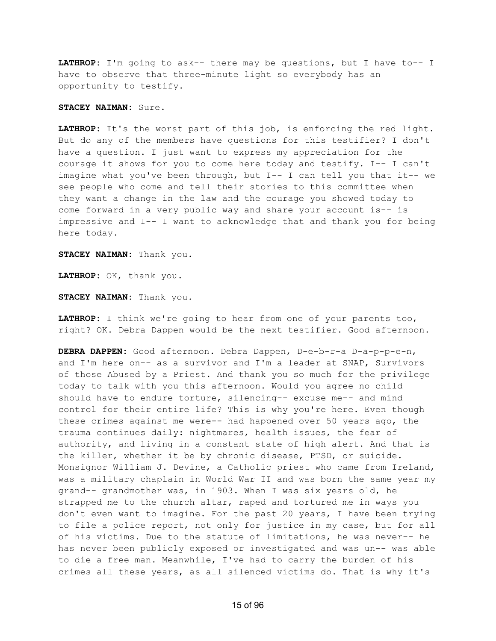**LATHROP:** I'm going to ask-- there may be questions, but I have to-- I have to observe that three-minute light so everybody has an opportunity to testify.

## **STACEY NAIMAN:** Sure.

**LATHROP:** It's the worst part of this job, is enforcing the red light. But do any of the members have questions for this testifier? I don't have a question. I just want to express my appreciation for the courage it shows for you to come here today and testify. I-- I can't imagine what you've been through, but  $I--$  I can tell you that it-- we see people who come and tell their stories to this committee when they want a change in the law and the courage you showed today to come forward in a very public way and share your account is-- is impressive and I-- I want to acknowledge that and thank you for being here today.

**STACEY NAIMAN:** Thank you.

**LATHROP:** OK, thank you.

**STACEY NAIMAN:** Thank you.

**LATHROP:** I think we're going to hear from one of your parents too, right? OK. Debra Dappen would be the next testifier. Good afternoon.

**DEBRA DAPPEN:** Good afternoon. Debra Dappen, D-e-b-r-a D-a-p-p-e-n, and I'm here on-- as a survivor and I'm a leader at SNAP, Survivors of those Abused by a Priest. And thank you so much for the privilege today to talk with you this afternoon. Would you agree no child should have to endure torture, silencing-- excuse me-- and mind control for their entire life? This is why you're here. Even though these crimes against me were-- had happened over 50 years ago, the trauma continues daily: nightmares, health issues, the fear of authority, and living in a constant state of high alert. And that is the killer, whether it be by chronic disease, PTSD, or suicide. Monsignor William J. Devine, a Catholic priest who came from Ireland, was a military chaplain in World War II and was born the same year my grand-- grandmother was, in 1903. When I was six years old, he strapped me to the church altar, raped and tortured me in ways you don't even want to imagine. For the past 20 years, I have been trying to file a police report, not only for justice in my case, but for all of his victims. Due to the statute of limitations, he was never-- he has never been publicly exposed or investigated and was un-- was able to die a free man. Meanwhile, I've had to carry the burden of his crimes all these years, as all silenced victims do. That is why it's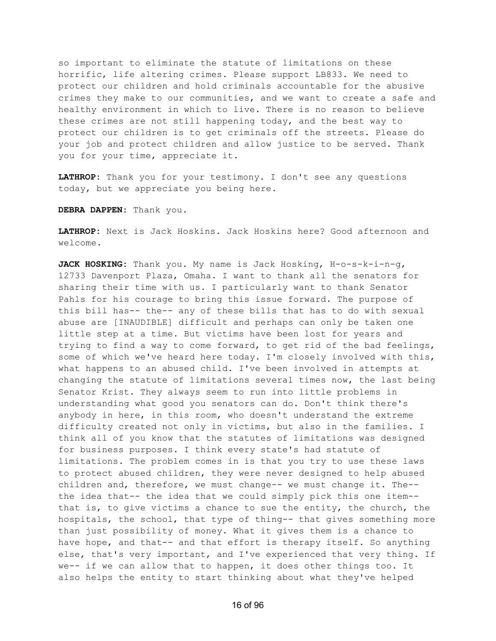so important to eliminate the statute of limitations on these horrific, life altering crimes. Please support LB833. We need to protect our children and hold criminals accountable for the abusive crimes they make to our communities, and we want to create a safe and healthy environment in which to live. There is no reason to believe these crimes are not still happening today, and the best way to protect our children is to get criminals off the streets. Please do your job and protect children and allow justice to be served. Thank you for your time, appreciate it.

**LATHROP:** Thank you for your testimony. I don't see any questions today, but we appreciate you being here.

**DEBRA DAPPEN:** Thank you.

**LATHROP:** Next is Jack Hoskins. Jack Hoskins here? Good afternoon and welcome.

**JACK HOSKING:** Thank you. My name is Jack Hosking, H-o-s-k-i-n-g, 12733 Davenport Plaza, Omaha. I want to thank all the senators for sharing their time with us. I particularly want to thank Senator Pahls for his courage to bring this issue forward. The purpose of this bill has-- the-- any of these bills that has to do with sexual abuse are [INAUDIBLE] difficult and perhaps can only be taken one little step at a time. But victims have been lost for years and trying to find a way to come forward, to get rid of the bad feelings, some of which we've heard here today. I'm closely involved with this, what happens to an abused child. I've been involved in attempts at changing the statute of limitations several times now, the last being Senator Krist. They always seem to run into little problems in understanding what good you senators can do. Don't think there's anybody in here, in this room, who doesn't understand the extreme difficulty created not only in victims, but also in the families. I think all of you know that the statutes of limitations was designed for business purposes. I think every state's had statute of limitations. The problem comes in is that you try to use these laws to protect abused children, they were never designed to help abused children and, therefore, we must change-- we must change it. The- the idea that-- the idea that we could simply pick this one item- that is, to give victims a chance to sue the entity, the church, the hospitals, the school, that type of thing-- that gives something more than just possibility of money. What it gives them is a chance to have hope, and that-- and that effort is therapy itself. So anything else, that's very important, and I've experienced that very thing. If we-- if we can allow that to happen, it does other things too. It also helps the entity to start thinking about what they've helped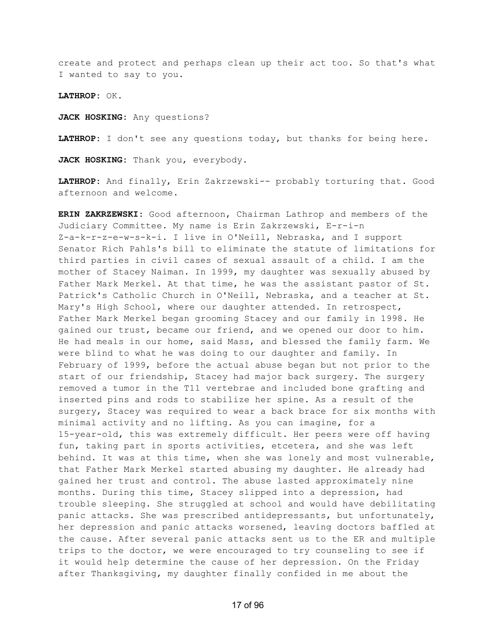create and protect and perhaps clean up their act too. So that's what I wanted to say to you.

**LATHROP:** OK.

**JACK HOSKING:** Any questions?

**LATHROP:** I don't see any questions today, but thanks for being here.

**JACK HOSKING:** Thank you, everybody.

**LATHROP:** And finally, Erin Zakrzewski-- probably torturing that. Good afternoon and welcome.

**ERIN ZAKRZEWSKI:** Good afternoon, Chairman Lathrop and members of the Judiciary Committee. My name is Erin Zakrzewski, E-r-i-n Z-a-k-r-z-e-w-s-k-i. I live in O'Neill, Nebraska, and I support Senator Rich Pahls's bill to eliminate the statute of limitations for third parties in civil cases of sexual assault of a child. I am the mother of Stacey Naiman. In 1999, my daughter was sexually abused by Father Mark Merkel. At that time, he was the assistant pastor of St. Patrick's Catholic Church in O'Neill, Nebraska, and a teacher at St. Mary's High School, where our daughter attended. In retrospect, Father Mark Merkel began grooming Stacey and our family in 1998. He gained our trust, became our friend, and we opened our door to him. He had meals in our home, said Mass, and blessed the family farm. We were blind to what he was doing to our daughter and family. In February of 1999, before the actual abuse began but not prior to the start of our friendship, Stacey had major back surgery. The surgery removed a tumor in the T11 vertebrae and included bone grafting and inserted pins and rods to stabilize her spine. As a result of the surgery, Stacey was required to wear a back brace for six months with minimal activity and no lifting. As you can imagine, for a 15-year-old, this was extremely difficult. Her peers were off having fun, taking part in sports activities, etcetera, and she was left behind. It was at this time, when she was lonely and most vulnerable, that Father Mark Merkel started abusing my daughter. He already had gained her trust and control. The abuse lasted approximately nine months. During this time, Stacey slipped into a depression, had trouble sleeping. She struggled at school and would have debilitating panic attacks. She was prescribed antidepressants, but unfortunately, her depression and panic attacks worsened, leaving doctors baffled at the cause. After several panic attacks sent us to the ER and multiple trips to the doctor, we were encouraged to try counseling to see if it would help determine the cause of her depression. On the Friday after Thanksgiving, my daughter finally confided in me about the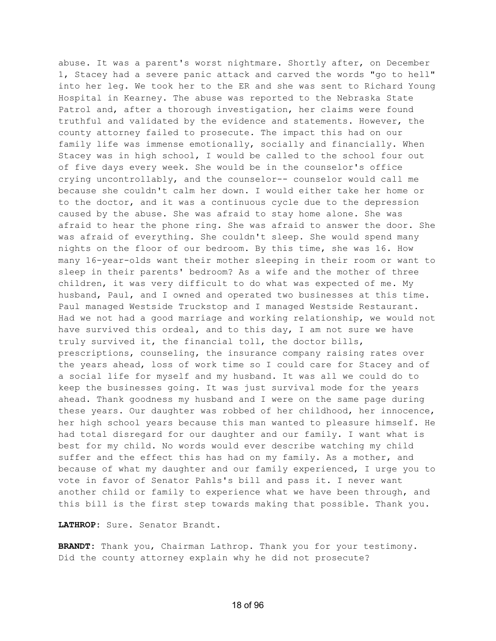abuse. It was a parent's worst nightmare. Shortly after, on December 1, Stacey had a severe panic attack and carved the words "go to hell" into her leg. We took her to the ER and she was sent to Richard Young Hospital in Kearney. The abuse was reported to the Nebraska State Patrol and, after a thorough investigation, her claims were found truthful and validated by the evidence and statements. However, the county attorney failed to prosecute. The impact this had on our family life was immense emotionally, socially and financially. When Stacey was in high school, I would be called to the school four out of five days every week. She would be in the counselor's office crying uncontrollably, and the counselor-- counselor would call me because she couldn't calm her down. I would either take her home or to the doctor, and it was a continuous cycle due to the depression caused by the abuse. She was afraid to stay home alone. She was afraid to hear the phone ring. She was afraid to answer the door. She was afraid of everything. She couldn't sleep. She would spend many nights on the floor of our bedroom. By this time, she was 16. How many 16-year-olds want their mother sleeping in their room or want to sleep in their parents' bedroom? As a wife and the mother of three children, it was very difficult to do what was expected of me. My husband, Paul, and I owned and operated two businesses at this time. Paul managed Westside Truckstop and I managed Westside Restaurant. Had we not had a good marriage and working relationship, we would not have survived this ordeal, and to this day, I am not sure we have truly survived it, the financial toll, the doctor bills, prescriptions, counseling, the insurance company raising rates over the years ahead, loss of work time so I could care for Stacey and of a social life for myself and my husband. It was all we could do to keep the businesses going. It was just survival mode for the years ahead. Thank goodness my husband and I were on the same page during these years. Our daughter was robbed of her childhood, her innocence, her high school years because this man wanted to pleasure himself. He had total disregard for our daughter and our family. I want what is best for my child. No words would ever describe watching my child suffer and the effect this has had on my family. As a mother, and because of what my daughter and our family experienced, I urge you to vote in favor of Senator Pahls's bill and pass it. I never want another child or family to experience what we have been through, and this bill is the first step towards making that possible. Thank you.

**LATHROP:** Sure. Senator Brandt.

**BRANDT:** Thank you, Chairman Lathrop. Thank you for your testimony. Did the county attorney explain why he did not prosecute?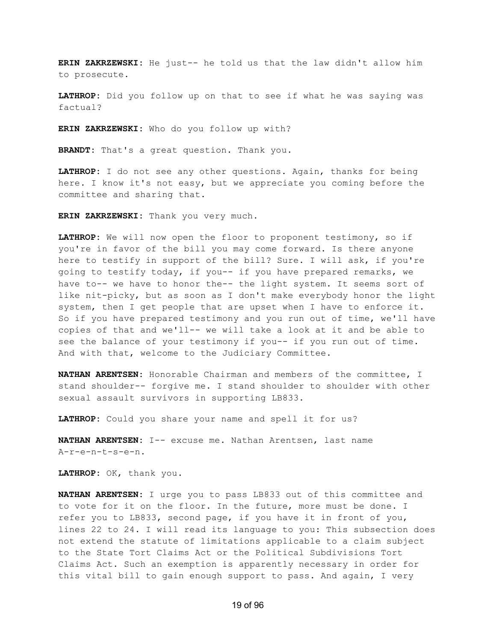**ERIN ZAKRZEWSKI:** He just-- he told us that the law didn't allow him to prosecute.

**LATHROP:** Did you follow up on that to see if what he was saying was factual?

**ERIN ZAKRZEWSKI:** Who do you follow up with?

**BRANDT:** That's a great question. Thank you.

**LATHROP:** I do not see any other questions. Again, thanks for being here. I know it's not easy, but we appreciate you coming before the committee and sharing that.

**ERIN ZAKRZEWSKI:** Thank you very much.

**LATHROP:** We will now open the floor to proponent testimony, so if you're in favor of the bill you may come forward. Is there anyone here to testify in support of the bill? Sure. I will ask, if you're going to testify today, if you-- if you have prepared remarks, we have to-- we have to honor the-- the light system. It seems sort of like nit-picky, but as soon as I don't make everybody honor the light system, then I get people that are upset when I have to enforce it. So if you have prepared testimony and you run out of time, we'll have copies of that and we'll-- we will take a look at it and be able to see the balance of your testimony if you-- if you run out of time. And with that, welcome to the Judiciary Committee.

**NATHAN ARENTSEN:** Honorable Chairman and members of the committee, I stand shoulder-- forgive me. I stand shoulder to shoulder with other sexual assault survivors in supporting LB833.

**LATHROP:** Could you share your name and spell it for us?

**NATHAN ARENTSEN:** I-- excuse me. Nathan Arentsen, last name A-r-e-n-t-s-e-n.

**LATHROP:** OK, thank you.

**NATHAN ARENTSEN:** I urge you to pass LB833 out of this committee and to vote for it on the floor. In the future, more must be done. I refer you to LB833, second page, if you have it in front of you, lines 22 to 24. I will read its language to you: This subsection does not extend the statute of limitations applicable to a claim subject to the State Tort Claims Act or the Political Subdivisions Tort Claims Act. Such an exemption is apparently necessary in order for this vital bill to gain enough support to pass. And again, I very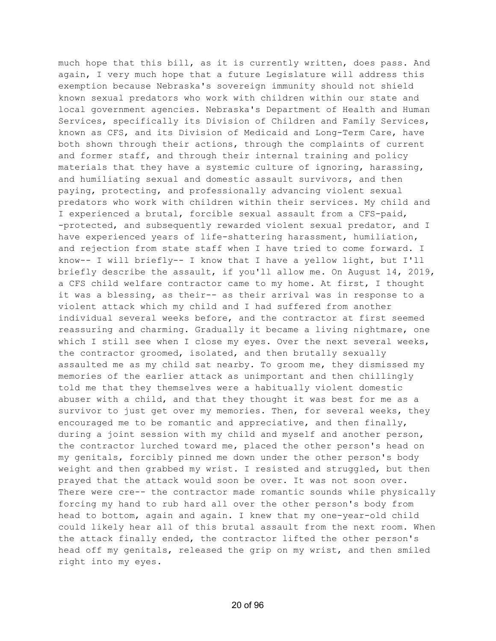much hope that this bill, as it is currently written, does pass. And again, I very much hope that a future Legislature will address this exemption because Nebraska's sovereign immunity should not shield known sexual predators who work with children within our state and local government agencies. Nebraska's Department of Health and Human Services, specifically its Division of Children and Family Services, known as CFS, and its Division of Medicaid and Long-Term Care, have both shown through their actions, through the complaints of current and former staff, and through their internal training and policy materials that they have a systemic culture of ignoring, harassing, and humiliating sexual and domestic assault survivors, and then paying, protecting, and professionally advancing violent sexual predators who work with children within their services. My child and I experienced a brutal, forcible sexual assault from a CFS-paid, -protected, and subsequently rewarded violent sexual predator, and I have experienced years of life-shattering harassment, humiliation, and rejection from state staff when I have tried to come forward. I know-- I will briefly-- I know that I have a yellow light, but I'll briefly describe the assault, if you'll allow me. On August 14, 2019, a CFS child welfare contractor came to my home. At first, I thought it was a blessing, as their-- as their arrival was in response to a violent attack which my child and I had suffered from another individual several weeks before, and the contractor at first seemed reassuring and charming. Gradually it became a living nightmare, one which I still see when I close my eyes. Over the next several weeks, the contractor groomed, isolated, and then brutally sexually assaulted me as my child sat nearby. To groom me, they dismissed my memories of the earlier attack as unimportant and then chillingly told me that they themselves were a habitually violent domestic abuser with a child, and that they thought it was best for me as a survivor to just get over my memories. Then, for several weeks, they encouraged me to be romantic and appreciative, and then finally, during a joint session with my child and myself and another person, the contractor lurched toward me, placed the other person's head on my genitals, forcibly pinned me down under the other person's body weight and then grabbed my wrist. I resisted and struggled, but then prayed that the attack would soon be over. It was not soon over. There were cre-- the contractor made romantic sounds while physically forcing my hand to rub hard all over the other person's body from head to bottom, again and again. I knew that my one-year-old child could likely hear all of this brutal assault from the next room. When the attack finally ended, the contractor lifted the other person's head off my genitals, released the grip on my wrist, and then smiled right into my eyes.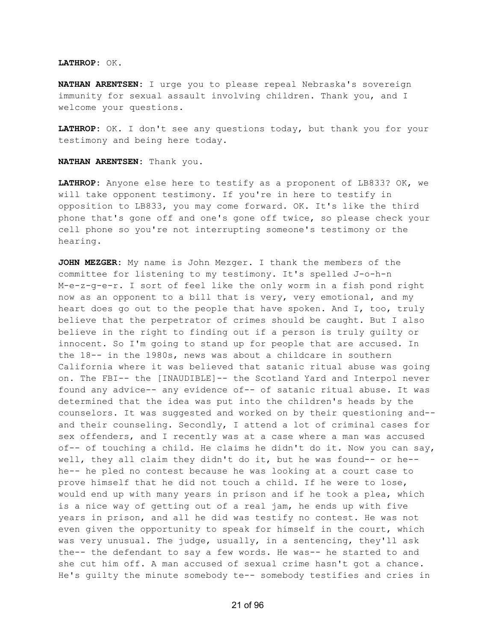## **LATHROP:** OK.

**NATHAN ARENTSEN:** I urge you to please repeal Nebraska's sovereign immunity for sexual assault involving children. Thank you, and I welcome your questions.

**LATHROP:** OK. I don't see any questions today, but thank you for your testimony and being here today.

**NATHAN ARENTSEN:** Thank you.

**LATHROP:** Anyone else here to testify as a proponent of LB833? OK, we will take opponent testimony. If you're in here to testify in opposition to LB833, you may come forward. OK. It's like the third phone that's gone off and one's gone off twice, so please check your cell phone so you're not interrupting someone's testimony or the hearing.

**JOHN MEZGER:** My name is John Mezger. I thank the members of the committee for listening to my testimony. It's spelled J-o-h-n M-e-z-g-e-r. I sort of feel like the only worm in a fish pond right now as an opponent to a bill that is very, very emotional, and my heart does go out to the people that have spoken. And I, too, truly believe that the perpetrator of crimes should be caught. But I also believe in the right to finding out if a person is truly guilty or innocent. So I'm going to stand up for people that are accused. In the 18-- in the 1980s, news was about a childcare in southern California where it was believed that satanic ritual abuse was going on. The FBI-- the [INAUDIBLE]-- the Scotland Yard and Interpol never found any advice-- any evidence of-- of satanic ritual abuse. It was determined that the idea was put into the children's heads by the counselors. It was suggested and worked on by their questioning and- and their counseling. Secondly, I attend a lot of criminal cases for sex offenders, and I recently was at a case where a man was accused of-- of touching a child. He claims he didn't do it. Now you can say, well, they all claim they didn't do it, but he was found-- or he- he-- he pled no contest because he was looking at a court case to prove himself that he did not touch a child. If he were to lose, would end up with many years in prison and if he took a plea, which is a nice way of getting out of a real jam, he ends up with five years in prison, and all he did was testify no contest. He was not even given the opportunity to speak for himself in the court, which was very unusual. The judge, usually, in a sentencing, they'll ask the-- the defendant to say a few words. He was-- he started to and she cut him off. A man accused of sexual crime hasn't got a chance. He's guilty the minute somebody te-- somebody testifies and cries in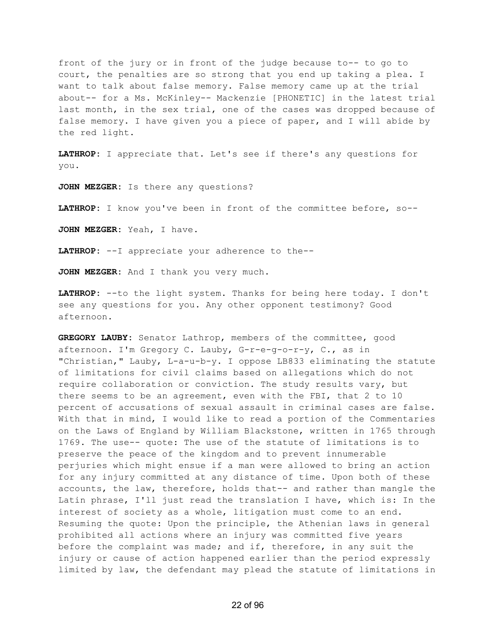front of the jury or in front of the judge because to-- to go to court, the penalties are so strong that you end up taking a plea. I want to talk about false memory. False memory came up at the trial about-- for a Ms. McKinley-- Mackenzie [PHONETIC] in the latest trial last month, in the sex trial, one of the cases was dropped because of false memory. I have given you a piece of paper, and I will abide by the red light.

**LATHROP:** I appreciate that. Let's see if there's any questions for you.

**JOHN MEZGER:** Is there any questions?

**LATHROP:** I know you've been in front of the committee before, so--

**JOHN MEZGER:** Yeah, I have.

**LATHROP:** --I appreciate your adherence to the--

**JOHN MEZGER:** And I thank you very much.

**LATHROP:** --to the light system. Thanks for being here today. I don't see any questions for you. Any other opponent testimony? Good afternoon.

**GREGORY LAUBY:** Senator Lathrop, members of the committee, good afternoon. I'm Gregory C. Lauby, G-r-e-g-o-r-y, C., as in "Christian," Lauby, L-a-u-b-y. I oppose LB833 eliminating the statute of limitations for civil claims based on allegations which do not require collaboration or conviction. The study results vary, but there seems to be an agreement, even with the FBI, that 2 to 10 percent of accusations of sexual assault in criminal cases are false. With that in mind, I would like to read a portion of the Commentaries on the Laws of England by William Blackstone, written in 1765 through 1769. The use-- quote: The use of the statute of limitations is to preserve the peace of the kingdom and to prevent innumerable perjuries which might ensue if a man were allowed to bring an action for any injury committed at any distance of time. Upon both of these accounts, the law, therefore, holds that-- and rather than mangle the Latin phrase, I'll just read the translation I have, which is: In the interest of society as a whole, litigation must come to an end. Resuming the quote: Upon the principle, the Athenian laws in general prohibited all actions where an injury was committed five years before the complaint was made; and if, therefore, in any suit the injury or cause of action happened earlier than the period expressly limited by law, the defendant may plead the statute of limitations in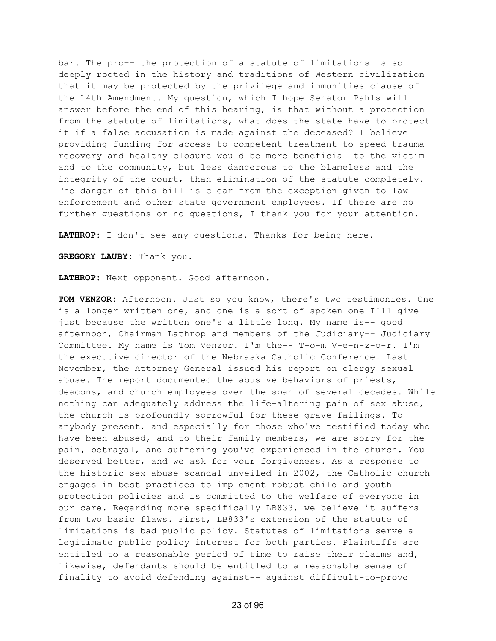bar. The pro-- the protection of a statute of limitations is so deeply rooted in the history and traditions of Western civilization that it may be protected by the privilege and immunities clause of the 14th Amendment. My question, which I hope Senator Pahls will answer before the end of this hearing, is that without a protection from the statute of limitations, what does the state have to protect it if a false accusation is made against the deceased? I believe providing funding for access to competent treatment to speed trauma recovery and healthy closure would be more beneficial to the victim and to the community, but less dangerous to the blameless and the integrity of the court, than elimination of the statute completely. The danger of this bill is clear from the exception given to law enforcement and other state government employees. If there are no further questions or no questions, I thank you for your attention.

**LATHROP:** I don't see any questions. Thanks for being here.

**GREGORY LAUBY:** Thank you.

**LATHROP:** Next opponent. Good afternoon.

**TOM VENZOR:** Afternoon. Just so you know, there's two testimonies. One is a longer written one, and one is a sort of spoken one I'll give just because the written one's a little long. My name is-- good afternoon, Chairman Lathrop and members of the Judiciary-- Judiciary Committee. My name is Tom Venzor. I'm the-- T-o-m V-e-n-z-o-r. I'm the executive director of the Nebraska Catholic Conference. Last November, the Attorney General issued his report on clergy sexual abuse. The report documented the abusive behaviors of priests, deacons, and church employees over the span of several decades. While nothing can adequately address the life-altering pain of sex abuse, the church is profoundly sorrowful for these grave failings. To anybody present, and especially for those who've testified today who have been abused, and to their family members, we are sorry for the pain, betrayal, and suffering you've experienced in the church. You deserved better, and we ask for your forgiveness. As a response to the historic sex abuse scandal unveiled in 2002, the Catholic church engages in best practices to implement robust child and youth protection policies and is committed to the welfare of everyone in our care. Regarding more specifically LB833, we believe it suffers from two basic flaws. First, LB833's extension of the statute of limitations is bad public policy. Statutes of limitations serve a legitimate public policy interest for both parties. Plaintiffs are entitled to a reasonable period of time to raise their claims and, likewise, defendants should be entitled to a reasonable sense of finality to avoid defending against-- against difficult-to-prove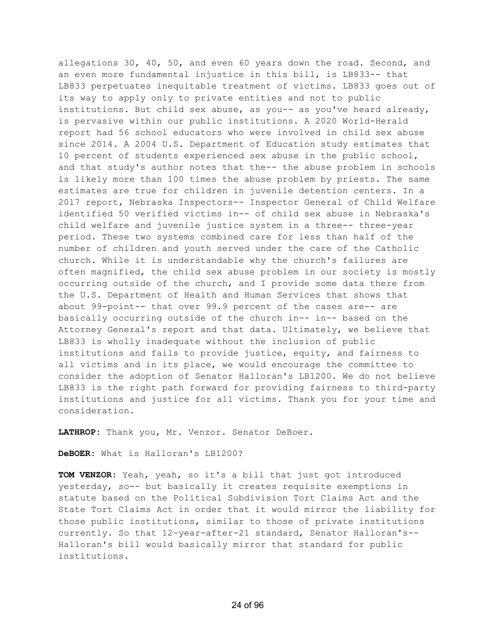allegations 30, 40, 50, and even 60 years down the road. Second, and an even more fundamental injustice in this bill, is LB833-- that LB833 perpetuates inequitable treatment of victims. LB833 goes out of its way to apply only to private entities and not to public institutions. But child sex abuse, as you-- as you've heard already, is pervasive within our public institutions. A 2020 World-Herald report had 56 school educators who were involved in child sex abuse since 2014. A 2004 U.S. Department of Education study estimates that 10 percent of students experienced sex abuse in the public school, and that study's author notes that the-- the abuse problem in schools is likely more than 100 times the abuse problem by priests. The same estimates are true for children in juvenile detention centers. In a 2017 report, Nebraska Inspectors-- Inspector General of Child Welfare identified 50 verified victims in-- of child sex abuse in Nebraska's child welfare and juvenile justice system in a three-- three-year period. These two systems combined care for less than half of the number of children and youth served under the care of the Catholic church. While it is understandable why the church's failures are often magnified, the child sex abuse problem in our society is mostly occurring outside of the church, and I provide some data there from the U.S. Department of Health and Human Services that shows that about 99-point-- that over 99.9 percent of the cases are-- are basically occurring outside of the church in-- in-- based on the Attorney General's report and that data. Ultimately, we believe that LB833 is wholly inadequate without the inclusion of public institutions and fails to provide justice, equity, and fairness to all victims and in its place, we would encourage the committee to consider the adoption of Senator Halloran's LB1200. We do not believe LB833 is the right path forward for providing fairness to third-party institutions and justice for all victims. Thank you for your time and consideration.

**LATHROP:** Thank you, Mr. Venzor. Senator DeBoer.

**DeBOER:** What is Halloran's LB1200?

**TOM VENZOR:** Yeah, yeah, so it's a bill that just got introduced yesterday, so-- but basically it creates requisite exemptions in statute based on the Political Subdivision Tort Claims Act and the State Tort Claims Act in order that it would mirror the liability for those public institutions, similar to those of private institutions currently. So that 12-year-after-21 standard, Senator Halloran's-- Halloran's bill would basically mirror that standard for public institutions.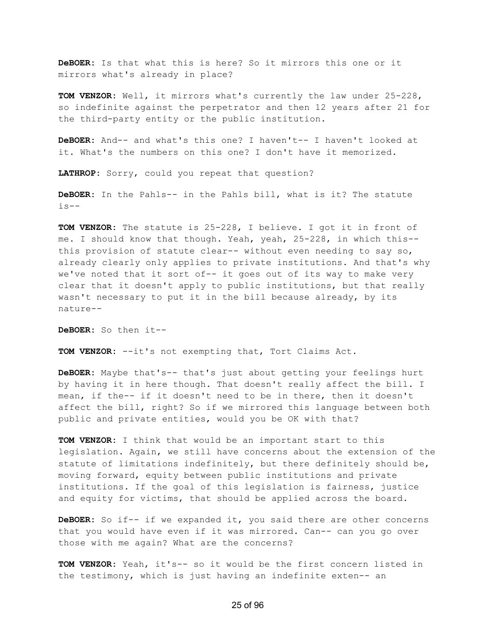**DeBOER:** Is that what this is here? So it mirrors this one or it mirrors what's already in place?

**TOM VENZOR:** Well, it mirrors what's currently the law under 25-228, so indefinite against the perpetrator and then 12 years after 21 for the third-party entity or the public institution.

**DeBOER:** And-- and what's this one? I haven't-- I haven't looked at it. What's the numbers on this one? I don't have it memorized.

**LATHROP:** Sorry, could you repeat that question?

**DeBOER:** In the Pahls-- in the Pahls bill, what is it? The statute  $is--$ 

**TOM VENZOR:** The statute is 25-228, I believe. I got it in front of me. I should know that though. Yeah, yeah, 25-228, in which this- this provision of statute clear-- without even needing to say so, already clearly only applies to private institutions. And that's why we've noted that it sort of-- it goes out of its way to make very clear that it doesn't apply to public institutions, but that really wasn't necessary to put it in the bill because already, by its nature--

**DeBOER:** So then it--

**TOM VENZOR:** --it's not exempting that, Tort Claims Act.

**DeBOER:** Maybe that's-- that's just about getting your feelings hurt by having it in here though. That doesn't really affect the bill. I mean, if the-- if it doesn't need to be in there, then it doesn't affect the bill, right? So if we mirrored this language between both public and private entities, would you be OK with that?

**TOM VENZOR:** I think that would be an important start to this legislation. Again, we still have concerns about the extension of the statute of limitations indefinitely, but there definitely should be, moving forward, equity between public institutions and private institutions. If the goal of this legislation is fairness, justice and equity for victims, that should be applied across the board.

**DeBOER:** So if-- if we expanded it, you said there are other concerns that you would have even if it was mirrored. Can-- can you go over those with me again? What are the concerns?

**TOM VENZOR:** Yeah, it's-- so it would be the first concern listed in the testimony, which is just having an indefinite exten-- an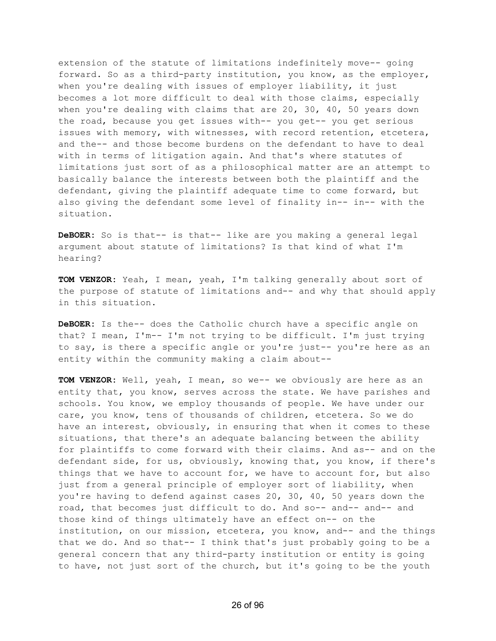extension of the statute of limitations indefinitely move-- going forward. So as a third-party institution, you know, as the employer, when you're dealing with issues of employer liability, it just becomes a lot more difficult to deal with those claims, especially when you're dealing with claims that are 20, 30, 40, 50 years down the road, because you get issues with-- you get-- you get serious issues with memory, with witnesses, with record retention, etcetera, and the-- and those become burdens on the defendant to have to deal with in terms of litigation again. And that's where statutes of limitations just sort of as a philosophical matter are an attempt to basically balance the interests between both the plaintiff and the defendant, giving the plaintiff adequate time to come forward, but also giving the defendant some level of finality in-- in-- with the situation.

**DeBOER:** So is that-- is that-- like are you making a general legal argument about statute of limitations? Is that kind of what I'm hearing?

**TOM VENZOR:** Yeah, I mean, yeah, I'm talking generally about sort of the purpose of statute of limitations and-- and why that should apply in this situation.

**DeBOER:** Is the-- does the Catholic church have a specific angle on that? I mean, I'm-- I'm not trying to be difficult. I'm just trying to say, is there a specific angle or you're just-- you're here as an entity within the community making a claim about--

**TOM VENZOR:** Well, yeah, I mean, so we-- we obviously are here as an entity that, you know, serves across the state. We have parishes and schools. You know, we employ thousands of people. We have under our care, you know, tens of thousands of children, etcetera. So we do have an interest, obviously, in ensuring that when it comes to these situations, that there's an adequate balancing between the ability for plaintiffs to come forward with their claims. And as-- and on the defendant side, for us, obviously, knowing that, you know, if there's things that we have to account for, we have to account for, but also just from a general principle of employer sort of liability, when you're having to defend against cases 20, 30, 40, 50 years down the road, that becomes just difficult to do. And so-- and-- and-- and those kind of things ultimately have an effect on-- on the institution, on our mission, etcetera, you know, and-- and the things that we do. And so that-- I think that's just probably going to be a general concern that any third-party institution or entity is going to have, not just sort of the church, but it's going to be the youth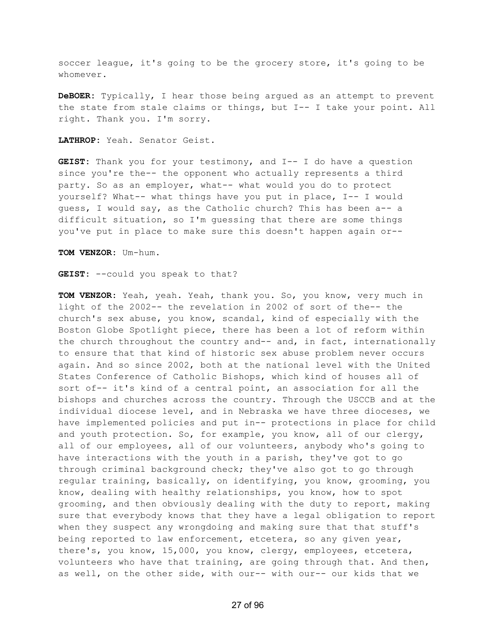soccer league, it's going to be the grocery store, it's going to be whomever.

**DeBOER:** Typically, I hear those being argued as an attempt to prevent the state from stale claims or things, but I-- I take your point. All right. Thank you. I'm sorry.

**LATHROP:** Yeah. Senator Geist.

**GEIST:** Thank you for your testimony, and I-- I do have a question since you're the-- the opponent who actually represents a third party. So as an employer, what-- what would you do to protect yourself? What-- what things have you put in place, I-- I would guess, I would say, as the Catholic church? This has been a-- a difficult situation, so I'm guessing that there are some things you've put in place to make sure this doesn't happen again or--

**TOM VENZOR:** Um-hum.

**GEIST:** --could you speak to that?

**TOM VENZOR:** Yeah, yeah. Yeah, thank you. So, you know, very much in light of the 2002-- the revelation in 2002 of sort of the-- the church's sex abuse, you know, scandal, kind of especially with the Boston Globe Spotlight piece, there has been a lot of reform within the church throughout the country and-- and, in fact, internationally to ensure that that kind of historic sex abuse problem never occurs again. And so since 2002, both at the national level with the United States Conference of Catholic Bishops, which kind of houses all of sort of-- it's kind of a central point, an association for all the bishops and churches across the country. Through the USCCB and at the individual diocese level, and in Nebraska we have three dioceses, we have implemented policies and put in-- protections in place for child and youth protection. So, for example, you know, all of our clergy, all of our employees, all of our volunteers, anybody who's going to have interactions with the youth in a parish, they've got to go through criminal background check; they've also got to go through regular training, basically, on identifying, you know, grooming, you know, dealing with healthy relationships, you know, how to spot grooming, and then obviously dealing with the duty to report, making sure that everybody knows that they have a legal obligation to report when they suspect any wrongdoing and making sure that that stuff's being reported to law enforcement, etcetera, so any given year, there's, you know, 15,000, you know, clergy, employees, etcetera, volunteers who have that training, are going through that. And then, as well, on the other side, with our-- with our-- our kids that we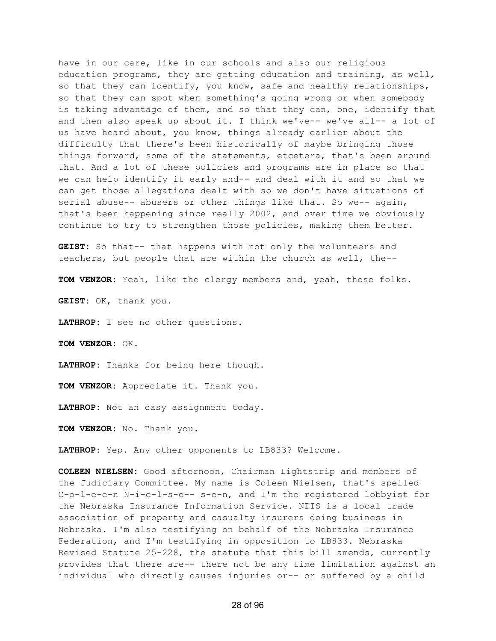have in our care, like in our schools and also our religious education programs, they are getting education and training, as well, so that they can identify, you know, safe and healthy relationships, so that they can spot when something's going wrong or when somebody is taking advantage of them, and so that they can, one, identify that and then also speak up about it. I think we've-- we've all-- a lot of us have heard about, you know, things already earlier about the difficulty that there's been historically of maybe bringing those things forward, some of the statements, etcetera, that's been around that. And a lot of these policies and programs are in place so that we can help identify it early and-- and deal with it and so that we can get those allegations dealt with so we don't have situations of serial abuse-- abusers or other things like that. So we-- again, that's been happening since really 2002, and over time we obviously continue to try to strengthen those policies, making them better.

**GEIST:** So that-- that happens with not only the volunteers and teachers, but people that are within the church as well, the--

**TOM VENZOR:** Yeah, like the clergy members and, yeah, those folks.

**GEIST:** OK, thank you.

**LATHROP:** I see no other questions.

**TOM VENZOR:** OK.

**LATHROP:** Thanks for being here though.

**TOM VENZOR:** Appreciate it. Thank you.

**LATHROP:** Not an easy assignment today.

**TOM VENZOR:** No. Thank you.

**LATHROP:** Yep. Any other opponents to LB833? Welcome.

**COLEEN NIELSEN:** Good afternoon, Chairman Lightstrip and members of the Judiciary Committee. My name is Coleen Nielsen, that's spelled C-o-l-e-e-n N-i-e-l-s-e-- s-e-n, and I'm the registered lobbyist for the Nebraska Insurance Information Service. NIIS is a local trade association of property and casualty insurers doing business in Nebraska. I'm also testifying on behalf of the Nebraska Insurance Federation, and I'm testifying in opposition to LB833. Nebraska Revised Statute 25-228, the statute that this bill amends, currently provides that there are-- there not be any time limitation against an individual who directly causes injuries or-- or suffered by a child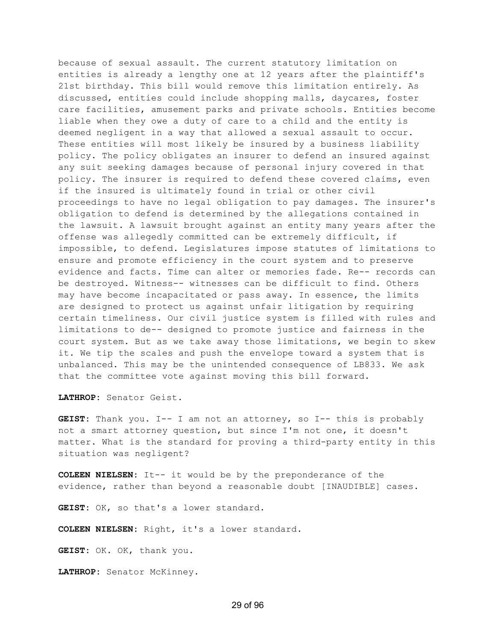because of sexual assault. The current statutory limitation on entities is already a lengthy one at 12 years after the plaintiff's 21st birthday. This bill would remove this limitation entirely. As discussed, entities could include shopping malls, daycares, foster care facilities, amusement parks and private schools. Entities become liable when they owe a duty of care to a child and the entity is deemed negligent in a way that allowed a sexual assault to occur. These entities will most likely be insured by a business liability policy. The policy obligates an insurer to defend an insured against any suit seeking damages because of personal injury covered in that policy. The insurer is required to defend these covered claims, even if the insured is ultimately found in trial or other civil proceedings to have no legal obligation to pay damages. The insurer's obligation to defend is determined by the allegations contained in the lawsuit. A lawsuit brought against an entity many years after the offense was allegedly committed can be extremely difficult, if impossible, to defend. Legislatures impose statutes of limitations to ensure and promote efficiency in the court system and to preserve evidence and facts. Time can alter or memories fade. Re-- records can be destroyed. Witness-- witnesses can be difficult to find. Others may have become incapacitated or pass away. In essence, the limits are designed to protect us against unfair litigation by requiring certain timeliness. Our civil justice system is filled with rules and limitations to de-- designed to promote justice and fairness in the court system. But as we take away those limitations, we begin to skew it. We tip the scales and push the envelope toward a system that is unbalanced. This may be the unintended consequence of LB833. We ask that the committee vote against moving this bill forward.

**LATHROP:** Senator Geist.

**GEIST:** Thank you. I-- I am not an attorney, so I-- this is probably not a smart attorney question, but since I'm not one, it doesn't matter. What is the standard for proving a third-party entity in this situation was negligent?

**COLEEN NIELSEN:** It-- it would be by the preponderance of the evidence, rather than beyond a reasonable doubt [INAUDIBLE] cases.

**GEIST:** OK, so that's a lower standard.

**COLEEN NIELSEN:** Right, it's a lower standard.

**GEIST:** OK. OK, thank you.

**LATHROP:** Senator McKinney.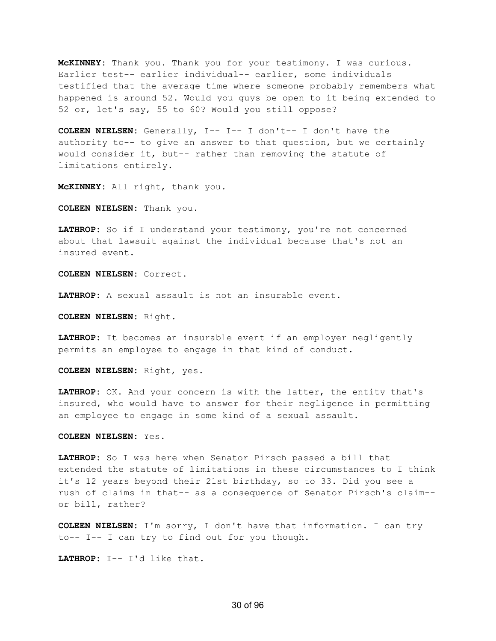**McKINNEY:** Thank you. Thank you for your testimony. I was curious. Earlier test-- earlier individual-- earlier, some individuals testified that the average time where someone probably remembers what happened is around 52. Would you guys be open to it being extended to 52 or, let's say, 55 to 60? Would you still oppose?

**COLEEN NIELSEN:** Generally, I-- I-- I don't-- I don't have the authority to-- to give an answer to that question, but we certainly would consider it, but-- rather than removing the statute of limitations entirely.

**McKINNEY:** All right, thank you.

**COLEEN NIELSEN:** Thank you.

**LATHROP:** So if I understand your testimony, you're not concerned about that lawsuit against the individual because that's not an insured event.

**COLEEN NIELSEN:** Correct.

**LATHROP:** A sexual assault is not an insurable event.

**COLEEN NIELSEN:** Right.

**LATHROP:** It becomes an insurable event if an employer negligently permits an employee to engage in that kind of conduct.

**COLEEN NIELSEN:** Right, yes.

**LATHROP:** OK. And your concern is with the latter, the entity that's insured, who would have to answer for their negligence in permitting an employee to engage in some kind of a sexual assault.

**COLEEN NIELSEN:** Yes.

**LATHROP:** So I was here when Senator Pirsch passed a bill that extended the statute of limitations in these circumstances to I think it's 12 years beyond their 21st birthday, so to 33. Did you see a rush of claims in that-- as a consequence of Senator Pirsch's claim- or bill, rather?

**COLEEN NIELSEN:** I'm sorry, I don't have that information. I can try to-- I-- I can try to find out for you though.

**LATHROP:** I-- I'd like that.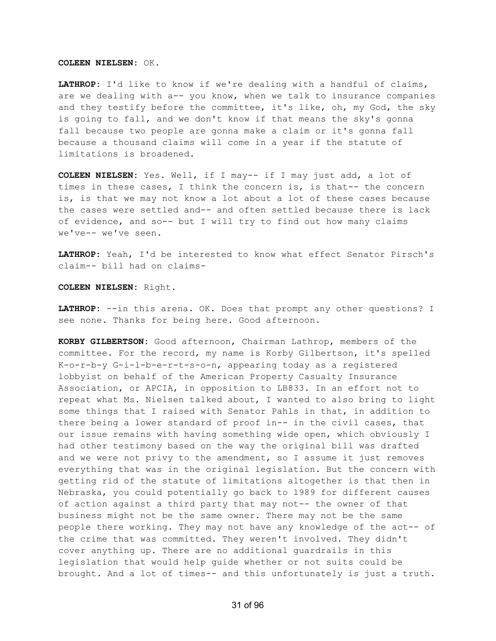## **COLEEN NIELSEN:** OK.

**LATHROP:** I'd like to know if we're dealing with a handful of claims, are we dealing with a-- you know, when we talk to insurance companies and they testify before the committee, it's like, oh, my God, the sky is going to fall, and we don't know if that means the sky's gonna fall because two people are gonna make a claim or it's gonna fall because a thousand claims will come in a year if the statute of limitations is broadened.

**COLEEN NIELSEN:** Yes. Well, if I may-- if I may just add, a lot of times in these cases, I think the concern is, is that-- the concern is, is that we may not know a lot about a lot of these cases because the cases were settled and-- and often settled because there is lack of evidence, and so-- but I will try to find out how many claims we've-- we've seen.

**LATHROP:** Yeah, I'd be interested to know what effect Senator Pirsch's claim-- bill had on claims-

## **COLEEN NIELSEN:** Right.

**LATHROP:** --in this arena. OK. Does that prompt any other questions? I see none. Thanks for being here. Good afternoon.

**KORBY GILBERTSON:** Good afternoon, Chairman Lathrop, members of the committee. For the record, my name is Korby Gilbertson, it's spelled K-o-r-b-y G-i-l-b-e-r-t-s-o-n, appearing today as a registered lobbyist on behalf of the American Property Casualty Insurance Association, or APCIA, in opposition to LB833. In an effort not to repeat what Ms. Nielsen talked about, I wanted to also bring to light some things that I raised with Senator Pahls in that, in addition to there being a lower standard of proof in-- in the civil cases, that our issue remains with having something wide open, which obviously I had other testimony based on the way the original bill was drafted and we were not privy to the amendment, so I assume it just removes everything that was in the original legislation. But the concern with getting rid of the statute of limitations altogether is that then in Nebraska, you could potentially go back to 1989 for different causes of action against a third party that may not-- the owner of that business might not be the same owner. There may not be the same people there working. They may not have any knowledge of the act-- of the crime that was committed. They weren't involved. They didn't cover anything up. There are no additional guardrails in this legislation that would help guide whether or not suits could be brought. And a lot of times-- and this unfortunately is just a truth.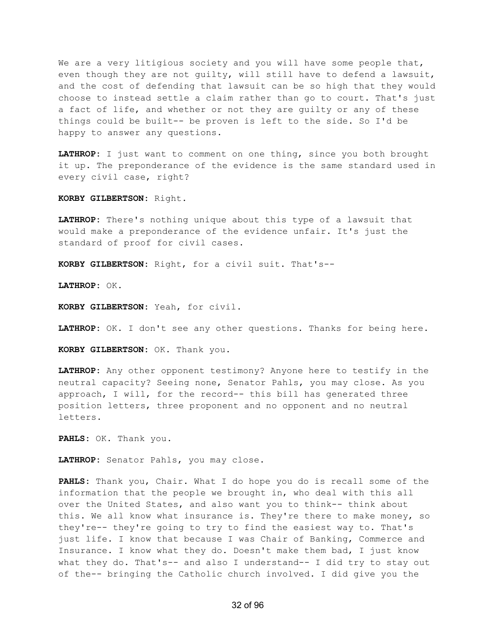We are a very litigious society and you will have some people that, even though they are not guilty, will still have to defend a lawsuit, and the cost of defending that lawsuit can be so high that they would choose to instead settle a claim rather than go to court. That's just a fact of life, and whether or not they are guilty or any of these things could be built-- be proven is left to the side. So I'd be happy to answer any questions.

**LATHROP:** I just want to comment on one thing, since you both brought it up. The preponderance of the evidence is the same standard used in every civil case, right?

**KORBY GILBERTSON:** Right.

**LATHROP:** There's nothing unique about this type of a lawsuit that would make a preponderance of the evidence unfair. It's just the standard of proof for civil cases.

**KORBY GILBERTSON:** Right, for a civil suit. That's--

**LATHROP:** OK.

**KORBY GILBERTSON:** Yeah, for civil.

**LATHROP:** OK. I don't see any other questions. Thanks for being here.

**KORBY GILBERTSON:** OK. Thank you.

**LATHROP:** Any other opponent testimony? Anyone here to testify in the neutral capacity? Seeing none, Senator Pahls, you may close. As you approach, I will, for the record-- this bill has generated three position letters, three proponent and no opponent and no neutral letters.

**PAHLS:** OK. Thank you.

**LATHROP:** Senator Pahls, you may close.

**PAHLS:** Thank you, Chair. What I do hope you do is recall some of the information that the people we brought in, who deal with this all over the United States, and also want you to think-- think about this. We all know what insurance is. They're there to make money, so they're-- they're going to try to find the easiest way to. That's just life. I know that because I was Chair of Banking, Commerce and Insurance. I know what they do. Doesn't make them bad, I just know what they do. That's-- and also I understand-- I did try to stay out of the-- bringing the Catholic church involved. I did give you the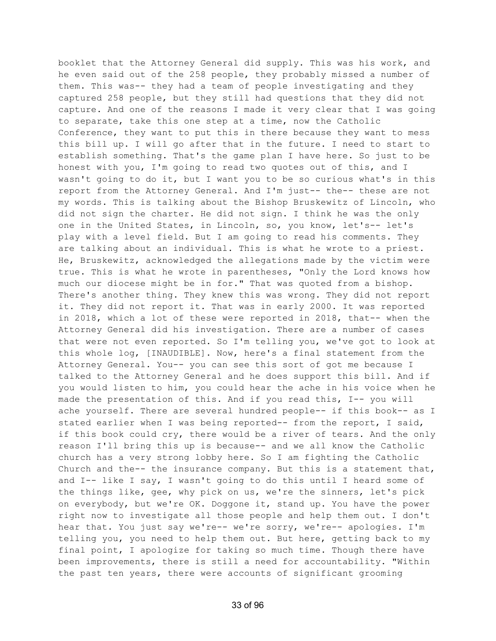booklet that the Attorney General did supply. This was his work, and he even said out of the 258 people, they probably missed a number of them. This was-- they had a team of people investigating and they captured 258 people, but they still had questions that they did not capture. And one of the reasons I made it very clear that I was going to separate, take this one step at a time, now the Catholic Conference, they want to put this in there because they want to mess this bill up. I will go after that in the future. I need to start to establish something. That's the game plan I have here. So just to be honest with you, I'm going to read two quotes out of this, and I wasn't going to do it, but I want you to be so curious what's in this report from the Attorney General. And I'm just-- the-- these are not my words. This is talking about the Bishop Bruskewitz of Lincoln, who did not sign the charter. He did not sign. I think he was the only one in the United States, in Lincoln, so, you know, let's-- let's play with a level field. But I am going to read his comments. They are talking about an individual. This is what he wrote to a priest. He, Bruskewitz, acknowledged the allegations made by the victim were true. This is what he wrote in parentheses, "Only the Lord knows how much our diocese might be in for." That was quoted from a bishop. There's another thing. They knew this was wrong. They did not report it. They did not report it. That was in early 2000. It was reported in 2018, which a lot of these were reported in 2018, that-- when the Attorney General did his investigation. There are a number of cases that were not even reported. So I'm telling you, we've got to look at this whole log, [INAUDIBLE]. Now, here's a final statement from the Attorney General. You-- you can see this sort of got me because I talked to the Attorney General and he does support this bill. And if you would listen to him, you could hear the ache in his voice when he made the presentation of this. And if you read this, I-- you will ache yourself. There are several hundred people-- if this book-- as I stated earlier when I was being reported-- from the report, I said, if this book could cry, there would be a river of tears. And the only reason I'll bring this up is because-- and we all know the Catholic church has a very strong lobby here. So I am fighting the Catholic Church and the-- the insurance company. But this is a statement that, and I-- like I say, I wasn't going to do this until I heard some of the things like, gee, why pick on us, we're the sinners, let's pick on everybody, but we're OK. Doggone it, stand up. You have the power right now to investigate all those people and help them out. I don't hear that. You just say we're-- we're sorry, we're-- apologies. I'm telling you, you need to help them out. But here, getting back to my final point, I apologize for taking so much time. Though there have been improvements, there is still a need for accountability. "Within the past ten years, there were accounts of significant grooming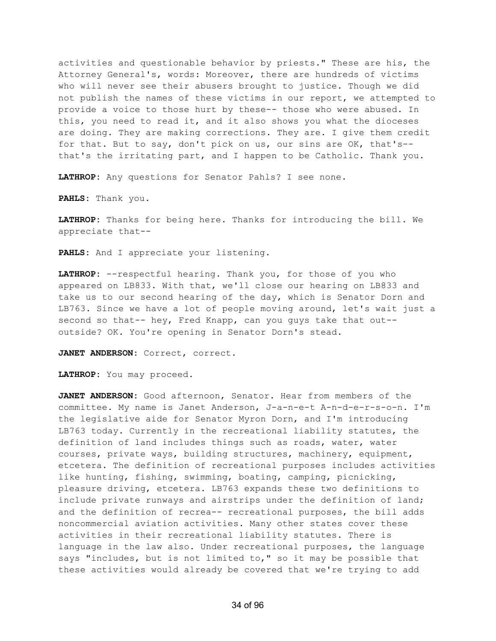activities and questionable behavior by priests." These are his, the Attorney General's, words: Moreover, there are hundreds of victims who will never see their abusers brought to justice. Though we did not publish the names of these victims in our report, we attempted to provide a voice to those hurt by these-- those who were abused. In this, you need to read it, and it also shows you what the dioceses are doing. They are making corrections. They are. I give them credit for that. But to say, don't pick on us, our sins are OK, that's- that's the irritating part, and I happen to be Catholic. Thank you.

**LATHROP:** Any questions for Senator Pahls? I see none.

**PAHLS:** Thank you.

**LATHROP:** Thanks for being here. Thanks for introducing the bill. We appreciate that--

**PAHLS:** And I appreciate your listening.

**LATHROP:** --respectful hearing. Thank you, for those of you who appeared on LB833. With that, we'll close our hearing on LB833 and take us to our second hearing of the day, which is Senator Dorn and LB763. Since we have a lot of people moving around, let's wait just a second so that-- hey, Fred Knapp, can you guys take that out- outside? OK. You're opening in Senator Dorn's stead.

**JANET ANDERSON:** Correct, correct.

**LATHROP:** You may proceed.

**JANET ANDERSON:** Good afternoon, Senator. Hear from members of the committee. My name is Janet Anderson, J-a-n-e-t A-n-d-e-r-s-o-n. I'm the legislative aide for Senator Myron Dorn, and I'm introducing LB763 today. Currently in the recreational liability statutes, the definition of land includes things such as roads, water, water courses, private ways, building structures, machinery, equipment, etcetera. The definition of recreational purposes includes activities like hunting, fishing, swimming, boating, camping, picnicking, pleasure driving, etcetera. LB763 expands these two definitions to include private runways and airstrips under the definition of land; and the definition of recrea-- recreational purposes, the bill adds noncommercial aviation activities. Many other states cover these activities in their recreational liability statutes. There is language in the law also. Under recreational purposes, the language says "includes, but is not limited to," so it may be possible that these activities would already be covered that we're trying to add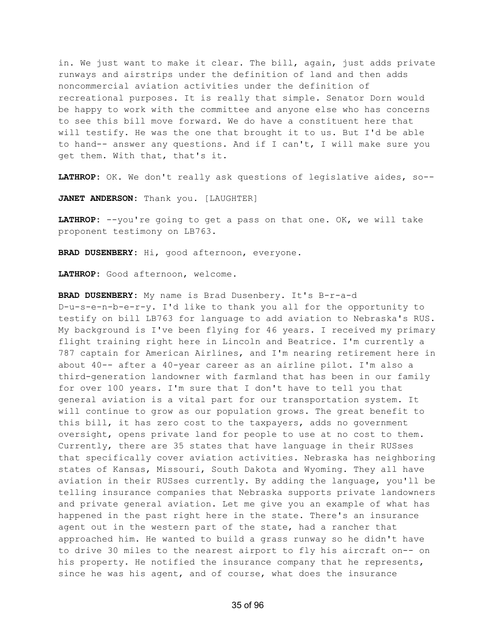in. We just want to make it clear. The bill, again, just adds private runways and airstrips under the definition of land and then adds noncommercial aviation activities under the definition of recreational purposes. It is really that simple. Senator Dorn would be happy to work with the committee and anyone else who has concerns to see this bill move forward. We do have a constituent here that will testify. He was the one that brought it to us. But I'd be able to hand-- answer any questions. And if I can't, I will make sure you get them. With that, that's it.

**LATHROP:** OK. We don't really ask questions of legislative aides, so--

**JANET ANDERSON:** Thank you. [LAUGHTER]

**LATHROP:** --you're going to get a pass on that one. OK, we will take proponent testimony on LB763.

**BRAD DUSENBERY:** Hi, good afternoon, everyone.

**LATHROP:** Good afternoon, welcome.

**BRAD DUSENBERY:** My name is Brad Dusenbery. It's B-r-a-d D-u-s-e-n-b-e-r-y. I'd like to thank you all for the opportunity to testify on bill LB763 for language to add aviation to Nebraska's RUS. My background is I've been flying for 46 years. I received my primary flight training right here in Lincoln and Beatrice. I'm currently a 787 captain for American Airlines, and I'm nearing retirement here in about 40-- after a 40-year career as an airline pilot. I'm also a third-generation landowner with farmland that has been in our family for over 100 years. I'm sure that I don't have to tell you that general aviation is a vital part for our transportation system. It will continue to grow as our population grows. The great benefit to this bill, it has zero cost to the taxpayers, adds no government oversight, opens private land for people to use at no cost to them. Currently, there are 35 states that have language in their RUSses that specifically cover aviation activities. Nebraska has neighboring states of Kansas, Missouri, South Dakota and Wyoming. They all have aviation in their RUSses currently. By adding the language, you'll be telling insurance companies that Nebraska supports private landowners and private general aviation. Let me give you an example of what has happened in the past right here in the state. There's an insurance agent out in the western part of the state, had a rancher that approached him. He wanted to build a grass runway so he didn't have to drive 30 miles to the nearest airport to fly his aircraft on-- on his property. He notified the insurance company that he represents, since he was his agent, and of course, what does the insurance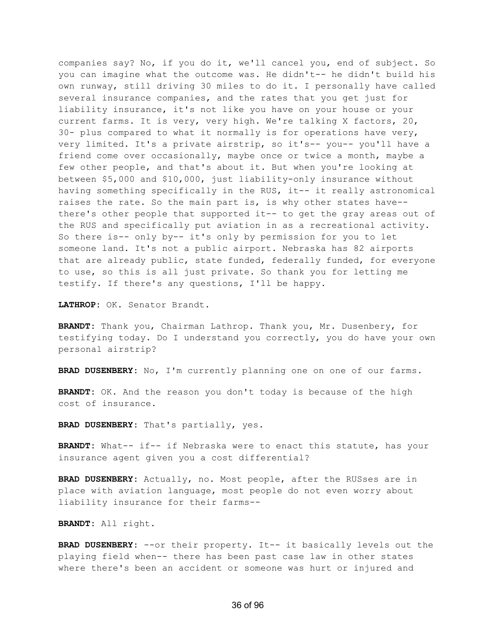companies say? No, if you do it, we'll cancel you, end of subject. So you can imagine what the outcome was. He didn't-- he didn't build his own runway, still driving 30 miles to do it. I personally have called several insurance companies, and the rates that you get just for liability insurance, it's not like you have on your house or your current farms. It is very, very high. We're talking X factors, 20, 30- plus compared to what it normally is for operations have very, very limited. It's a private airstrip, so it's-- you-- you'll have a friend come over occasionally, maybe once or twice a month, maybe a few other people, and that's about it. But when you're looking at between \$5,000 and \$10,000, just liability-only insurance without having something specifically in the RUS, it-- it really astronomical raises the rate. So the main part is, is why other states have- there's other people that supported it-- to get the gray areas out of the RUS and specifically put aviation in as a recreational activity. So there is-- only by-- it's only by permission for you to let someone land. It's not a public airport. Nebraska has 82 airports that are already public, state funded, federally funded, for everyone to use, so this is all just private. So thank you for letting me testify. If there's any questions, I'll be happy.

**LATHROP:** OK. Senator Brandt.

**BRANDT:** Thank you, Chairman Lathrop. Thank you, Mr. Dusenbery, for testifying today. Do I understand you correctly, you do have your own personal airstrip?

**BRAD DUSENBERY:** No, I'm currently planning one on one of our farms.

**BRANDT:** OK. And the reason you don't today is because of the high cost of insurance.

**BRAD DUSENBERY:** That's partially, yes.

**BRANDT:** What-- if-- if Nebraska were to enact this statute, has your insurance agent given you a cost differential?

**BRAD DUSENBERY:** Actually, no. Most people, after the RUSses are in place with aviation language, most people do not even worry about liability insurance for their farms--

**BRANDT:** All right.

**BRAD DUSENBERY:** --or their property. It-- it basically levels out the playing field when-- there has been past case law in other states where there's been an accident or someone was hurt or injured and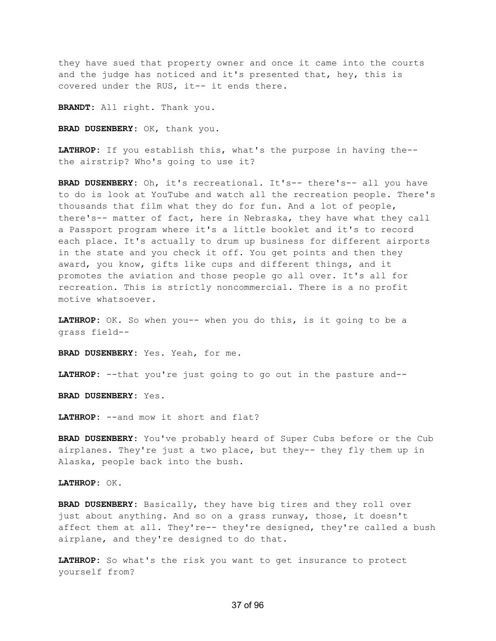they have sued that property owner and once it came into the courts and the judge has noticed and it's presented that, hey, this is covered under the RUS, it-- it ends there.

**BRANDT:** All right. Thank you.

**BRAD DUSENBERY:** OK, thank you.

**LATHROP:** If you establish this, what's the purpose in having the- the airstrip? Who's going to use it?

**BRAD DUSENBERY:** Oh, it's recreational. It's-- there's-- all you have to do is look at YouTube and watch all the recreation people. There's thousands that film what they do for fun. And a lot of people, there's-- matter of fact, here in Nebraska, they have what they call a Passport program where it's a little booklet and it's to record each place. It's actually to drum up business for different airports in the state and you check it off. You get points and then they award, you know, gifts like cups and different things, and it promotes the aviation and those people go all over. It's all for recreation. This is strictly noncommercial. There is a no profit motive whatsoever.

**LATHROP:** OK. So when you-- when you do this, is it going to be a grass field--

**BRAD DUSENBERY:** Yes. Yeah, for me.

**LATHROP:** --that you're just going to go out in the pasture and--

**BRAD DUSENBERY:** Yes.

**LATHROP:** --and mow it short and flat?

**BRAD DUSENBERY:** You've probably heard of Super Cubs before or the Cub airplanes. They're just a two place, but they-- they fly them up in Alaska, people back into the bush.

**LATHROP:** OK.

**BRAD DUSENBERY:** Basically, they have big tires and they roll over just about anything. And so on a grass runway, those, it doesn't affect them at all. They're-- they're designed, they're called a bush airplane, and they're designed to do that.

**LATHROP:** So what's the risk you want to get insurance to protect yourself from?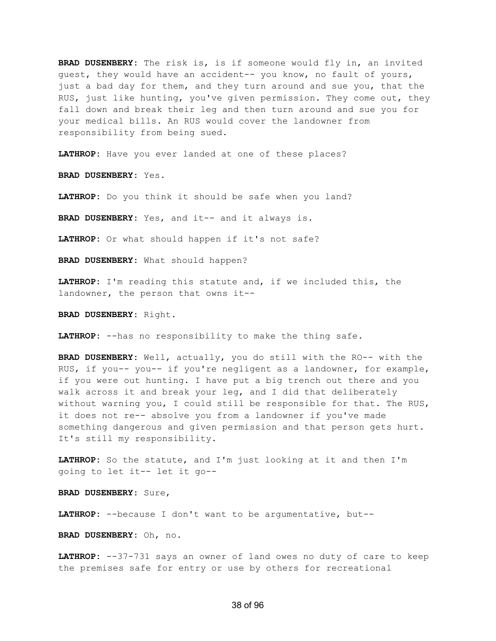**BRAD DUSENBERY:** The risk is, is if someone would fly in, an invited guest, they would have an accident-- you know, no fault of yours, just a bad day for them, and they turn around and sue you, that the RUS, just like hunting, you've given permission. They come out, they fall down and break their leg and then turn around and sue you for your medical bills. An RUS would cover the landowner from responsibility from being sued.

**LATHROP:** Have you ever landed at one of these places?

**BRAD DUSENBERY:** Yes.

**LATHROP:** Do you think it should be safe when you land?

**BRAD DUSENBERY:** Yes, and it-- and it always is.

**LATHROP:** Or what should happen if it's not safe?

**BRAD DUSENBERY:** What should happen?

**LATHROP:** I'm reading this statute and, if we included this, the landowner, the person that owns it--

**BRAD DUSENBERY:** Right.

**LATHROP:** --has no responsibility to make the thing safe.

**BRAD DUSENBERY:** Well, actually, you do still with the RO-- with the RUS, if you-- you-- if you're negligent as a landowner, for example, if you were out hunting. I have put a big trench out there and you walk across it and break your leg, and I did that deliberately without warning you, I could still be responsible for that. The RUS, it does not re-- absolve you from a landowner if you've made something dangerous and given permission and that person gets hurt. It's still my responsibility.

**LATHROP:** So the statute, and I'm just looking at it and then I'm going to let it-- let it go--

**BRAD DUSENBERY:** Sure,

**LATHROP:** --because I don't want to be argumentative, but--

**BRAD DUSENBERY:** Oh, no.

LATHROP: --37-731 says an owner of land owes no duty of care to keep the premises safe for entry or use by others for recreational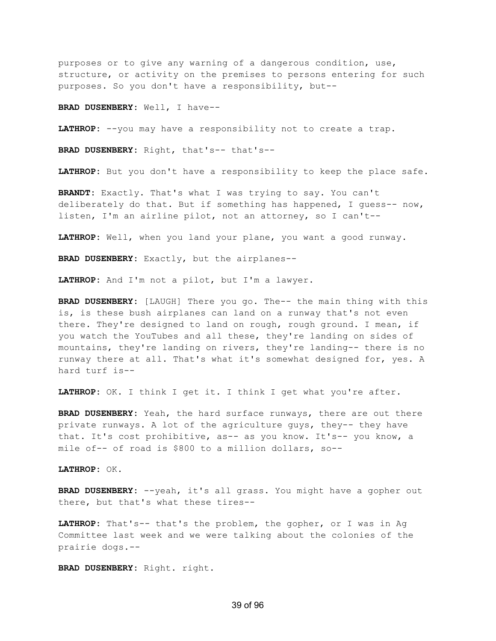purposes or to give any warning of a dangerous condition, use, structure, or activity on the premises to persons entering for such purposes. So you don't have a responsibility, but--

**BRAD DUSENBERY:** Well, I have--

**LATHROP:** --you may have a responsibility not to create a trap.

**BRAD DUSENBERY:** Right, that's-- that's--

**LATHROP:** But you don't have a responsibility to keep the place safe.

**BRANDT:** Exactly. That's what I was trying to say. You can't deliberately do that. But if something has happened, I guess-- now, listen, I'm an airline pilot, not an attorney, so I can't--

**LATHROP:** Well, when you land your plane, you want a good runway.

**BRAD DUSENBERY:** Exactly, but the airplanes--

**LATHROP:** And I'm not a pilot, but I'm a lawyer.

**BRAD DUSENBERY:** [LAUGH] There you go. The-- the main thing with this is, is these bush airplanes can land on a runway that's not even there. They're designed to land on rough, rough ground. I mean, if you watch the YouTubes and all these, they're landing on sides of mountains, they're landing on rivers, they're landing-- there is no runway there at all. That's what it's somewhat designed for, yes. A hard turf is--

**LATHROP:** OK. I think I get it. I think I get what you're after.

**BRAD DUSENBERY:** Yeah, the hard surface runways, there are out there private runways. A lot of the agriculture guys, they-- they have that. It's cost prohibitive, as-- as you know. It's-- you know, a mile of-- of road is \$800 to a million dollars, so--

**LATHROP:** OK.

**BRAD DUSENBERY:** --yeah, it's all grass. You might have a gopher out there, but that's what these tires--

**LATHROP:** That's-- that's the problem, the gopher, or I was in Ag Committee last week and we were talking about the colonies of the prairie dogs.--

**BRAD DUSENBERY:** Right. right.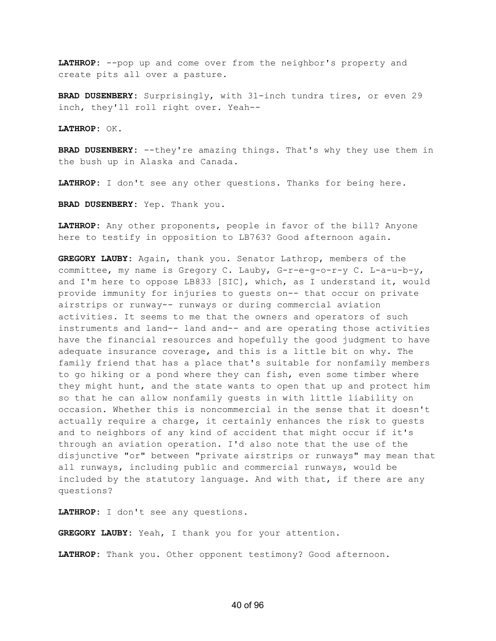**LATHROP:** --pop up and come over from the neighbor's property and create pits all over a pasture.

**BRAD DUSENBERY:** Surprisingly, with 31-inch tundra tires, or even 29 inch, they'll roll right over. Yeah--

**LATHROP:** OK.

**BRAD DUSENBERY:** --they're amazing things. That's why they use them in the bush up in Alaska and Canada.

**LATHROP:** I don't see any other questions. Thanks for being here.

**BRAD DUSENBERY:** Yep. Thank you.

**LATHROP:** Any other proponents, people in favor of the bill? Anyone here to testify in opposition to LB763? Good afternoon again.

**GREGORY LAUBY:** Again, thank you. Senator Lathrop, members of the committee, my name is Gregory C. Lauby, G-r-e-g-o-r-y C. L-a-u-b-y, and I'm here to oppose LB833 [SIC], which, as I understand it, would provide immunity for injuries to guests on-- that occur on private airstrips or runway-- runways or during commercial aviation activities. It seems to me that the owners and operators of such instruments and land-- land and-- and are operating those activities have the financial resources and hopefully the good judgment to have adequate insurance coverage, and this is a little bit on why. The family friend that has a place that's suitable for nonfamily members to go hiking or a pond where they can fish, even some timber where they might hunt, and the state wants to open that up and protect him so that he can allow nonfamily guests in with little liability on occasion. Whether this is noncommercial in the sense that it doesn't actually require a charge, it certainly enhances the risk to guests and to neighbors of any kind of accident that might occur if it's through an aviation operation. I'd also note that the use of the disjunctive "or" between "private airstrips or runways" may mean that all runways, including public and commercial runways, would be included by the statutory language. And with that, if there are any questions?

**LATHROP:** I don't see any questions.

**GREGORY LAUBY:** Yeah, I thank you for your attention.

**LATHROP:** Thank you. Other opponent testimony? Good afternoon.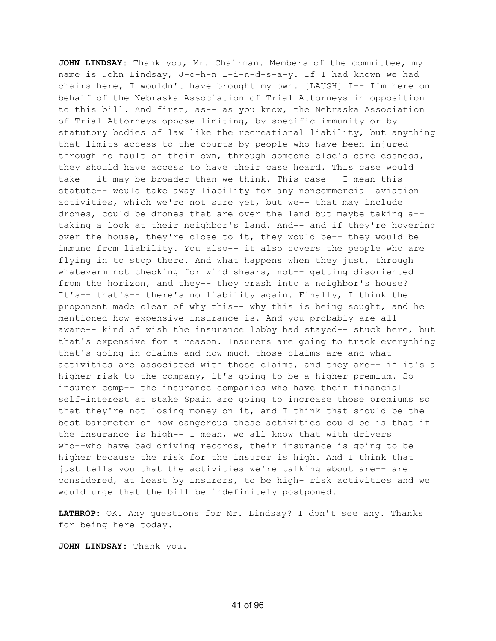**JOHN LINDSAY:** Thank you, Mr. Chairman. Members of the committee, my name is John Lindsay, J-o-h-n L-i-n-d-s-a-y. If I had known we had chairs here, I wouldn't have brought my own. [LAUGH] I-- I'm here on behalf of the Nebraska Association of Trial Attorneys in opposition to this bill. And first, as-- as you know, the Nebraska Association of Trial Attorneys oppose limiting, by specific immunity or by statutory bodies of law like the recreational liability, but anything that limits access to the courts by people who have been injured through no fault of their own, through someone else's carelessness, they should have access to have their case heard. This case would take-- it may be broader than we think. This case-- I mean this statute-- would take away liability for any noncommercial aviation activities, which we're not sure yet, but we-- that may include drones, could be drones that are over the land but maybe taking a- taking a look at their neighbor's land. And-- and if they're hovering over the house, they're close to it, they would be-- they would be immune from liability. You also-- it also covers the people who are flying in to stop there. And what happens when they just, through whateverm not checking for wind shears, not-- getting disoriented from the horizon, and they-- they crash into a neighbor's house? It's-- that's-- there's no liability again. Finally, I think the proponent made clear of why this-- why this is being sought, and he mentioned how expensive insurance is. And you probably are all aware-- kind of wish the insurance lobby had stayed-- stuck here, but that's expensive for a reason. Insurers are going to track everything that's going in claims and how much those claims are and what activities are associated with those claims, and they are-- if it's a higher risk to the company, it's going to be a higher premium. So insurer comp-- the insurance companies who have their financial self-interest at stake Spain are going to increase those premiums so that they're not losing money on it, and I think that should be the best barometer of how dangerous these activities could be is that if the insurance is high-- I mean, we all know that with drivers who--who have bad driving records, their insurance is going to be higher because the risk for the insurer is high. And I think that just tells you that the activities we're talking about are-- are considered, at least by insurers, to be high- risk activities and we would urge that the bill be indefinitely postponed.

**LATHROP:** OK. Any questions for Mr. Lindsay? I don't see any. Thanks for being here today.

**JOHN LINDSAY:** Thank you.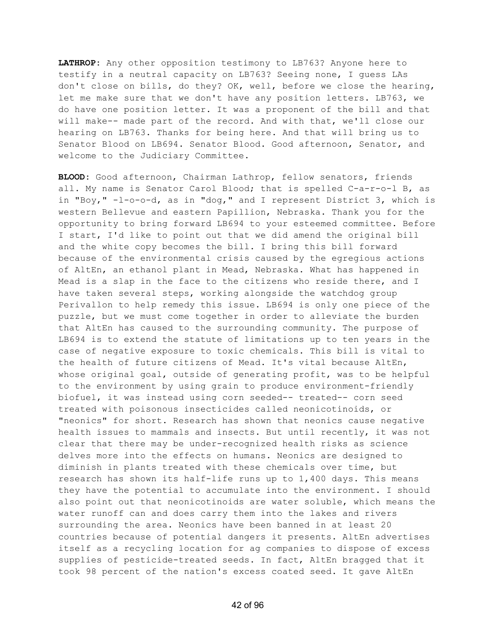**LATHROP:** Any other opposition testimony to LB763? Anyone here to testify in a neutral capacity on LB763? Seeing none, I guess LAs don't close on bills, do they? OK, well, before we close the hearing, let me make sure that we don't have any position letters. LB763, we do have one position letter. It was a proponent of the bill and that will make-- made part of the record. And with that, we'll close our hearing on LB763. Thanks for being here. And that will bring us to Senator Blood on LB694. Senator Blood. Good afternoon, Senator, and welcome to the Judiciary Committee.

**BLOOD:** Good afternoon, Chairman Lathrop, fellow senators, friends all. My name is Senator Carol Blood; that is spelled C-a-r-o-l B, as in "Boy," -l-o-o-d, as in "dog," and I represent District 3, which is western Bellevue and eastern Papillion, Nebraska. Thank you for the opportunity to bring forward LB694 to your esteemed committee. Before I start, I'd like to point out that we did amend the original bill and the white copy becomes the bill. I bring this bill forward because of the environmental crisis caused by the egregious actions of AltEn, an ethanol plant in Mead, Nebraska. What has happened in Mead is a slap in the face to the citizens who reside there, and I have taken several steps, working alongside the watchdog group Perivallon to help remedy this issue. LB694 is only one piece of the puzzle, but we must come together in order to alleviate the burden that AltEn has caused to the surrounding community. The purpose of LB694 is to extend the statute of limitations up to ten years in the case of negative exposure to toxic chemicals. This bill is vital to the health of future citizens of Mead. It's vital because AltEn, whose original goal, outside of generating profit, was to be helpful to the environment by using grain to produce environment-friendly biofuel, it was instead using corn seeded-- treated-- corn seed treated with poisonous insecticides called neonicotinoids, or "neonics" for short. Research has shown that neonics cause negative health issues to mammals and insects. But until recently, it was not clear that there may be under-recognized health risks as science delves more into the effects on humans. Neonics are designed to diminish in plants treated with these chemicals over time, but research has shown its half-life runs up to 1,400 days. This means they have the potential to accumulate into the environment. I should also point out that neonicotinoids are water soluble, which means the water runoff can and does carry them into the lakes and rivers surrounding the area. Neonics have been banned in at least 20 countries because of potential dangers it presents. AltEn advertises itself as a recycling location for ag companies to dispose of excess supplies of pesticide-treated seeds. In fact, AltEn bragged that it took 98 percent of the nation's excess coated seed. It gave AltEn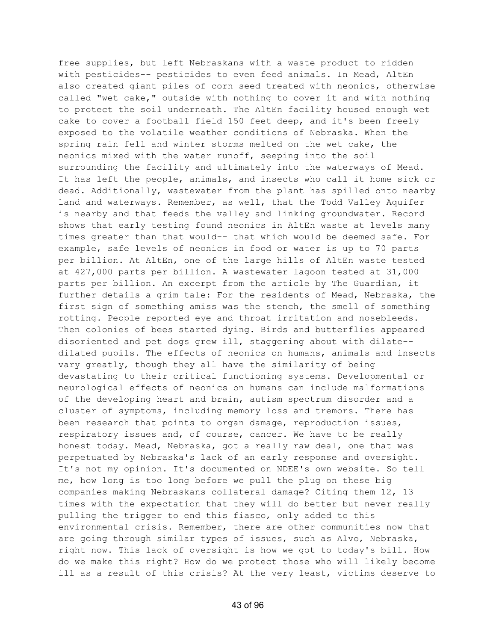free supplies, but left Nebraskans with a waste product to ridden with pesticides-- pesticides to even feed animals. In Mead, AltEn also created giant piles of corn seed treated with neonics, otherwise called "wet cake," outside with nothing to cover it and with nothing to protect the soil underneath. The AltEn facility housed enough wet cake to cover a football field 150 feet deep, and it's been freely exposed to the volatile weather conditions of Nebraska. When the spring rain fell and winter storms melted on the wet cake, the neonics mixed with the water runoff, seeping into the soil surrounding the facility and ultimately into the waterways of Mead. It has left the people, animals, and insects who call it home sick or dead. Additionally, wastewater from the plant has spilled onto nearby land and waterways. Remember, as well, that the Todd Valley Aquifer is nearby and that feeds the valley and linking groundwater. Record shows that early testing found neonics in AltEn waste at levels many times greater than that would-- that which would be deemed safe. For example, safe levels of neonics in food or water is up to 70 parts per billion. At AltEn, one of the large hills of AltEn waste tested at 427,000 parts per billion. A wastewater lagoon tested at 31,000 parts per billion. An excerpt from the article by The Guardian, it further details a grim tale: For the residents of Mead, Nebraska, the first sign of something amiss was the stench, the smell of something rotting. People reported eye and throat irritation and nosebleeds. Then colonies of bees started dying. Birds and butterflies appeared disoriented and pet dogs grew ill, staggering about with dilate- dilated pupils. The effects of neonics on humans, animals and insects vary greatly, though they all have the similarity of being devastating to their critical functioning systems. Developmental or neurological effects of neonics on humans can include malformations of the developing heart and brain, autism spectrum disorder and a cluster of symptoms, including memory loss and tremors. There has been research that points to organ damage, reproduction issues, respiratory issues and, of course, cancer. We have to be really honest today. Mead, Nebraska, got a really raw deal, one that was perpetuated by Nebraska's lack of an early response and oversight. It's not my opinion. It's documented on NDEE's own website. So tell me, how long is too long before we pull the plug on these big companies making Nebraskans collateral damage? Citing them 12, 13 times with the expectation that they will do better but never really pulling the trigger to end this fiasco, only added to this environmental crisis. Remember, there are other communities now that are going through similar types of issues, such as Alvo, Nebraska, right now. This lack of oversight is how we got to today's bill. How do we make this right? How do we protect those who will likely become ill as a result of this crisis? At the very least, victims deserve to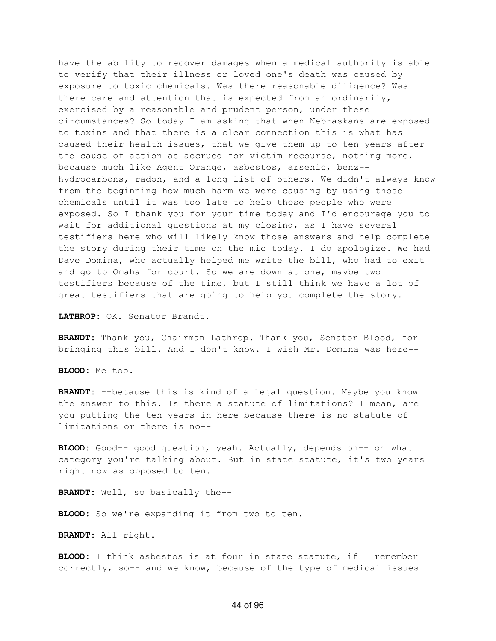have the ability to recover damages when a medical authority is able to verify that their illness or loved one's death was caused by exposure to toxic chemicals. Was there reasonable diligence? Was there care and attention that is expected from an ordinarily, exercised by a reasonable and prudent person, under these circumstances? So today I am asking that when Nebraskans are exposed to toxins and that there is a clear connection this is what has caused their health issues, that we give them up to ten years after the cause of action as accrued for victim recourse, nothing more, because much like Agent Orange, asbestos, arsenic, benz– hydrocarbons, radon, and a long list of others. We didn't always know from the beginning how much harm we were causing by using those chemicals until it was too late to help those people who were exposed. So I thank you for your time today and I'd encourage you to wait for additional questions at my closing, as I have several testifiers here who will likely know those answers and help complete the story during their time on the mic today. I do apologize. We had Dave Domina, who actually helped me write the bill, who had to exit and go to Omaha for court. So we are down at one, maybe two testifiers because of the time, but I still think we have a lot of great testifiers that are going to help you complete the story.

**LATHROP:** OK. Senator Brandt.

**BRANDT:** Thank you, Chairman Lathrop. Thank you, Senator Blood, for bringing this bill. And I don't know. I wish Mr. Domina was here--

**BLOOD:** Me too.

**BRANDT:** --because this is kind of a legal question. Maybe you know the answer to this. Is there a statute of limitations? I mean, are you putting the ten years in here because there is no statute of limitations or there is no--

**BLOOD:** Good-- good question, yeah. Actually, depends on-- on what category you're talking about. But in state statute, it's two years right now as opposed to ten.

**BRANDT:** Well, so basically the--

**BLOOD:** So we're expanding it from two to ten.

**BRANDT:** All right.

**BLOOD:** I think asbestos is at four in state statute, if I remember correctly, so-- and we know, because of the type of medical issues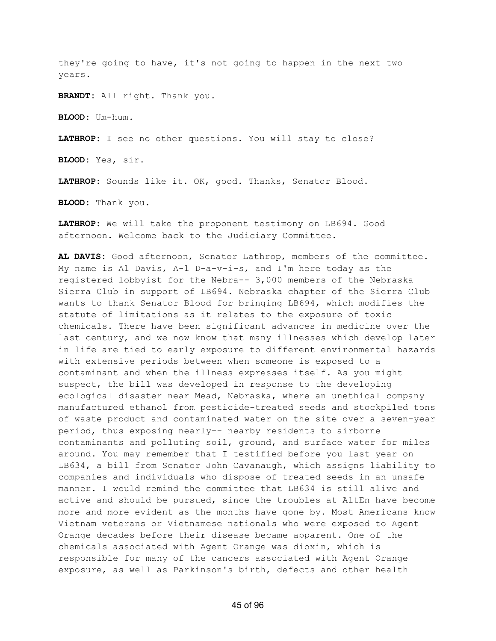they're going to have, it's not going to happen in the next two years.

**BRANDT:** All right. Thank you.

**BLOOD:** Um-hum.

**LATHROP:** I see no other questions. You will stay to close?

**BLOOD:** Yes, sir.

**LATHROP:** Sounds like it. OK, good. Thanks, Senator Blood.

**BLOOD:** Thank you.

**LATHROP:** We will take the proponent testimony on LB694. Good afternoon. Welcome back to the Judiciary Committee.

**AL DAVIS:** Good afternoon, Senator Lathrop, members of the committee. My name is Al Davis, A-l D-a-v-i-s, and I'm here today as the registered lobbyist for the Nebra-- 3,000 members of the Nebraska Sierra Club in support of LB694. Nebraska chapter of the Sierra Club wants to thank Senator Blood for bringing LB694, which modifies the statute of limitations as it relates to the exposure of toxic chemicals. There have been significant advances in medicine over the last century, and we now know that many illnesses which develop later in life are tied to early exposure to different environmental hazards with extensive periods between when someone is exposed to a contaminant and when the illness expresses itself. As you might suspect, the bill was developed in response to the developing ecological disaster near Mead, Nebraska, where an unethical company manufactured ethanol from pesticide-treated seeds and stockpiled tons of waste product and contaminated water on the site over a seven-year period, thus exposing nearly-- nearby residents to airborne contaminants and polluting soil, ground, and surface water for miles around. You may remember that I testified before you last year on LB634, a bill from Senator John Cavanaugh, which assigns liability to companies and individuals who dispose of treated seeds in an unsafe manner. I would remind the committee that LB634 is still alive and active and should be pursued, since the troubles at AltEn have become more and more evident as the months have gone by. Most Americans know Vietnam veterans or Vietnamese nationals who were exposed to Agent Orange decades before their disease became apparent. One of the chemicals associated with Agent Orange was dioxin, which is responsible for many of the cancers associated with Agent Orange exposure, as well as Parkinson's birth, defects and other health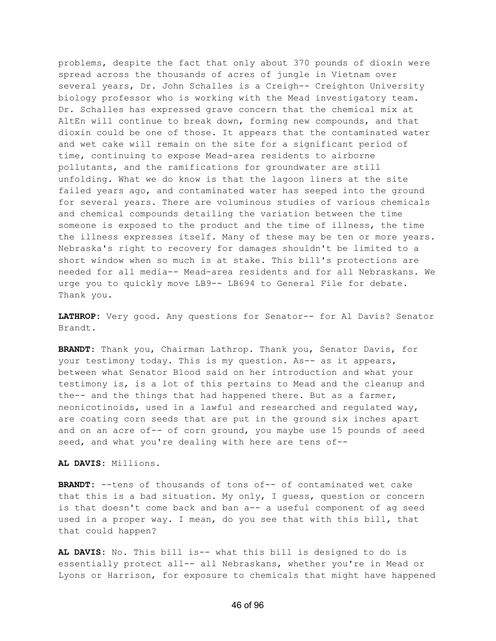problems, despite the fact that only about 370 pounds of dioxin were spread across the thousands of acres of jungle in Vietnam over several years, Dr. John Schalles is a Creigh-- Creighton University biology professor who is working with the Mead investigatory team. Dr. Schalles has expressed grave concern that the chemical mix at AltEn will continue to break down, forming new compounds, and that dioxin could be one of those. It appears that the contaminated water and wet cake will remain on the site for a significant period of time, continuing to expose Mead-area residents to airborne pollutants, and the ramifications for groundwater are still unfolding. What we do know is that the lagoon liners at the site failed years ago, and contaminated water has seeped into the ground for several years. There are voluminous studies of various chemicals and chemical compounds detailing the variation between the time someone is exposed to the product and the time of illness, the time the illness expresses itself. Many of these may be ten or more years. Nebraska's right to recovery for damages shouldn't be limited to a short window when so much is at stake. This bill's protections are needed for all media-- Mead-area residents and for all Nebraskans. We urge you to quickly move LB9-- LB694 to General File for debate. Thank you.

**LATHROP:** Very good. Any questions for Senator-- for Al Davis? Senator Brandt.

**BRANDT:** Thank you, Chairman Lathrop. Thank you, Senator Davis, for your testimony today. This is my question. As-- as it appears, between what Senator Blood said on her introduction and what your testimony is, is a lot of this pertains to Mead and the cleanup and the-- and the things that had happened there. But as a farmer, neonicotinoids, used in a lawful and researched and regulated way, are coating corn seeds that are put in the ground six inches apart and on an acre of-- of corn ground, you maybe use 15 pounds of seed seed, and what you're dealing with here are tens of--

**AL DAVIS:** Millions.

**BRANDT:** --tens of thousands of tons of-- of contaminated wet cake that this is a bad situation. My only, I guess, question or concern is that doesn't come back and ban a-- a useful component of ag seed used in a proper way. I mean, do you see that with this bill, that that could happen?

**AL DAVIS:** No. This bill is-- what this bill is designed to do is essentially protect all-- all Nebraskans, whether you're in Mead or Lyons or Harrison, for exposure to chemicals that might have happened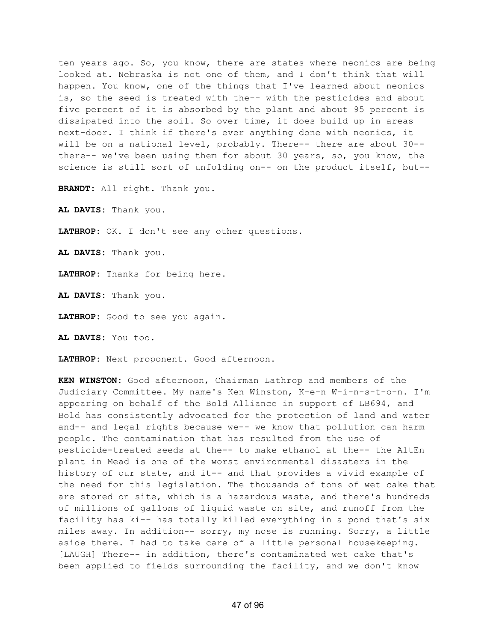ten years ago. So, you know, there are states where neonics are being looked at. Nebraska is not one of them, and I don't think that will happen. You know, one of the things that I've learned about neonics is, so the seed is treated with the-- with the pesticides and about five percent of it is absorbed by the plant and about 95 percent is dissipated into the soil. So over time, it does build up in areas next-door. I think if there's ever anything done with neonics, it will be on a national level, probably. There-- there are about 30- there-- we've been using them for about 30 years, so, you know, the science is still sort of unfolding on-- on the product itself, but--

**BRANDT:** All right. Thank you.

**AL DAVIS:** Thank you.

**LATHROP:** OK. I don't see any other questions.

**AL DAVIS:** Thank you.

**LATHROP:** Thanks for being here.

**AL DAVIS:** Thank you.

**LATHROP:** Good to see you again.

**AL DAVIS:** You too.

**LATHROP:** Next proponent. Good afternoon.

**KEN WINSTON:** Good afternoon, Chairman Lathrop and members of the Judiciary Committee. My name's Ken Winston, K-e-n W-i-n-s-t-o-n. I'm appearing on behalf of the Bold Alliance in support of LB694, and Bold has consistently advocated for the protection of land and water and-- and legal rights because we-- we know that pollution can harm people. The contamination that has resulted from the use of pesticide-treated seeds at the-- to make ethanol at the-- the AltEn plant in Mead is one of the worst environmental disasters in the history of our state, and it-- and that provides a vivid example of the need for this legislation. The thousands of tons of wet cake that are stored on site, which is a hazardous waste, and there's hundreds of millions of gallons of liquid waste on site, and runoff from the facility has ki-- has totally killed everything in a pond that's six miles away. In addition-- sorry, my nose is running. Sorry, a little aside there. I had to take care of a little personal housekeeping. [LAUGH] There-- in addition, there's contaminated wet cake that's been applied to fields surrounding the facility, and we don't know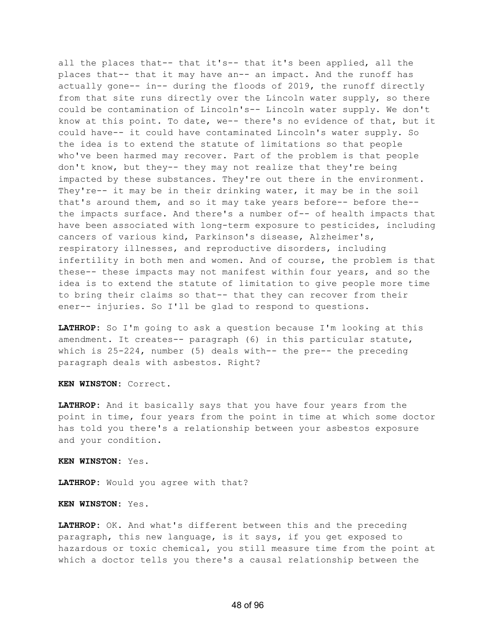all the places that-- that it's-- that it's been applied, all the places that-- that it may have an-- an impact. And the runoff has actually gone-- in-- during the floods of 2019, the runoff directly from that site runs directly over the Lincoln water supply, so there could be contamination of Lincoln's-- Lincoln water supply. We don't know at this point. To date, we-- there's no evidence of that, but it could have-- it could have contaminated Lincoln's water supply. So the idea is to extend the statute of limitations so that people who've been harmed may recover. Part of the problem is that people don't know, but they-- they may not realize that they're being impacted by these substances. They're out there in the environment. They're-- it may be in their drinking water, it may be in the soil that's around them, and so it may take years before-- before the- the impacts surface. And there's a number of-- of health impacts that have been associated with long-term exposure to pesticides, including cancers of various kind, Parkinson's disease, Alzheimer's, respiratory illnesses, and reproductive disorders, including infertility in both men and women. And of course, the problem is that these-- these impacts may not manifest within four years, and so the idea is to extend the statute of limitation to give people more time to bring their claims so that-- that they can recover from their ener-- injuries. So I'll be glad to respond to questions.

**LATHROP:** So I'm going to ask a question because I'm looking at this amendment. It creates-- paragraph (6) in this particular statute, which is 25-224, number (5) deals with-- the pre-- the preceding paragraph deals with asbestos. Right?

**KEN WINSTON:** Correct.

**LATHROP:** And it basically says that you have four years from the point in time, four years from the point in time at which some doctor has told you there's a relationship between your asbestos exposure and your condition.

**KEN WINSTON:** Yes.

**LATHROP:** Would you agree with that?

**KEN WINSTON:** Yes.

**LATHROP:** OK. And what's different between this and the preceding paragraph, this new language, is it says, if you get exposed to hazardous or toxic chemical, you still measure time from the point at which a doctor tells you there's a causal relationship between the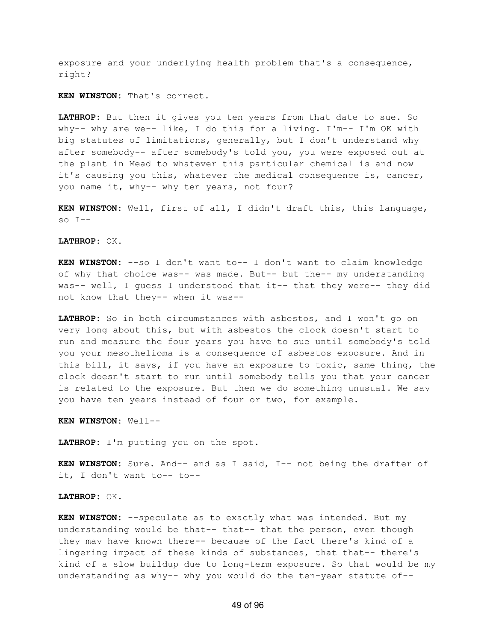exposure and your underlying health problem that's a consequence, right?

**KEN WINSTON:** That's correct.

**LATHROP:** But then it gives you ten years from that date to sue. So why-- why are we-- like, I do this for a living. I'm-- I'm OK with big statutes of limitations, generally, but I don't understand why after somebody-- after somebody's told you, you were exposed out at the plant in Mead to whatever this particular chemical is and now it's causing you this, whatever the medical consequence is, cancer, you name it, why-- why ten years, not four?

**KEN WINSTON:** Well, first of all, I didn't draft this, this language, so  $I--$ 

**LATHROP:** OK.

**KEN WINSTON:** --so I don't want to-- I don't want to claim knowledge of why that choice was-- was made. But-- but the-- my understanding was-- well, I guess I understood that it-- that they were-- they did not know that they-- when it was--

**LATHROP:** So in both circumstances with asbestos, and I won't go on very long about this, but with asbestos the clock doesn't start to run and measure the four years you have to sue until somebody's told you your mesothelioma is a consequence of asbestos exposure. And in this bill, it says, if you have an exposure to toxic, same thing, the clock doesn't start to run until somebody tells you that your cancer is related to the exposure. But then we do something unusual. We say you have ten years instead of four or two, for example.

**KEN WINSTON:** Well--

**LATHROP:** I'm putting you on the spot.

**KEN WINSTON:** Sure. And-- and as I said, I-- not being the drafter of it, I don't want to-- to--

**LATHROP:** OK.

**KEN WINSTON:** --speculate as to exactly what was intended. But my understanding would be that-- that-- that the person, even though they may have known there-- because of the fact there's kind of a lingering impact of these kinds of substances, that that-- there's kind of a slow buildup due to long-term exposure. So that would be my understanding as why-- why you would do the ten-year statute of--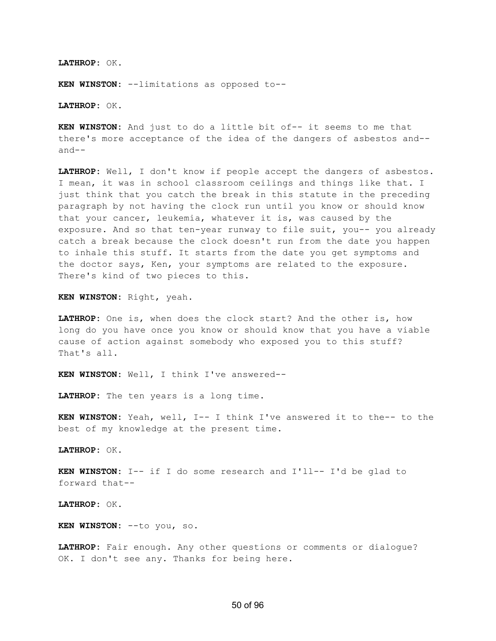**LATHROP:** OK.

**KEN WINSTON:** --limitations as opposed to--

**LATHROP:** OK.

**KEN WINSTON:** And just to do a little bit of-- it seems to me that there's more acceptance of the idea of the dangers of asbestos and- and--

**LATHROP:** Well, I don't know if people accept the dangers of asbestos. I mean, it was in school classroom ceilings and things like that. I just think that you catch the break in this statute in the preceding paragraph by not having the clock run until you know or should know that your cancer, leukemia, whatever it is, was caused by the exposure. And so that ten-year runway to file suit, you-- you already catch a break because the clock doesn't run from the date you happen to inhale this stuff. It starts from the date you get symptoms and the doctor says, Ken, your symptoms are related to the exposure. There's kind of two pieces to this.

**KEN WINSTON:** Right, yeah.

**LATHROP:** One is, when does the clock start? And the other is, how long do you have once you know or should know that you have a viable cause of action against somebody who exposed you to this stuff? That's all.

**KEN WINSTON:** Well, I think I've answered--

**LATHROP:** The ten years is a long time.

**KEN WINSTON:** Yeah, well, I-- I think I've answered it to the-- to the best of my knowledge at the present time.

**LATHROP:** OK.

**KEN WINSTON:** I-- if I do some research and I'll-- I'd be glad to forward that--

**LATHROP:** OK.

**KEN WINSTON:** --to you, so.

**LATHROP:** Fair enough. Any other questions or comments or dialogue? OK. I don't see any. Thanks for being here.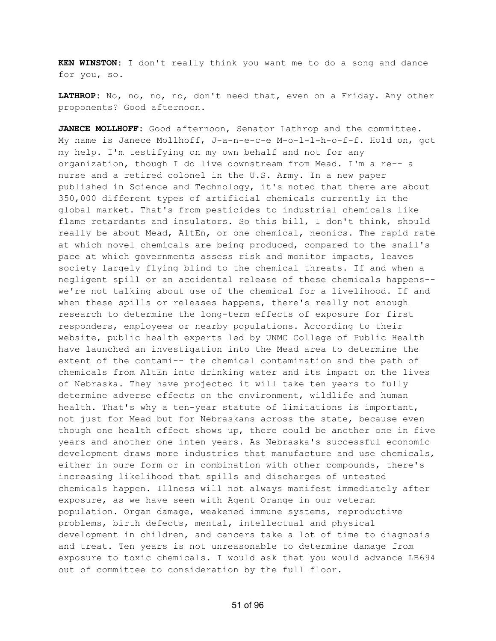**KEN WINSTON:** I don't really think you want me to do a song and dance for you, so.

**LATHROP:** No, no, no, no, don't need that, even on a Friday. Any other proponents? Good afternoon.

**JANECE MOLLHOFF:** Good afternoon, Senator Lathrop and the committee. My name is Janece Mollhoff, J-a-n-e-c-e M-o-l-l-h-o-f-f. Hold on, got my help. I'm testifying on my own behalf and not for any organization, though I do live downstream from Mead. I'm a re-- a nurse and a retired colonel in the U.S. Army. In a new paper published in Science and Technology, it's noted that there are about 350,000 different types of artificial chemicals currently in the global market. That's from pesticides to industrial chemicals like flame retardants and insulators. So this bill, I don't think, should really be about Mead, AltEn, or one chemical, neonics. The rapid rate at which novel chemicals are being produced, compared to the snail's pace at which governments assess risk and monitor impacts, leaves society largely flying blind to the chemical threats. If and when a negligent spill or an accidental release of these chemicals happens- we're not talking about use of the chemical for a livelihood. If and when these spills or releases happens, there's really not enough research to determine the long-term effects of exposure for first responders, employees or nearby populations. According to their website, public health experts led by UNMC College of Public Health have launched an investigation into the Mead area to determine the extent of the contami-- the chemical contamination and the path of chemicals from AltEn into drinking water and its impact on the lives of Nebraska. They have projected it will take ten years to fully determine adverse effects on the environment, wildlife and human health. That's why a ten-year statute of limitations is important, not just for Mead but for Nebraskans across the state, because even though one health effect shows up, there could be another one in five years and another one inten years. As Nebraska's successful economic development draws more industries that manufacture and use chemicals, either in pure form or in combination with other compounds, there's increasing likelihood that spills and discharges of untested chemicals happen. Illness will not always manifest immediately after exposure, as we have seen with Agent Orange in our veteran population. Organ damage, weakened immune systems, reproductive problems, birth defects, mental, intellectual and physical development in children, and cancers take a lot of time to diagnosis and treat. Ten years is not unreasonable to determine damage from exposure to toxic chemicals. I would ask that you would advance LB694 out of committee to consideration by the full floor.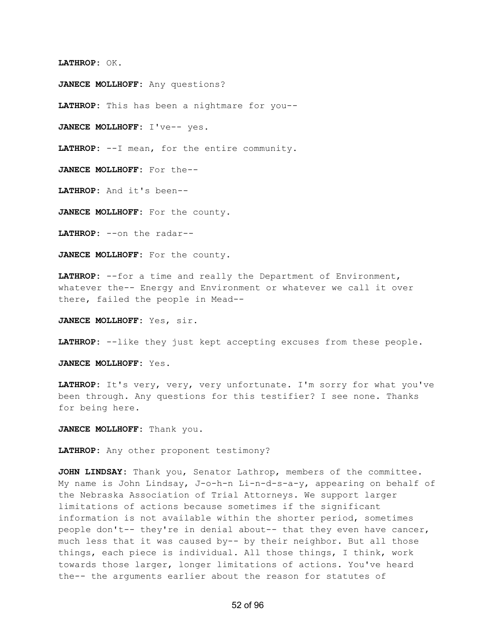## **LATHROP:** OK.

**JANECE MOLLHOFF:** Any questions?

**LATHROP:** This has been a nightmare for you--

**JANECE MOLLHOFF:** I've-- yes.

**LATHROP:** --I mean, for the entire community.

**JANECE MOLLHOFF:** For the--

**LATHROP:** And it's been--

**JANECE MOLLHOFF:** For the county.

**LATHROP:** --on the radar--

**JANECE MOLLHOFF:** For the county.

**LATHROP:** --for a time and really the Department of Environment, whatever the-- Energy and Environment or whatever we call it over there, failed the people in Mead--

**JANECE MOLLHOFF:** Yes, sir.

**LATHROP:** --like they just kept accepting excuses from these people.

**JANECE MOLLHOFF:** Yes.

**LATHROP:** It's very, very, very unfortunate. I'm sorry for what you've been through. Any questions for this testifier? I see none. Thanks for being here.

**JANECE MOLLHOFF:** Thank you.

**LATHROP:** Any other proponent testimony?

**JOHN LINDSAY:** Thank you, Senator Lathrop, members of the committee. My name is John Lindsay, J-o-h-n Li-n-d-s-a-y, appearing on behalf of the Nebraska Association of Trial Attorneys. We support larger limitations of actions because sometimes if the significant information is not available within the shorter period, sometimes people don't-- they're in denial about-- that they even have cancer, much less that it was caused by-- by their neighbor. But all those things, each piece is individual. All those things, I think, work towards those larger, longer limitations of actions. You've heard the-- the arguments earlier about the reason for statutes of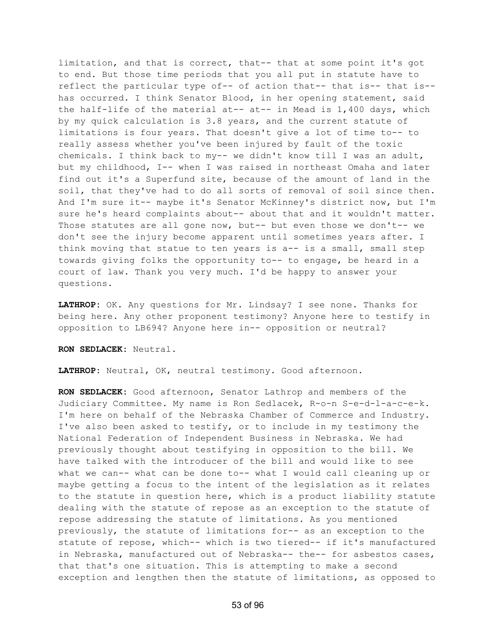limitation, and that is correct, that-- that at some point it's got to end. But those time periods that you all put in statute have to reflect the particular type of-- of action that-- that is-- that is- has occurred. I think Senator Blood, in her opening statement, said the half-life of the material at-- at-- in Mead is 1,400 days, which by my quick calculation is 3.8 years, and the current statute of limitations is four years. That doesn't give a lot of time to-- to really assess whether you've been injured by fault of the toxic chemicals. I think back to my-- we didn't know till I was an adult, but my childhood, I-- when I was raised in northeast Omaha and later find out it's a Superfund site, because of the amount of land in the soil, that they've had to do all sorts of removal of soil since then. And I'm sure it-- maybe it's Senator McKinney's district now, but I'm sure he's heard complaints about-- about that and it wouldn't matter. Those statutes are all gone now, but-- but even those we don't-- we don't see the injury become apparent until sometimes years after. I think moving that statue to ten years is  $a--$  is a small, small step towards giving folks the opportunity to-- to engage, be heard in a court of law. Thank you very much. I'd be happy to answer your questions.

**LATHROP:** OK. Any questions for Mr. Lindsay? I see none. Thanks for being here. Any other proponent testimony? Anyone here to testify in opposition to LB694? Anyone here in-- opposition or neutral?

**RON SEDLACEK:** Neutral.

**LATHROP:** Neutral, OK, neutral testimony. Good afternoon.

**RON SEDLACEK:** Good afternoon, Senator Lathrop and members of the Judiciary Committee. My name is Ron Sedlacek, R-o-n S-e-d-l-a-c-e-k. I'm here on behalf of the Nebraska Chamber of Commerce and Industry. I've also been asked to testify, or to include in my testimony the National Federation of Independent Business in Nebraska. We had previously thought about testifying in opposition to the bill. We have talked with the introducer of the bill and would like to see what we can-- what can be done to-- what I would call cleaning up or maybe getting a focus to the intent of the legislation as it relates to the statute in question here, which is a product liability statute dealing with the statute of repose as an exception to the statute of repose addressing the statute of limitations. As you mentioned previously, the statute of limitations for-- as an exception to the statute of repose, which-- which is two tiered-- if it's manufactured in Nebraska, manufactured out of Nebraska-- the-- for asbestos cases, that that's one situation. This is attempting to make a second exception and lengthen then the statute of limitations, as opposed to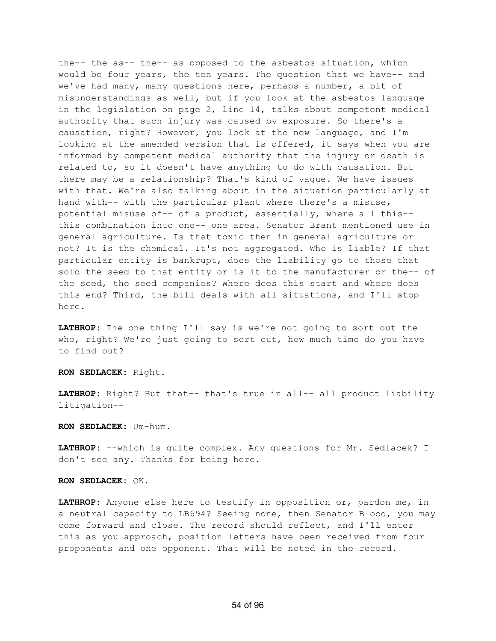the-- the as-- the-- as opposed to the asbestos situation, which would be four years, the ten years. The question that we have-- and we've had many, many questions here, perhaps a number, a bit of misunderstandings as well, but if you look at the asbestos language in the legislation on page 2, line 14, talks about competent medical authority that such injury was caused by exposure. So there's a causation, right? However, you look at the new language, and I'm looking at the amended version that is offered, it says when you are informed by competent medical authority that the injury or death is related to, so it doesn't have anything to do with causation. But there may be a relationship? That's kind of vague. We have issues with that. We're also talking about in the situation particularly at hand with-- with the particular plant where there's a misuse, potential misuse of-- of a product, essentially, where all this- this combination into one-- one area. Senator Brant mentioned use in general agriculture. Is that toxic then in general agriculture or not? It is the chemical. It's not aggregated. Who is liable? If that particular entity is bankrupt, does the liability go to those that sold the seed to that entity or is it to the manufacturer or the-- of the seed, the seed companies? Where does this start and where does this end? Third, the bill deals with all situations, and I'll stop here.

**LATHROP:** The one thing I'll say is we're not going to sort out the who, right? We're just going to sort out, how much time do you have to find out?

**RON SEDLACEK:** Right.

**LATHROP:** Right? But that-- that's true in all-- all product liability litigation--

**RON SEDLACEK:** Um-hum.

**LATHROP:** --which is quite complex. Any questions for Mr. Sedlacek? I don't see any. Thanks for being here.

## **RON SEDLACEK:** OK.

**LATHROP:** Anyone else here to testify in opposition or, pardon me, in a neutral capacity to LB694? Seeing none, then Senator Blood, you may come forward and close. The record should reflect, and I'll enter this as you approach, position letters have been received from four proponents and one opponent. That will be noted in the record.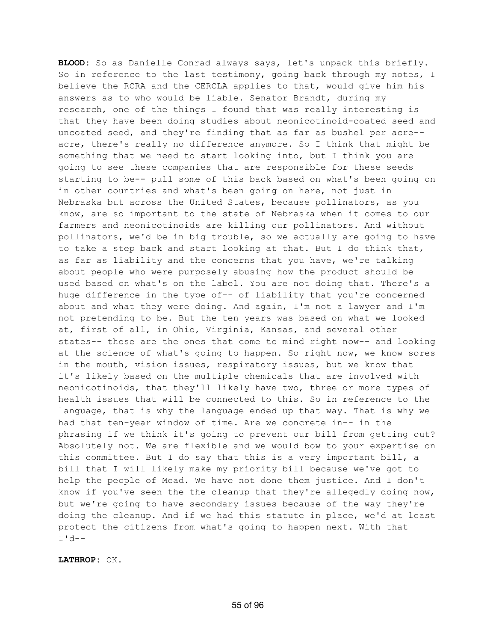**BLOOD:** So as Danielle Conrad always says, let's unpack this briefly. So in reference to the last testimony, going back through my notes, I believe the RCRA and the CERCLA applies to that, would give him his answers as to who would be liable. Senator Brandt, during my research, one of the things I found that was really interesting is that they have been doing studies about neonicotinoid-coated seed and uncoated seed, and they're finding that as far as bushel per acre- acre, there's really no difference anymore. So I think that might be something that we need to start looking into, but I think you are going to see these companies that are responsible for these seeds starting to be-- pull some of this back based on what's been going on in other countries and what's been going on here, not just in Nebraska but across the United States, because pollinators, as you know, are so important to the state of Nebraska when it comes to our farmers and neonicotinoids are killing our pollinators. And without pollinators, we'd be in big trouble, so we actually are going to have to take a step back and start looking at that. But I do think that, as far as liability and the concerns that you have, we're talking about people who were purposely abusing how the product should be used based on what's on the label. You are not doing that. There's a huge difference in the type of-- of liability that you're concerned about and what they were doing. And again, I'm not a lawyer and I'm not pretending to be. But the ten years was based on what we looked at, first of all, in Ohio, Virginia, Kansas, and several other states-- those are the ones that come to mind right now-- and looking at the science of what's going to happen. So right now, we know sores in the mouth, vision issues, respiratory issues, but we know that it's likely based on the multiple chemicals that are involved with neonicotinoids, that they'll likely have two, three or more types of health issues that will be connected to this. So in reference to the language, that is why the language ended up that way. That is why we had that ten-year window of time. Are we concrete in-- in the phrasing if we think it's going to prevent our bill from getting out? Absolutely not. We are flexible and we would bow to your expertise on this committee. But I do say that this is a very important bill, a bill that I will likely make my priority bill because we've got to help the people of Mead. We have not done them justice. And I don't know if you've seen the the cleanup that they're allegedly doing now, but we're going to have secondary issues because of the way they're doing the cleanup. And if we had this statute in place, we'd at least protect the citizens from what's going to happen next. With that I'd--

**LATHROP:** OK.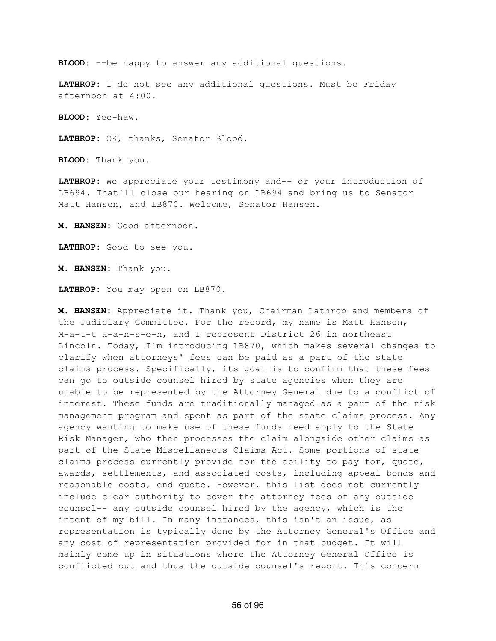**BLOOD:** --be happy to answer any additional questions.

**LATHROP:** I do not see any additional questions. Must be Friday afternoon at 4:00.

**BLOOD:** Yee-haw.

**LATHROP:** OK, thanks, Senator Blood.

**BLOOD:** Thank you.

**LATHROP:** We appreciate your testimony and-- or your introduction of LB694. That'll close our hearing on LB694 and bring us to Senator Matt Hansen, and LB870. Welcome, Senator Hansen.

**M. HANSEN:** Good afternoon.

**LATHROP:** Good to see you.

**M. HANSEN:** Thank you.

**LATHROP:** You may open on LB870.

**M. HANSEN:** Appreciate it. Thank you, Chairman Lathrop and members of the Judiciary Committee. For the record, my name is Matt Hansen, M-a-t-t H-a-n-s-e-n, and I represent District 26 in northeast Lincoln. Today, I'm introducing LB870, which makes several changes to clarify when attorneys' fees can be paid as a part of the state claims process. Specifically, its goal is to confirm that these fees can go to outside counsel hired by state agencies when they are unable to be represented by the Attorney General due to a conflict of interest. These funds are traditionally managed as a part of the risk management program and spent as part of the state claims process. Any agency wanting to make use of these funds need apply to the State Risk Manager, who then processes the claim alongside other claims as part of the State Miscellaneous Claims Act. Some portions of state claims process currently provide for the ability to pay for, quote, awards, settlements, and associated costs, including appeal bonds and reasonable costs, end quote. However, this list does not currently include clear authority to cover the attorney fees of any outside counsel-- any outside counsel hired by the agency, which is the intent of my bill. In many instances, this isn't an issue, as representation is typically done by the Attorney General's Office and any cost of representation provided for in that budget. It will mainly come up in situations where the Attorney General Office is conflicted out and thus the outside counsel's report. This concern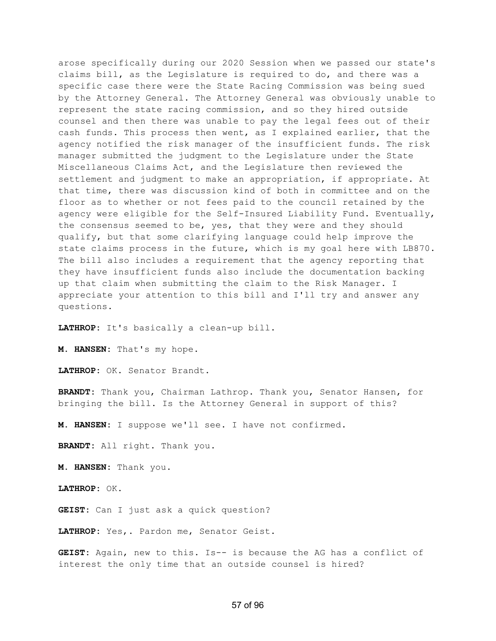arose specifically during our 2020 Session when we passed our state's claims bill, as the Legislature is required to do, and there was a specific case there were the State Racing Commission was being sued by the Attorney General. The Attorney General was obviously unable to represent the state racing commission, and so they hired outside counsel and then there was unable to pay the legal fees out of their cash funds. This process then went, as I explained earlier, that the agency notified the risk manager of the insufficient funds. The risk manager submitted the judgment to the Legislature under the State Miscellaneous Claims Act, and the Legislature then reviewed the settlement and judgment to make an appropriation, if appropriate. At that time, there was discussion kind of both in committee and on the floor as to whether or not fees paid to the council retained by the agency were eligible for the Self-Insured Liability Fund. Eventually, the consensus seemed to be, yes, that they were and they should qualify, but that some clarifying language could help improve the state claims process in the future, which is my goal here with LB870. The bill also includes a requirement that the agency reporting that they have insufficient funds also include the documentation backing up that claim when submitting the claim to the Risk Manager. I appreciate your attention to this bill and I'll try and answer any questions.

**LATHROP:** It's basically a clean-up bill.

**M. HANSEN:** That's my hope.

**LATHROP:** OK. Senator Brandt.

**BRANDT:** Thank you, Chairman Lathrop. Thank you, Senator Hansen, for bringing the bill. Is the Attorney General in support of this?

**M. HANSEN:** I suppose we'll see. I have not confirmed.

**BRANDT:** All right. Thank you.

**M. HANSEN:** Thank you.

**LATHROP:** OK.

**GEIST:** Can I just ask a quick question?

**LATHROP:** Yes,. Pardon me, Senator Geist.

**GEIST:** Again, new to this. Is-- is because the AG has a conflict of interest the only time that an outside counsel is hired?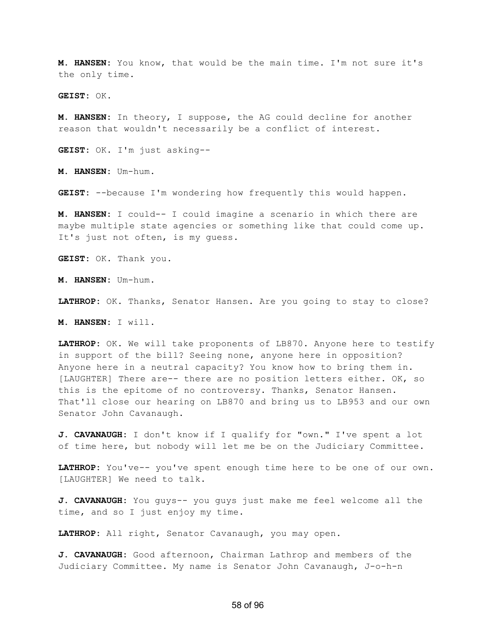**M. HANSEN:** You know, that would be the main time. I'm not sure it's the only time.

**GEIST:** OK.

**M. HANSEN:** In theory, I suppose, the AG could decline for another reason that wouldn't necessarily be a conflict of interest.

**GEIST:** OK. I'm just asking--

**M. HANSEN:** Um-hum.

**GEIST:** --because I'm wondering how frequently this would happen.

**M. HANSEN:** I could-- I could imagine a scenario in which there are maybe multiple state agencies or something like that could come up. It's just not often, is my guess.

**GEIST:** OK. Thank you.

**M. HANSEN:** Um-hum.

**LATHROP:** OK. Thanks, Senator Hansen. Are you going to stay to close?

**M. HANSEN:** I will.

**LATHROP:** OK. We will take proponents of LB870. Anyone here to testify in support of the bill? Seeing none, anyone here in opposition? Anyone here in a neutral capacity? You know how to bring them in. [LAUGHTER] There are-- there are no position letters either. OK, so this is the epitome of no controversy. Thanks, Senator Hansen. That'll close our hearing on LB870 and bring us to LB953 and our own Senator John Cavanaugh.

**J. CAVANAUGH:** I don't know if I qualify for "own." I've spent a lot of time here, but nobody will let me be on the Judiciary Committee.

**LATHROP:** You've-- you've spent enough time here to be one of our own. [LAUGHTER] We need to talk.

**J. CAVANAUGH:** You guys-- you guys just make me feel welcome all the time, and so I just enjoy my time.

**LATHROP:** All right, Senator Cavanaugh, you may open.

**J. CAVANAUGH:** Good afternoon, Chairman Lathrop and members of the Judiciary Committee. My name is Senator John Cavanaugh, J-o-h-n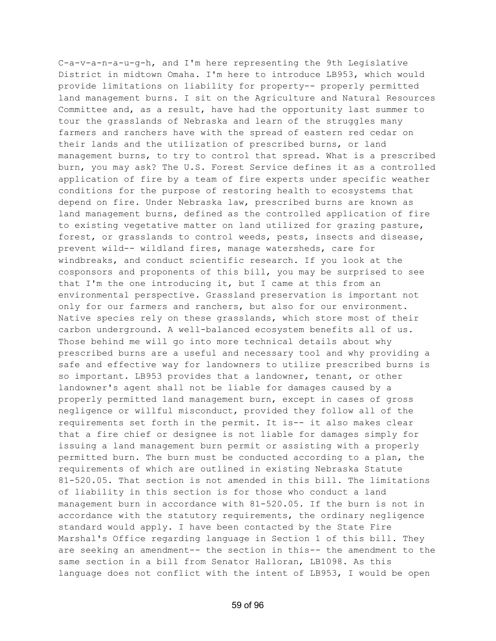C-a-v-a-n-a-u-g-h, and I'm here representing the 9th Legislative District in midtown Omaha. I'm here to introduce LB953, which would provide limitations on liability for property-- properly permitted land management burns. I sit on the Agriculture and Natural Resources Committee and, as a result, have had the opportunity last summer to tour the grasslands of Nebraska and learn of the struggles many farmers and ranchers have with the spread of eastern red cedar on their lands and the utilization of prescribed burns, or land management burns, to try to control that spread. What is a prescribed burn, you may ask? The U.S. Forest Service defines it as a controlled application of fire by a team of fire experts under specific weather conditions for the purpose of restoring health to ecosystems that depend on fire. Under Nebraska law, prescribed burns are known as land management burns, defined as the controlled application of fire to existing vegetative matter on land utilized for grazing pasture, forest, or grasslands to control weeds, pests, insects and disease, prevent wild-- wildland fires, manage watersheds, care for windbreaks, and conduct scientific research. If you look at the cosponsors and proponents of this bill, you may be surprised to see that I'm the one introducing it, but I came at this from an environmental perspective. Grassland preservation is important not only for our farmers and ranchers, but also for our environment. Native species rely on these grasslands, which store most of their carbon underground. A well-balanced ecosystem benefits all of us. Those behind me will go into more technical details about why prescribed burns are a useful and necessary tool and why providing a safe and effective way for landowners to utilize prescribed burns is so important. LB953 provides that a landowner, tenant, or other landowner's agent shall not be liable for damages caused by a properly permitted land management burn, except in cases of gross negligence or willful misconduct, provided they follow all of the requirements set forth in the permit. It is-- it also makes clear that a fire chief or designee is not liable for damages simply for issuing a land management burn permit or assisting with a properly permitted burn. The burn must be conducted according to a plan, the requirements of which are outlined in existing Nebraska Statute 81-520.05. That section is not amended in this bill. The limitations of liability in this section is for those who conduct a land management burn in accordance with 81-520.05. If the burn is not in accordance with the statutory requirements, the ordinary negligence standard would apply. I have been contacted by the State Fire Marshal's Office regarding language in Section 1 of this bill. They are seeking an amendment-- the section in this-- the amendment to the same section in a bill from Senator Halloran, LB1098. As this language does not conflict with the intent of LB953, I would be open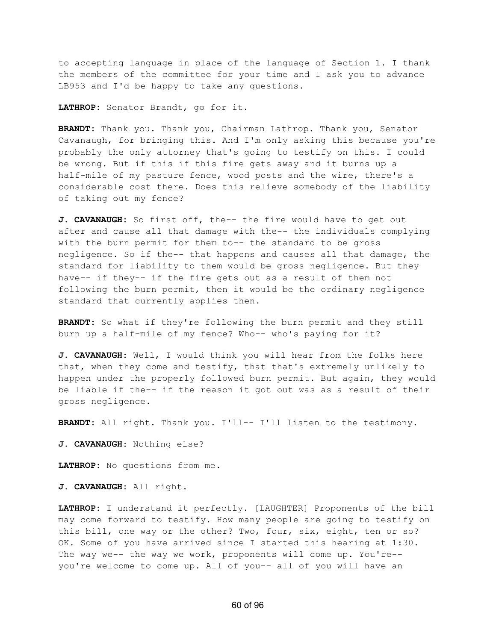to accepting language in place of the language of Section 1. I thank the members of the committee for your time and I ask you to advance LB953 and I'd be happy to take any questions.

**LATHROP:** Senator Brandt, go for it.

**BRANDT:** Thank you. Thank you, Chairman Lathrop. Thank you, Senator Cavanaugh, for bringing this. And I'm only asking this because you're probably the only attorney that's going to testify on this. I could be wrong. But if this if this fire gets away and it burns up a half-mile of my pasture fence, wood posts and the wire, there's a considerable cost there. Does this relieve somebody of the liability of taking out my fence?

**J. CAVANAUGH:** So first off, the-- the fire would have to get out after and cause all that damage with the-- the individuals complying with the burn permit for them to-- the standard to be gross negligence. So if the-- that happens and causes all that damage, the standard for liability to them would be gross negligence. But they have-- if they-- if the fire gets out as a result of them not following the burn permit, then it would be the ordinary negligence standard that currently applies then.

**BRANDT:** So what if they're following the burn permit and they still burn up a half-mile of my fence? Who-- who's paying for it?

**J. CAVANAUGH:** Well, I would think you will hear from the folks here that, when they come and testify, that that's extremely unlikely to happen under the properly followed burn permit. But again, they would be liable if the-- if the reason it got out was as a result of their gross negligence.

**BRANDT:** All right. Thank you. I'll-- I'll listen to the testimony.

**J. CAVANAUGH:** Nothing else?

**LATHROP:** No questions from me.

**J. CAVANAUGH:** All right.

**LATHROP:** I understand it perfectly. [LAUGHTER] Proponents of the bill may come forward to testify. How many people are going to testify on this bill, one way or the other? Two, four, six, eight, ten or so? OK. Some of you have arrived since I started this hearing at 1:30. The way we-- the way we work, proponents will come up. You're- you're welcome to come up. All of you-- all of you will have an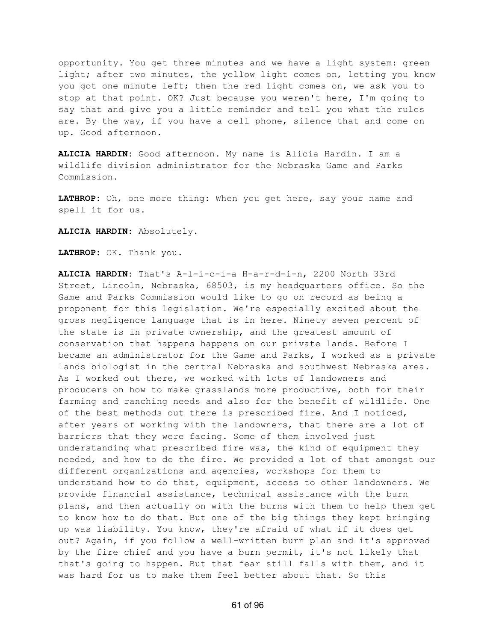opportunity. You get three minutes and we have a light system: green light; after two minutes, the yellow light comes on, letting you know you got one minute left; then the red light comes on, we ask you to stop at that point. OK? Just because you weren't here, I'm going to say that and give you a little reminder and tell you what the rules are. By the way, if you have a cell phone, silence that and come on up. Good afternoon.

**ALICIA HARDIN:** Good afternoon. My name is Alicia Hardin. I am a wildlife division administrator for the Nebraska Game and Parks Commission.

**LATHROP:** Oh, one more thing: When you get here, say your name and spell it for us.

**ALICIA HARDIN:** Absolutely.

**LATHROP:** OK. Thank you.

**ALICIA HARDIN:** That's A-l-i-c-i-a H-a-r-d-i-n, 2200 North 33rd Street, Lincoln, Nebraska, 68503, is my headquarters office. So the Game and Parks Commission would like to go on record as being a proponent for this legislation. We're especially excited about the gross negligence language that is in here. Ninety seven percent of the state is in private ownership, and the greatest amount of conservation that happens happens on our private lands. Before I became an administrator for the Game and Parks, I worked as a private lands biologist in the central Nebraska and southwest Nebraska area. As I worked out there, we worked with lots of landowners and producers on how to make grasslands more productive, both for their farming and ranching needs and also for the benefit of wildlife. One of the best methods out there is prescribed fire. And I noticed, after years of working with the landowners, that there are a lot of barriers that they were facing. Some of them involved just understanding what prescribed fire was, the kind of equipment they needed, and how to do the fire. We provided a lot of that amongst our different organizations and agencies, workshops for them to understand how to do that, equipment, access to other landowners. We provide financial assistance, technical assistance with the burn plans, and then actually on with the burns with them to help them get to know how to do that. But one of the big things they kept bringing up was liability. You know, they're afraid of what if it does get out? Again, if you follow a well-written burn plan and it's approved by the fire chief and you have a burn permit, it's not likely that that's going to happen. But that fear still falls with them, and it was hard for us to make them feel better about that. So this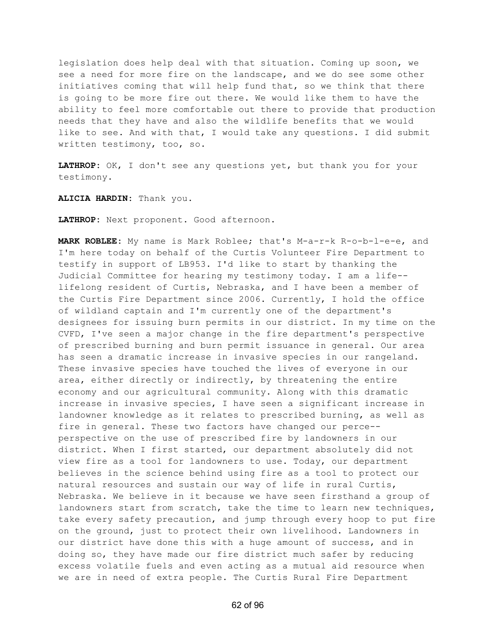legislation does help deal with that situation. Coming up soon, we see a need for more fire on the landscape, and we do see some other initiatives coming that will help fund that, so we think that there is going to be more fire out there. We would like them to have the ability to feel more comfortable out there to provide that production needs that they have and also the wildlife benefits that we would like to see. And with that, I would take any questions. I did submit written testimony, too, so.

**LATHROP:** OK, I don't see any questions yet, but thank you for your testimony.

**ALICIA HARDIN:** Thank you.

**LATHROP:** Next proponent. Good afternoon.

**MARK ROBLEE:** My name is Mark Roblee; that's M-a-r-k R-o-b-l-e-e, and I'm here today on behalf of the Curtis Volunteer Fire Department to testify in support of LB953. I'd like to start by thanking the Judicial Committee for hearing my testimony today. I am a life- lifelong resident of Curtis, Nebraska, and I have been a member of the Curtis Fire Department since 2006. Currently, I hold the office of wildland captain and I'm currently one of the department's designees for issuing burn permits in our district. In my time on the CVFD, I've seen a major change in the fire department's perspective of prescribed burning and burn permit issuance in general. Our area has seen a dramatic increase in invasive species in our rangeland. These invasive species have touched the lives of everyone in our area, either directly or indirectly, by threatening the entire economy and our agricultural community. Along with this dramatic increase in invasive species, I have seen a significant increase in landowner knowledge as it relates to prescribed burning, as well as fire in general. These two factors have changed our perce- perspective on the use of prescribed fire by landowners in our district. When I first started, our department absolutely did not view fire as a tool for landowners to use. Today, our department believes in the science behind using fire as a tool to protect our natural resources and sustain our way of life in rural Curtis, Nebraska. We believe in it because we have seen firsthand a group of landowners start from scratch, take the time to learn new techniques, take every safety precaution, and jump through every hoop to put fire on the ground, just to protect their own livelihood. Landowners in our district have done this with a huge amount of success, and in doing so, they have made our fire district much safer by reducing excess volatile fuels and even acting as a mutual aid resource when we are in need of extra people. The Curtis Rural Fire Department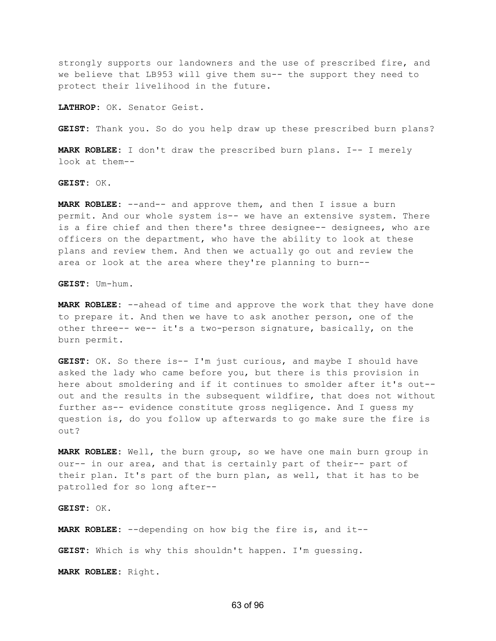strongly supports our landowners and the use of prescribed fire, and we believe that LB953 will give them su-- the support they need to protect their livelihood in the future.

**LATHROP:** OK. Senator Geist.

**GEIST:** Thank you. So do you help draw up these prescribed burn plans?

**MARK ROBLEE:** I don't draw the prescribed burn plans. I-- I merely look at them--

**GEIST:** OK.

**MARK ROBLEE:** --and-- and approve them, and then I issue a burn permit. And our whole system is-- we have an extensive system. There is a fire chief and then there's three designee-- designees, who are officers on the department, who have the ability to look at these plans and review them. And then we actually go out and review the area or look at the area where they're planning to burn--

**GEIST:** Um-hum.

**MARK ROBLEE:** --ahead of time and approve the work that they have done to prepare it. And then we have to ask another person, one of the other three-- we-- it's a two-person signature, basically, on the burn permit.

**GEIST:** OK. So there is-- I'm just curious, and maybe I should have asked the lady who came before you, but there is this provision in here about smoldering and if it continues to smolder after it's out- out and the results in the subsequent wildfire, that does not without further as-- evidence constitute gross negligence. And I guess my question is, do you follow up afterwards to go make sure the fire is out?

**MARK ROBLEE:** Well, the burn group, so we have one main burn group in our-- in our area, and that is certainly part of their-- part of their plan. It's part of the burn plan, as well, that it has to be patrolled for so long after--

**GEIST:** OK.

**MARK ROBLEE:** --depending on how big the fire is, and it--

**GEIST:** Which is why this shouldn't happen. I'm guessing.

**MARK ROBLEE:** Right.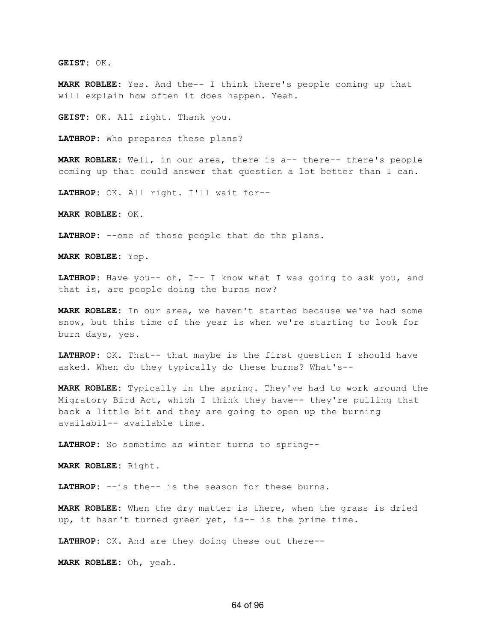**GEIST:** OK.

**MARK ROBLEE:** Yes. And the-- I think there's people coming up that will explain how often it does happen. Yeah.

**GEIST:** OK. All right. Thank you.

**LATHROP:** Who prepares these plans?

**MARK ROBLEE:** Well, in our area, there is a-- there-- there's people coming up that could answer that question a lot better than I can.

**LATHROP:** OK. All right. I'll wait for--

**MARK ROBLEE:** OK.

**LATHROP:** --one of those people that do the plans.

**MARK ROBLEE:** Yep.

**LATHROP:** Have you-- oh, I-- I know what I was going to ask you, and that is, are people doing the burns now?

**MARK ROBLEE:** In our area, we haven't started because we've had some snow, but this time of the year is when we're starting to look for burn days, yes.

**LATHROP:** OK. That-- that maybe is the first question I should have asked. When do they typically do these burns? What's--

**MARK ROBLEE:** Typically in the spring. They've had to work around the Migratory Bird Act, which I think they have-- they're pulling that back a little bit and they are going to open up the burning availabil-- available time.

**LATHROP:** So sometime as winter turns to spring--

**MARK ROBLEE:** Right.

**LATHROP:** --is the-- is the season for these burns.

**MARK ROBLEE:** When the dry matter is there, when the grass is dried up, it hasn't turned green yet, is-- is the prime time.

**LATHROP:** OK. And are they doing these out there--

**MARK ROBLEE:** Oh, yeah.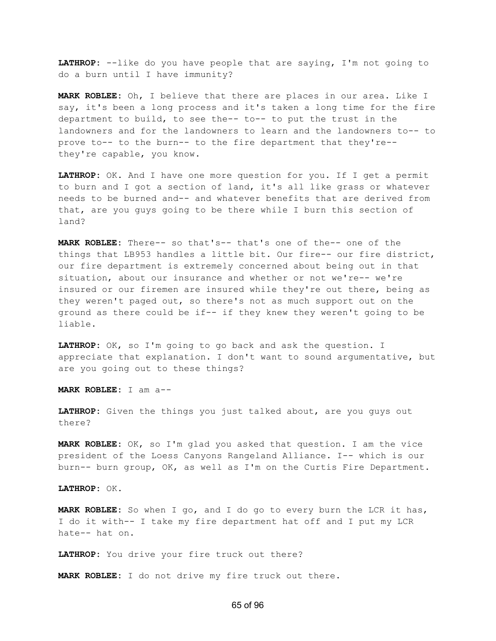**LATHROP:** --like do you have people that are saying, I'm not going to do a burn until I have immunity?

**MARK ROBLEE:** Oh, I believe that there are places in our area. Like I say, it's been a long process and it's taken a long time for the fire department to build, to see the-- to-- to put the trust in the landowners and for the landowners to learn and the landowners to-- to prove to-- to the burn-- to the fire department that they're- they're capable, you know.

**LATHROP:** OK. And I have one more question for you. If I get a permit to burn and I got a section of land, it's all like grass or whatever needs to be burned and-- and whatever benefits that are derived from that, are you guys going to be there while I burn this section of land?

**MARK ROBLEE:** There-- so that's-- that's one of the-- one of the things that LB953 handles a little bit. Our fire-- our fire district, our fire department is extremely concerned about being out in that situation, about our insurance and whether or not we're-- we're insured or our firemen are insured while they're out there, being as they weren't paged out, so there's not as much support out on the ground as there could be if-- if they knew they weren't going to be liable.

**LATHROP:** OK, so I'm going to go back and ask the question. I appreciate that explanation. I don't want to sound argumentative, but are you going out to these things?

**MARK ROBLEE:** I am a--

**LATHROP:** Given the things you just talked about, are you guys out there?

**MARK ROBLEE:** OK, so I'm glad you asked that question. I am the vice president of the Loess Canyons Rangeland Alliance. I-- which is our burn-- burn group, OK, as well as I'm on the Curtis Fire Department.

**LATHROP:** OK.

**MARK ROBLEE:** So when I go, and I do go to every burn the LCR it has, I do it with-- I take my fire department hat off and I put my LCR hate-- hat on.

**LATHROP:** You drive your fire truck out there?

**MARK ROBLEE:** I do not drive my fire truck out there.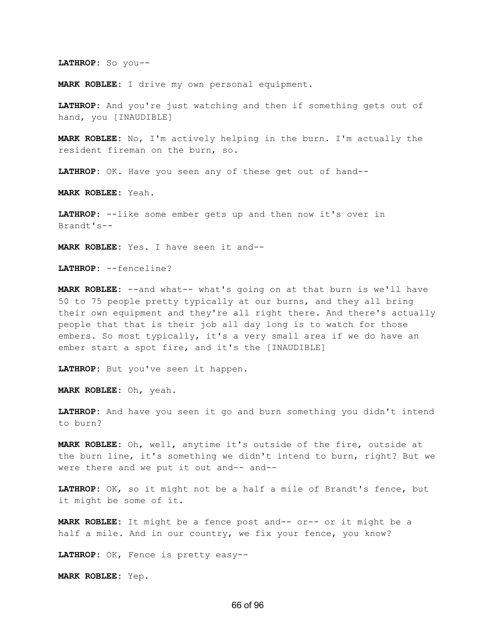**LATHROP:** So you--

**MARK ROBLEE:** I drive my own personal equipment.

**LATHROP:** And you're just watching and then if something gets out of hand, you [INAUDIBLE]

**MARK ROBLEE:** No, I'm actively helping in the burn. I'm actually the resident fireman on the burn, so.

**LATHROP:** OK. Have you seen any of these get out of hand--

**MARK ROBLEE:** Yeah.

**LATHROP:** --like some ember gets up and then now it's over in Brandt's--

**MARK ROBLEE:** Yes. I have seen it and--

**LATHROP:** --fenceline?

**MARK ROBLEE:** --and what-- what's going on at that burn is we'll have 50 to 75 people pretty typically at our burns, and they all bring their own equipment and they're all right there. And there's actually people that that is their job all day long is to watch for those embers. So most typically, it's a very small area if we do have an ember start a spot fire, and it's the [INAUDIBLE]

**LATHROP:** But you've seen it happen.

**MARK ROBLEE:** Oh, yeah.

**LATHROP:** And have you seen it go and burn something you didn't intend to burn?

**MARK ROBLEE:** Oh, well, anytime it's outside of the fire, outside at the burn line, it's something we didn't intend to burn, right? But we were there and we put it out and-- and--

**LATHROP:** OK, so it might not be a half a mile of Brandt's fence, but it might be some of it.

**MARK ROBLEE:** It might be a fence post and-- or-- or it might be a half a mile. And in our country, we fix your fence, you know?

**LATHROP:** OK, Fence is pretty easy--

**MARK ROBLEE:** Yep.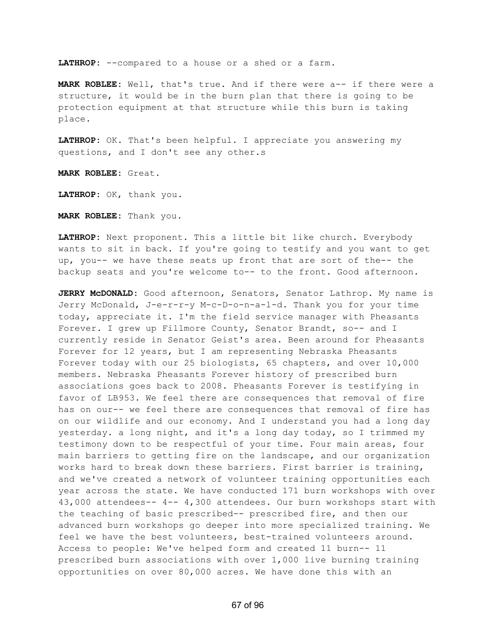**LATHROP:** --compared to a house or a shed or a farm.

**MARK ROBLEE:** Well, that's true. And if there were a-- if there were a structure, it would be in the burn plan that there is going to be protection equipment at that structure while this burn is taking place.

**LATHROP:** OK. That's been helpful. I appreciate you answering my questions, and I don't see any other.s

**MARK ROBLEE:** Great.

**LATHROP:** OK, thank you.

**MARK ROBLEE:** Thank you.

**LATHROP:** Next proponent. This a little bit like church. Everybody wants to sit in back. If you're going to testify and you want to get up, you-- we have these seats up front that are sort of the-- the backup seats and you're welcome to-- to the front. Good afternoon.

**JERRY McDONALD:** Good afternoon, Senators, Senator Lathrop. My name is Jerry McDonald, J-e-r-r-y M-c-D-o-n-a-l-d. Thank you for your time today, appreciate it. I'm the field service manager with Pheasants Forever. I grew up Fillmore County, Senator Brandt, so-- and I currently reside in Senator Geist's area. Been around for Pheasants Forever for 12 years, but I am representing Nebraska Pheasants Forever today with our 25 biologists, 65 chapters, and over 10,000 members. Nebraska Pheasants Forever history of prescribed burn associations goes back to 2008. Pheasants Forever is testifying in favor of LB953. We feel there are consequences that removal of fire has on our-- we feel there are consequences that removal of fire has on our wildlife and our economy. And I understand you had a long day yesterday. a long night, and it's a long day today, so I trimmed my testimony down to be respectful of your time. Four main areas, four main barriers to getting fire on the landscape, and our organization works hard to break down these barriers. First barrier is training, and we've created a network of volunteer training opportunities each year across the state. We have conducted 171 burn workshops with over 43,000 attendees-- 4-- 4,300 attendees. Our burn workshops start with the teaching of basic prescribed-- prescribed fire, and then our advanced burn workshops go deeper into more specialized training. We feel we have the best volunteers, best-trained volunteers around. Access to people: We've helped form and created 11 burn-- 11 prescribed burn associations with over 1,000 live burning training opportunities on over 80,000 acres. We have done this with an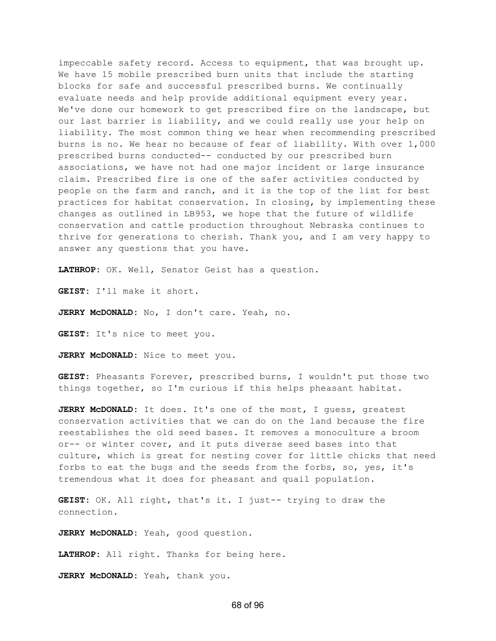impeccable safety record. Access to equipment, that was brought up. We have 15 mobile prescribed burn units that include the starting blocks for safe and successful prescribed burns. We continually evaluate needs and help provide additional equipment every year. We've done our homework to get prescribed fire on the landscape, but our last barrier is liability, and we could really use your help on liability. The most common thing we hear when recommending prescribed burns is no. We hear no because of fear of liability. With over 1,000 prescribed burns conducted-- conducted by our prescribed burn associations, we have not had one major incident or large insurance claim. Prescribed fire is one of the safer activities conducted by people on the farm and ranch, and it is the top of the list for best practices for habitat conservation. In closing, by implementing these changes as outlined in LB953, we hope that the future of wildlife conservation and cattle production throughout Nebraska continues to thrive for generations to cherish. Thank you, and I am very happy to answer any questions that you have.

**LATHROP:** OK. Well, Senator Geist has a question.

**GEIST:** I'll make it short.

**JERRY McDONALD:** No, I don't care. Yeah, no.

**GEIST:** It's nice to meet you.

**JERRY McDONALD:** Nice to meet you.

**GEIST:** Pheasants Forever, prescribed burns, I wouldn't put those two things together, so I'm curious if this helps pheasant habitat.

**JERRY McDONALD:** It does. It's one of the most, I guess, greatest conservation activities that we can do on the land because the fire reestablishes the old seed bases. It removes a monoculture a broom or-- or winter cover, and it puts diverse seed bases into that culture, which is great for nesting cover for little chicks that need forbs to eat the bugs and the seeds from the forbs, so, yes, it's tremendous what it does for pheasant and quail population.

**GEIST:** OK. All right, that's it. I just-- trying to draw the connection.

**JERRY McDONALD:** Yeah, good question.

**LATHROP:** All right. Thanks for being here.

**JERRY McDONALD:** Yeah, thank you.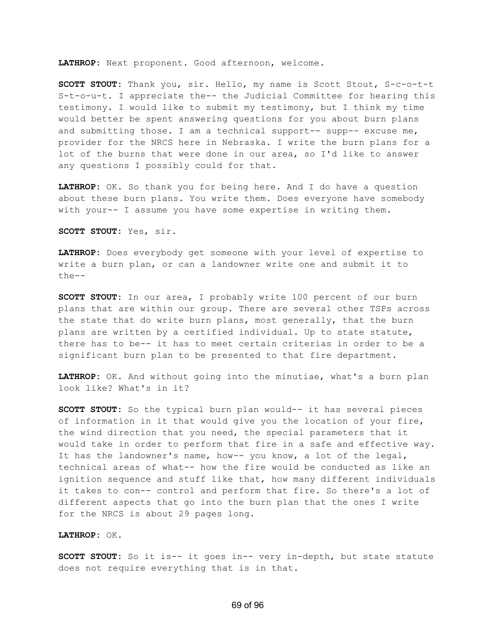**LATHROP:** Next proponent. Good afternoon, welcome.

**SCOTT STOUT:** Thank you, sir. Hello, my name is Scott Stout, S-c-o-t-t S-t-o-u-t. I appreciate the-- the Judicial Committee for hearing this testimony. I would like to submit my testimony, but I think my time would better be spent answering questions for you about burn plans and submitting those. I am a technical support-- supp-- excuse me, provider for the NRCS here in Nebraska. I write the burn plans for a lot of the burns that were done in our area, so I'd like to answer any questions I possibly could for that.

**LATHROP:** OK. So thank you for being here. And I do have a question about these burn plans. You write them. Does everyone have somebody with your-- I assume you have some expertise in writing them.

**SCOTT STOUT:** Yes, sir.

**LATHROP:** Does everybody get someone with your level of expertise to write a burn plan, or can a landowner write one and submit it to the--

**SCOTT STOUT:** In our area, I probably write 100 percent of our burn plans that are within our group. There are several other TSPs across the state that do write burn plans, most generally, that the burn plans are written by a certified individual. Up to state statute, there has to be-- it has to meet certain criterias in order to be a significant burn plan to be presented to that fire department.

**LATHROP:** OK. And without going into the minutiae, what's a burn plan look like? What's in it?

**SCOTT STOUT:** So the typical burn plan would-- it has several pieces of information in it that would give you the location of your fire, the wind direction that you need, the special parameters that it would take in order to perform that fire in a safe and effective way. It has the landowner's name, how-- you know, a lot of the legal, technical areas of what-- how the fire would be conducted as like an ignition sequence and stuff like that, how many different individuals it takes to con-- control and perform that fire. So there's a lot of different aspects that go into the burn plan that the ones I write for the NRCS is about 29 pages long.

**LATHROP:** OK.

**SCOTT STOUT:** So it is-- it goes in-- very in-depth, but state statute does not require everything that is in that.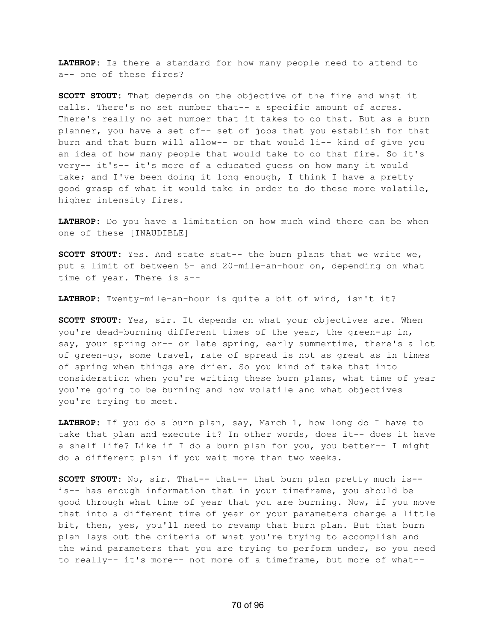**LATHROP:** Is there a standard for how many people need to attend to a-- one of these fires?

**SCOTT STOUT:** That depends on the objective of the fire and what it calls. There's no set number that-- a specific amount of acres. There's really no set number that it takes to do that. But as a burn planner, you have a set of-- set of jobs that you establish for that burn and that burn will allow-- or that would li-- kind of give you an idea of how many people that would take to do that fire. So it's very-- it's-- it's more of a educated guess on how many it would take; and I've been doing it long enough, I think I have a pretty good grasp of what it would take in order to do these more volatile, higher intensity fires.

**LATHROP:** Do you have a limitation on how much wind there can be when one of these [INAUDIBLE]

**SCOTT STOUT:** Yes. And state stat-- the burn plans that we write we, put a limit of between 5- and 20-mile-an-hour on, depending on what time of year. There is a--

**LATHROP:** Twenty-mile-an-hour is quite a bit of wind, isn't it?

**SCOTT STOUT:** Yes, sir. It depends on what your objectives are. When you're dead-burning different times of the year, the green-up in, say, your spring or-- or late spring, early summertime, there's a lot of green-up, some travel, rate of spread is not as great as in times of spring when things are drier. So you kind of take that into consideration when you're writing these burn plans, what time of year you're going to be burning and how volatile and what objectives you're trying to meet.

**LATHROP:** If you do a burn plan, say, March 1, how long do I have to take that plan and execute it? In other words, does it-- does it have a shelf life? Like if I do a burn plan for you, you better-- I might do a different plan if you wait more than two weeks.

**SCOTT STOUT:** No, sir. That-- that-- that burn plan pretty much is- is-- has enough information that in your timeframe, you should be good through what time of year that you are burning. Now, if you move that into a different time of year or your parameters change a little bit, then, yes, you'll need to revamp that burn plan. But that burn plan lays out the criteria of what you're trying to accomplish and the wind parameters that you are trying to perform under, so you need to really-- it's more-- not more of a timeframe, but more of what--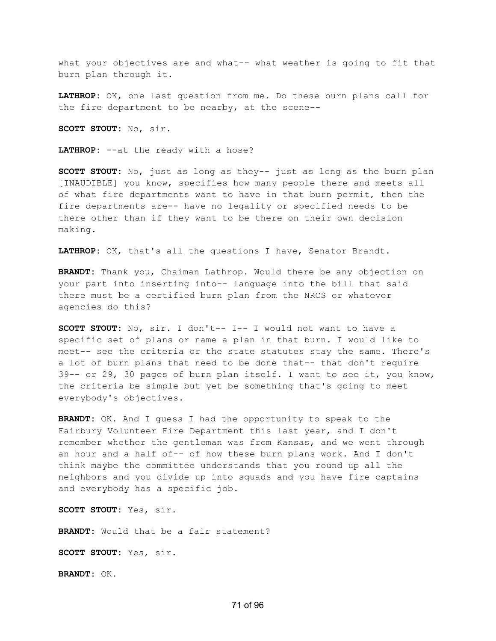what your objectives are and what-- what weather is going to fit that burn plan through it.

**LATHROP:** OK, one last question from me. Do these burn plans call for the fire department to be nearby, at the scene--

**SCOTT STOUT:** No, sir.

**LATHROP:** --at the ready with a hose?

**SCOTT STOUT:** No, just as long as they-- just as long as the burn plan [INAUDIBLE] you know, specifies how many people there and meets all of what fire departments want to have in that burn permit, then the fire departments are-- have no legality or specified needs to be there other than if they want to be there on their own decision making.

**LATHROP:** OK, that's all the questions I have, Senator Brandt.

**BRANDT:** Thank you, Chaiman Lathrop. Would there be any objection on your part into inserting into-- language into the bill that said there must be a certified burn plan from the NRCS or whatever agencies do this?

**SCOTT STOUT:** No, sir. I don't-- I-- I would not want to have a specific set of plans or name a plan in that burn. I would like to meet-- see the criteria or the state statutes stay the same. There's a lot of burn plans that need to be done that-- that don't require 39-- or 29, 30 pages of burn plan itself. I want to see it, you know, the criteria be simple but yet be something that's going to meet everybody's objectives.

**BRANDT:** OK. And I guess I had the opportunity to speak to the Fairbury Volunteer Fire Department this last year, and I don't remember whether the gentleman was from Kansas, and we went through an hour and a half of-- of how these burn plans work. And I don't think maybe the committee understands that you round up all the neighbors and you divide up into squads and you have fire captains and everybody has a specific job.

**SCOTT STOUT:** Yes, sir.

**BRANDT:** Would that be a fair statement?

**SCOTT STOUT:** Yes, sir.

**BRANDT:** OK.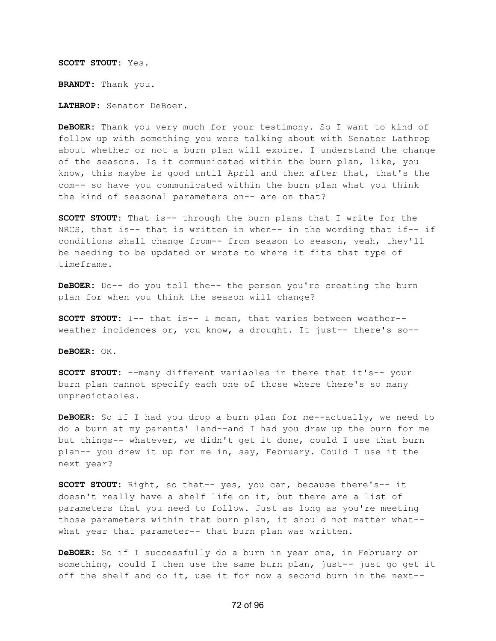**SCOTT STOUT:** Yes. **BRANDT:** Thank you. **LATHROP:** Senator DeBoer.

**DeBOER:** Thank you very much for your testimony. So I want to kind of follow up with something you were talking about with Senator Lathrop about whether or not a burn plan will expire. I understand the change of the seasons. Is it communicated within the burn plan, like, you know, this maybe is good until April and then after that, that's the com-- so have you communicated within the burn plan what you think the kind of seasonal parameters on-- are on that?

**SCOTT STOUT:** That is-- through the burn plans that I write for the NRCS, that is-- that is written in when-- in the wording that if-- if conditions shall change from-- from season to season, yeah, they'll be needing to be updated or wrote to where it fits that type of timeframe.

**DeBOER:** Do-- do you tell the-- the person you're creating the burn plan for when you think the season will change?

**SCOTT STOUT:** I-- that is-- I mean, that varies between weather- weather incidences or, you know, a drought. It just-- there's so--

**DeBOER:** OK.

**SCOTT STOUT:** --many different variables in there that it's-- your burn plan cannot specify each one of those where there's so many unpredictables.

**DeBOER:** So if I had you drop a burn plan for me--actually, we need to do a burn at my parents' land--and I had you draw up the burn for me but things-- whatever, we didn't get it done, could I use that burn plan-- you drew it up for me in, say, February. Could I use it the next year?

**SCOTT STOUT:** Right, so that-- yes, you can, because there's-- it doesn't really have a shelf life on it, but there are a list of parameters that you need to follow. Just as long as you're meeting those parameters within that burn plan, it should not matter what- what year that parameter-- that burn plan was written.

**DeBOER:** So if I successfully do a burn in year one, in February or something, could I then use the same burn plan, just-- just go get it off the shelf and do it, use it for now a second burn in the next--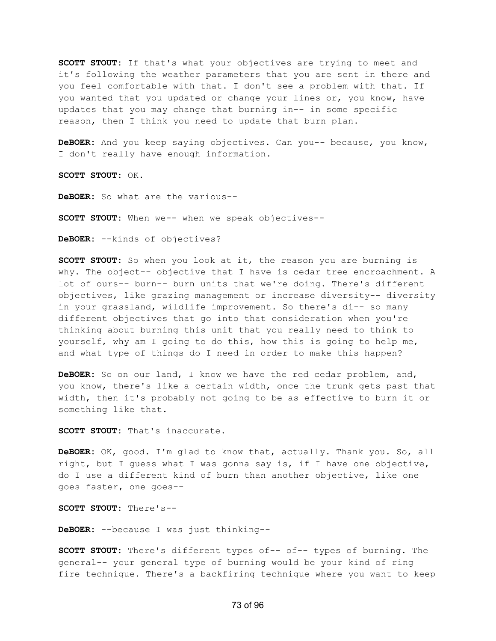**SCOTT STOUT:** If that's what your objectives are trying to meet and it's following the weather parameters that you are sent in there and you feel comfortable with that. I don't see a problem with that. If you wanted that you updated or change your lines or, you know, have updates that you may change that burning in-- in some specific reason, then I think you need to update that burn plan.

**DeBOER:** And you keep saying objectives. Can you-- because, you know, I don't really have enough information.

**SCOTT STOUT:** OK.

**DeBOER:** So what are the various--

**SCOTT STOUT:** When we-- when we speak objectives--

**DeBOER:** --kinds of objectives?

**SCOTT STOUT:** So when you look at it, the reason you are burning is why. The object-- objective that I have is cedar tree encroachment. A lot of ours-- burn-- burn units that we're doing. There's different objectives, like grazing management or increase diversity-- diversity in your grassland, wildlife improvement. So there's di-- so many different objectives that go into that consideration when you're thinking about burning this unit that you really need to think to yourself, why am I going to do this, how this is going to help me, and what type of things do I need in order to make this happen?

**DeBOER:** So on our land, I know we have the red cedar problem, and, you know, there's like a certain width, once the trunk gets past that width, then it's probably not going to be as effective to burn it or something like that.

**SCOTT STOUT:** That's inaccurate.

**DeBOER:** OK, good. I'm glad to know that, actually. Thank you. So, all right, but I guess what I was gonna say is, if I have one objective, do I use a different kind of burn than another objective, like one goes faster, one goes--

**SCOTT STOUT:** There's--

**DeBOER:** --because I was just thinking--

**SCOTT STOUT:** There's different types of-- of-- types of burning. The general-- your general type of burning would be your kind of ring fire technique. There's a backfiring technique where you want to keep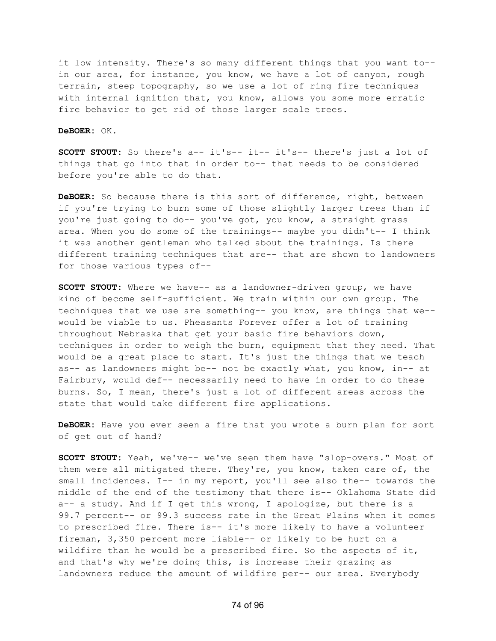it low intensity. There's so many different things that you want to- in our area, for instance, you know, we have a lot of canyon, rough terrain, steep topography, so we use a lot of ring fire techniques with internal ignition that, you know, allows you some more erratic fire behavior to get rid of those larger scale trees.

## **DeBOER:** OK.

**SCOTT STOUT:** So there's a-- it's-- it-- it's-- there's just a lot of things that go into that in order to-- that needs to be considered before you're able to do that.

**DeBOER:** So because there is this sort of difference, right, between if you're trying to burn some of those slightly larger trees than if you're just going to do-- you've got, you know, a straight grass area. When you do some of the trainings-- maybe you didn't-- I think it was another gentleman who talked about the trainings. Is there different training techniques that are-- that are shown to landowners for those various types of--

**SCOTT STOUT:** Where we have-- as a landowner-driven group, we have kind of become self-sufficient. We train within our own group. The techniques that we use are something-- you know, are things that we- would be viable to us. Pheasants Forever offer a lot of training throughout Nebraska that get your basic fire behaviors down, techniques in order to weigh the burn, equipment that they need. That would be a great place to start. It's just the things that we teach as-- as landowners might be-- not be exactly what, you know, in-- at Fairbury, would def-- necessarily need to have in order to do these burns. So, I mean, there's just a lot of different areas across the state that would take different fire applications.

**DeBOER:** Have you ever seen a fire that you wrote a burn plan for sort of get out of hand?

**SCOTT STOUT:** Yeah, we've-- we've seen them have "slop-overs." Most of them were all mitigated there. They're, you know, taken care of, the small incidences. I-- in my report, you'll see also the-- towards the middle of the end of the testimony that there is-- Oklahoma State did a-- a study. And if I get this wrong, I apologize, but there is a 99.7 percent-- or 99.3 success rate in the Great Plains when it comes to prescribed fire. There is-- it's more likely to have a volunteer fireman, 3,350 percent more liable-- or likely to be hurt on a wildfire than he would be a prescribed fire. So the aspects of it, and that's why we're doing this, is increase their grazing as landowners reduce the amount of wildfire per-- our area. Everybody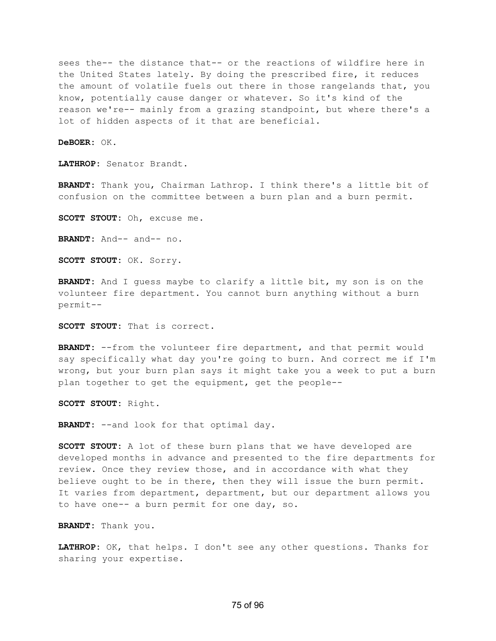sees the-- the distance that-- or the reactions of wildfire here in the United States lately. By doing the prescribed fire, it reduces the amount of volatile fuels out there in those rangelands that, you know, potentially cause danger or whatever. So it's kind of the reason we're-- mainly from a grazing standpoint, but where there's a lot of hidden aspects of it that are beneficial.

**DeBOER:** OK.

**LATHROP:** Senator Brandt.

**BRANDT:** Thank you, Chairman Lathrop. I think there's a little bit of confusion on the committee between a burn plan and a burn permit.

**SCOTT STOUT:** Oh, excuse me.

**BRANDT:** And-- and-- no.

**SCOTT STOUT:** OK. Sorry.

**BRANDT:** And I guess maybe to clarify a little bit, my son is on the volunteer fire department. You cannot burn anything without a burn permit--

**SCOTT STOUT:** That is correct.

**BRANDT:** --from the volunteer fire department, and that permit would say specifically what day you're going to burn. And correct me if I'm wrong, but your burn plan says it might take you a week to put a burn plan together to get the equipment, get the people--

**SCOTT STOUT:** Right.

**BRANDT:** --and look for that optimal day.

**SCOTT STOUT:** A lot of these burn plans that we have developed are developed months in advance and presented to the fire departments for review. Once they review those, and in accordance with what they believe ought to be in there, then they will issue the burn permit. It varies from department, department, but our department allows you to have one-- a burn permit for one day, so.

**BRANDT:** Thank you.

**LATHROP:** OK, that helps. I don't see any other questions. Thanks for sharing your expertise.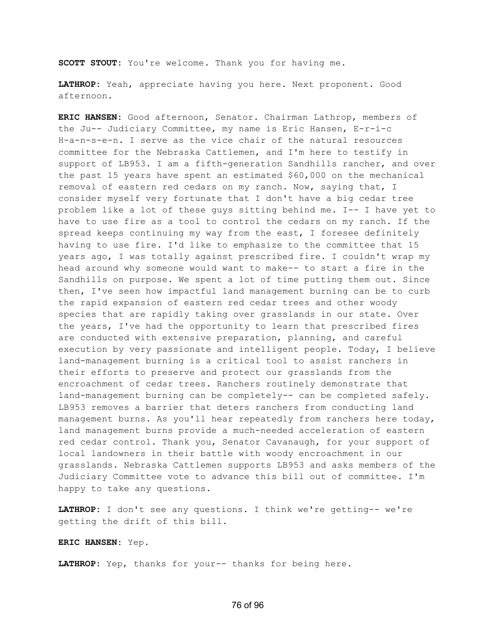**SCOTT STOUT:** You're welcome. Thank you for having me.

**LATHROP:** Yeah, appreciate having you here. Next proponent. Good afternoon.

**ERIC HANSEN:** Good afternoon, Senator. Chairman Lathrop, members of the Ju-- Judiciary Committee, my name is Eric Hansen, E-r-i-c H-a-n-s-e-n. I serve as the vice chair of the natural resources committee for the Nebraska Cattlemen, and I'm here to testify in support of LB953. I am a fifth-generation Sandhills rancher, and over the past 15 years have spent an estimated \$60,000 on the mechanical removal of eastern red cedars on my ranch. Now, saying that, I consider myself very fortunate that I don't have a big cedar tree problem like a lot of these guys sitting behind me. I-- I have yet to have to use fire as a tool to control the cedars on my ranch. If the spread keeps continuing my way from the east, I foresee definitely having to use fire. I'd like to emphasize to the committee that 15 years ago, I was totally against prescribed fire. I couldn't wrap my head around why someone would want to make-- to start a fire in the Sandhills on purpose. We spent a lot of time putting them out. Since then, I've seen how impactful land management burning can be to curb the rapid expansion of eastern red cedar trees and other woody species that are rapidly taking over grasslands in our state. Over the years, I've had the opportunity to learn that prescribed fires are conducted with extensive preparation, planning, and careful execution by very passionate and intelligent people. Today, I believe land-management burning is a critical tool to assist ranchers in their efforts to preserve and protect our grasslands from the encroachment of cedar trees. Ranchers routinely demonstrate that land-management burning can be completely-- can be completed safely. LB953 removes a barrier that deters ranchers from conducting land management burns. As you'll hear repeatedly from ranchers here today, land management burns provide a much-needed acceleration of eastern red cedar control. Thank you, Senator Cavanaugh, for your support of local landowners in their battle with woody encroachment in our grasslands. Nebraska Cattlemen supports LB953 and asks members of the Judiciary Committee vote to advance this bill out of committee. I'm happy to take any questions.

**LATHROP:** I don't see any questions. I think we're getting-- we're getting the drift of this bill.

**ERIC HANSEN:** Yep.

**LATHROP:** Yep, thanks for your-- thanks for being here.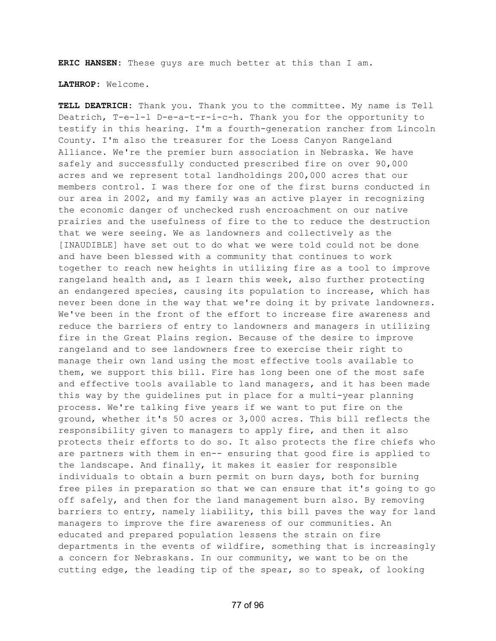**ERIC HANSEN:** These guys are much better at this than I am.

**LATHROP:** Welcome.

**TELL DEATRICH:** Thank you. Thank you to the committee. My name is Tell Deatrich, T-e-l-l D-e-a-t-r-i-c-h. Thank you for the opportunity to testify in this hearing. I'm a fourth-generation rancher from Lincoln County. I'm also the treasurer for the Loess Canyon Rangeland Alliance. We're the premier burn association in Nebraska. We have safely and successfully conducted prescribed fire on over 90,000 acres and we represent total landholdings 200,000 acres that our members control. I was there for one of the first burns conducted in our area in 2002, and my family was an active player in recognizing the economic danger of unchecked rush encroachment on our native prairies and the usefulness of fire to the to reduce the destruction that we were seeing. We as landowners and collectively as the [INAUDIBLE] have set out to do what we were told could not be done and have been blessed with a community that continues to work together to reach new heights in utilizing fire as a tool to improve rangeland health and, as I learn this week, also further protecting an endangered species, causing its population to increase, which has never been done in the way that we're doing it by private landowners. We've been in the front of the effort to increase fire awareness and reduce the barriers of entry to landowners and managers in utilizing fire in the Great Plains region. Because of the desire to improve rangeland and to see landowners free to exercise their right to manage their own land using the most effective tools available to them, we support this bill. Fire has long been one of the most safe and effective tools available to land managers, and it has been made this way by the guidelines put in place for a multi-year planning process. We're talking five years if we want to put fire on the ground, whether it's 50 acres or 3,000 acres. This bill reflects the responsibility given to managers to apply fire, and then it also protects their efforts to do so. It also protects the fire chiefs who are partners with them in en-- ensuring that good fire is applied to the landscape. And finally, it makes it easier for responsible individuals to obtain a burn permit on burn days, both for burning free piles in preparation so that we can ensure that it's going to go off safely, and then for the land management burn also. By removing barriers to entry, namely liability, this bill paves the way for land managers to improve the fire awareness of our communities. An educated and prepared population lessens the strain on fire departments in the events of wildfire, something that is increasingly a concern for Nebraskans. In our community, we want to be on the cutting edge, the leading tip of the spear, so to speak, of looking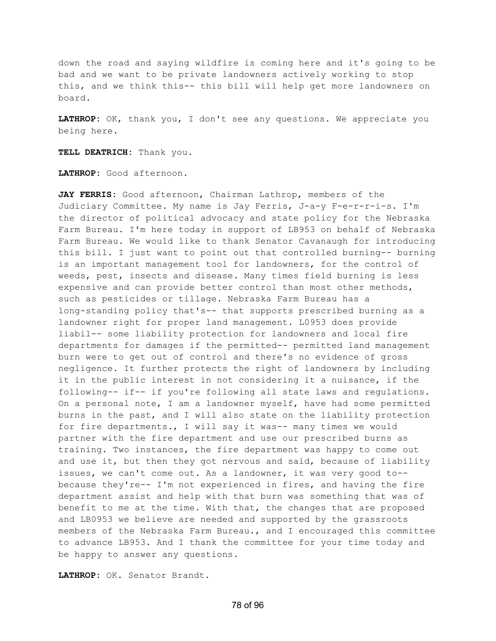down the road and saying wildfire is coming here and it's going to be bad and we want to be private landowners actively working to stop this, and we think this-- this bill will help get more landowners on board.

**LATHROP:** OK, thank you, I don't see any questions. We appreciate you being here.

**TELL DEATRICH:** Thank you.

**LATHROP:** Good afternoon.

**JAY FERRIS:** Good afternoon, Chairman Lathrop, members of the Judiciary Committee. My name is Jay Ferris, J-a-y F-e-r-r-i-s. I'm the director of political advocacy and state policy for the Nebraska Farm Bureau. I'm here today in support of LB953 on behalf of Nebraska Farm Bureau. We would like to thank Senator Cavanaugh for introducing this bill. I just want to point out that controlled burning-- burning is an important management tool for landowners, for the control of weeds, pest, insects and disease. Many times field burning is less expensive and can provide better control than most other methods, such as pesticides or tillage. Nebraska Farm Bureau has a long-standing policy that's-- that supports prescribed burning as a landowner right for proper land management. L0953 does provide liabil-- some liability protection for landowners and local fire departments for damages if the permitted-- permitted land management burn were to get out of control and there's no evidence of gross negligence. It further protects the right of landowners by including it in the public interest in not considering it a nuisance, if the following-- if-- if you're following all state laws and regulations. On a personal note, I am a landowner myself, have had some permitted burns in the past, and I will also state on the liability protection for fire departments., I will say it was-- many times we would partner with the fire department and use our prescribed burns as training. Two instances, the fire department was happy to come out and use it, but then they got nervous and said, because of liability issues, we can't come out. As a landowner, it was very good to- because they're-- I'm not experienced in fires, and having the fire department assist and help with that burn was something that was of benefit to me at the time. With that, the changes that are proposed and LB0953 we believe are needed and supported by the grassroots members of the Nebraska Farm Bureau., and I encouraged this committee to advance LB953. And I thank the committee for your time today and be happy to answer any questions.

**LATHROP:** OK. Senator Brandt.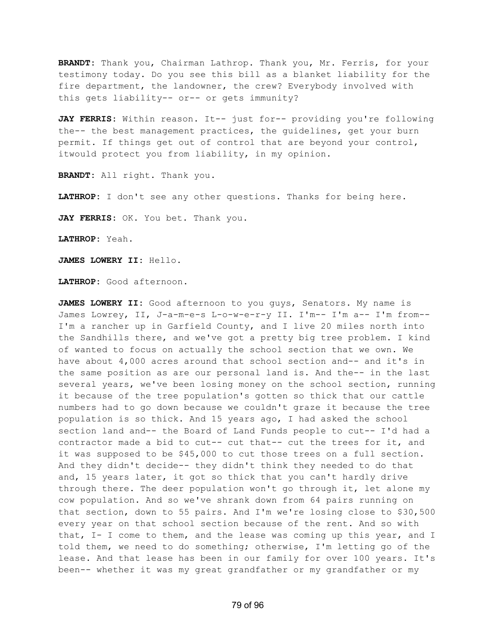**BRANDT:** Thank you, Chairman Lathrop. Thank you, Mr. Ferris, for your testimony today. Do you see this bill as a blanket liability for the fire department, the landowner, the crew? Everybody involved with this gets liability-- or-- or gets immunity?

**JAY FERRIS:** Within reason. It-- just for-- providing you're following the-- the best management practices, the guidelines, get your burn permit. If things get out of control that are beyond your control, itwould protect you from liability, in my opinion.

**BRANDT:** All right. Thank you.

**LATHROP:** I don't see any other questions. Thanks for being here.

**JAY FERRIS:** OK. You bet. Thank you.

**LATHROP:** Yeah.

**JAMES LOWERY II:** Hello.

**LATHROP:** Good afternoon.

**JAMES LOWERY II:** Good afternoon to you guys, Senators. My name is James Lowrey, II, J-a-m-e-s L-o-w-e-r-y II. I'm-- I'm a-- I'm from--I'm a rancher up in Garfield County, and I live 20 miles north into the Sandhills there, and we've got a pretty big tree problem. I kind of wanted to focus on actually the school section that we own. We have about 4,000 acres around that school section and-- and it's in the same position as are our personal land is. And the-- in the last several years, we've been losing money on the school section, running it because of the tree population's gotten so thick that our cattle numbers had to go down because we couldn't graze it because the tree population is so thick. And 15 years ago, I had asked the school section land and-- the Board of Land Funds people to cut-- I'd had a contractor made a bid to cut-- cut that-- cut the trees for it, and it was supposed to be \$45,000 to cut those trees on a full section. And they didn't decide-- they didn't think they needed to do that and, 15 years later, it got so thick that you can't hardly drive through there. The deer population won't go through it, let alone my cow population. And so we've shrank down from 64 pairs running on that section, down to 55 pairs. And I'm we're losing close to \$30,500 every year on that school section because of the rent. And so with that, I- I come to them, and the lease was coming up this year, and I told them, we need to do something; otherwise, I'm letting go of the lease. And that lease has been in our family for over 100 years. It's been-- whether it was my great grandfather or my grandfather or my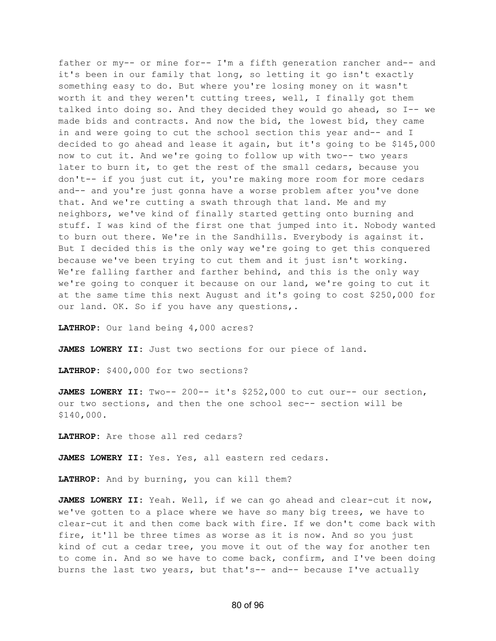father or my-- or mine for-- I'm a fifth generation rancher and-- and it's been in our family that long, so letting it go isn't exactly something easy to do. But where you're losing money on it wasn't worth it and they weren't cutting trees, well, I finally got them talked into doing so. And they decided they would go ahead, so I-- we made bids and contracts. And now the bid, the lowest bid, they came in and were going to cut the school section this year and-- and I decided to go ahead and lease it again, but it's going to be \$145,000 now to cut it. And we're going to follow up with two-- two years later to burn it, to get the rest of the small cedars, because you don't-- if you just cut it, you're making more room for more cedars and-- and you're just gonna have a worse problem after you've done that. And we're cutting a swath through that land. Me and my neighbors, we've kind of finally started getting onto burning and stuff. I was kind of the first one that jumped into it. Nobody wanted to burn out there. We're in the Sandhills. Everybody is against it. But I decided this is the only way we're going to get this conquered because we've been trying to cut them and it just isn't working. We're falling farther and farther behind, and this is the only way we're going to conquer it because on our land, we're going to cut it at the same time this next August and it's going to cost \$250,000 for our land. OK. So if you have any questions,.

**LATHROP:** Our land being 4,000 acres?

**JAMES LOWERY II:** Just two sections for our piece of land.

**LATHROP:** \$400,000 for two sections?

**JAMES LOWERY II:** Two-- 200-- it's \$252,000 to cut our-- our section, our two sections, and then the one school sec-- section will be \$140,000.

**LATHROP:** Are those all red cedars?

**JAMES LOWERY II:** Yes. Yes, all eastern red cedars.

**LATHROP:** And by burning, you can kill them?

**JAMES LOWERY II:** Yeah. Well, if we can go ahead and clear-cut it now, we've gotten to a place where we have so many big trees, we have to clear-cut it and then come back with fire. If we don't come back with fire, it'll be three times as worse as it is now. And so you just kind of cut a cedar tree, you move it out of the way for another ten to come in. And so we have to come back, confirm, and I've been doing burns the last two years, but that's-- and-- because I've actually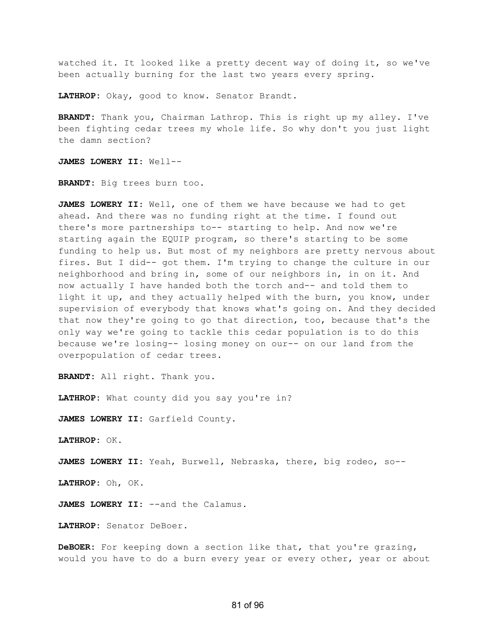watched it. It looked like a pretty decent way of doing it, so we've been actually burning for the last two years every spring.

**LATHROP:** Okay, good to know. Senator Brandt.

**BRANDT:** Thank you, Chairman Lathrop. This is right up my alley. I've been fighting cedar trees my whole life. So why don't you just light the damn section?

**JAMES LOWERY II:** Well--

**BRANDT:** Big trees burn too.

**JAMES LOWERY II:** Well, one of them we have because we had to get ahead. And there was no funding right at the time. I found out there's more partnerships to-- starting to help. And now we're starting again the EQUIP program, so there's starting to be some funding to help us. But most of my neighbors are pretty nervous about fires. But I did-- got them. I'm trying to change the culture in our neighborhood and bring in, some of our neighbors in, in on it. And now actually I have handed both the torch and-- and told them to light it up, and they actually helped with the burn, you know, under supervision of everybody that knows what's going on. And they decided that now they're going to go that direction, too, because that's the only way we're going to tackle this cedar population is to do this because we're losing-- losing money on our-- on our land from the overpopulation of cedar trees.

**BRANDT:** All right. Thank you.

**LATHROP:** What county did you say you're in?

**JAMES LOWERY II:** Garfield County.

**LATHROP:** OK.

**JAMES LOWERY II:** Yeah, Burwell, Nebraska, there, big rodeo, so--

**LATHROP:** Oh, OK.

**JAMES LOWERY II:** --and the Calamus.

**LATHROP:** Senator DeBoer.

**DeBOER:** For keeping down a section like that, that you're grazing, would you have to do a burn every year or every other, year or about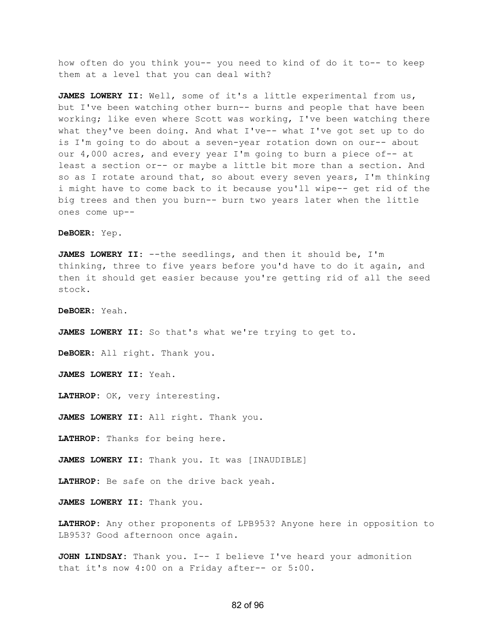how often do you think you-- you need to kind of do it to-- to keep them at a level that you can deal with?

**JAMES LOWERY II:** Well, some of it's a little experimental from us, but I've been watching other burn-- burns and people that have been working; like even where Scott was working, I've been watching there what they've been doing. And what I've-- what I've got set up to do is I'm going to do about a seven-year rotation down on our-- about our 4,000 acres, and every year I'm going to burn a piece of-- at least a section or-- or maybe a little bit more than a section. And so as I rotate around that, so about every seven years, I'm thinking i might have to come back to it because you'll wipe-- get rid of the big trees and then you burn-- burn two years later when the little ones come up--

**DeBOER:** Yep.

**JAMES LOWERY II:** --the seedlings, and then it should be, I'm thinking, three to five years before you'd have to do it again, and then it should get easier because you're getting rid of all the seed stock.

**DeBOER:** Yeah.

**JAMES LOWERY II:** So that's what we're trying to get to.

**DeBOER:** All right. Thank you.

**JAMES LOWERY II:** Yeah.

**LATHROP:** OK, very interesting.

**JAMES LOWERY II:** All right. Thank you.

**LATHROP:** Thanks for being here.

**JAMES LOWERY II:** Thank you. It was [INAUDIBLE]

**LATHROP:** Be safe on the drive back yeah.

**JAMES LOWERY II:** Thank you.

**LATHROP:** Any other proponents of LPB953? Anyone here in opposition to LB953? Good afternoon once again.

**JOHN LINDSAY:** Thank you. I-- I believe I've heard your admonition that it's now 4:00 on a Friday after-- or 5:00.

## 82 of 96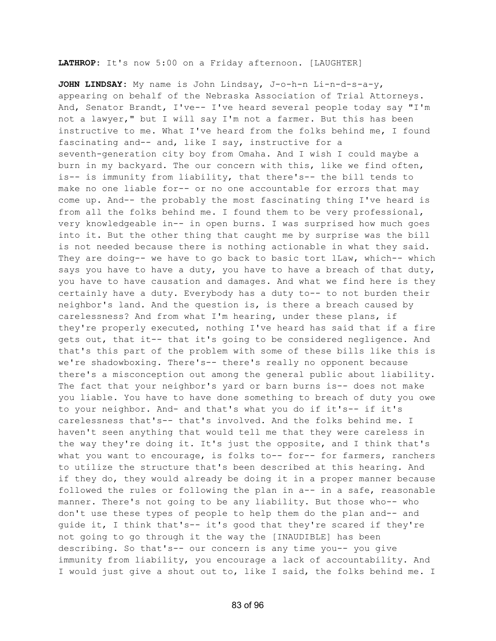## **LATHROP:** It's now 5:00 on a Friday afternoon. [LAUGHTER]

**JOHN LINDSAY:** My name is John Lindsay, J-o-h-n Li-n-d-s-a-y, appearing on behalf of the Nebraska Association of Trial Attorneys. And, Senator Brandt, I've-- I've heard several people today say "I'm not a lawyer," but I will say I'm not a farmer. But this has been instructive to me. What I've heard from the folks behind me, I found fascinating and-- and, like I say, instructive for a seventh-generation city boy from Omaha. And I wish I could maybe a burn in my backyard. The our concern with this, like we find often, is-- is immunity from liability, that there's-- the bill tends to make no one liable for-- or no one accountable for errors that may come up. And-- the probably the most fascinating thing I've heard is from all the folks behind me. I found them to be very professional, very knowledgeable in-- in open burns. I was surprised how much goes into it. But the other thing that caught me by surprise was the bill is not needed because there is nothing actionable in what they said. They are doing-- we have to go back to basic tort lLaw, which-- which says you have to have a duty, you have to have a breach of that duty, you have to have causation and damages. And what we find here is they certainly have a duty. Everybody has a duty to-- to not burden their neighbor's land. And the question is, is there a breach caused by carelessness? And from what I'm hearing, under these plans, if they're properly executed, nothing I've heard has said that if a fire gets out, that it-- that it's going to be considered negligence. And that's this part of the problem with some of these bills like this is we're shadowboxing. There's-- there's really no opponent because there's a misconception out among the general public about liability. The fact that your neighbor's yard or barn burns is-- does not make you liable. You have to have done something to breach of duty you owe to your neighbor. And- and that's what you do if it's-- if it's carelessness that's-- that's involved. And the folks behind me. I haven't seen anything that would tell me that they were careless in the way they're doing it. It's just the opposite, and I think that's what you want to encourage, is folks to-- for-- for farmers, ranchers to utilize the structure that's been described at this hearing. And if they do, they would already be doing it in a proper manner because followed the rules or following the plan in a-- in a safe, reasonable manner. There's not going to be any liability. But those who-- who don't use these types of people to help them do the plan and-- and guide it, I think that's-- it's good that they're scared if they're not going to go through it the way the [INAUDIBLE] has been describing. So that's-- our concern is any time you-- you give immunity from liability, you encourage a lack of accountability. And I would just give a shout out to, like I said, the folks behind me. I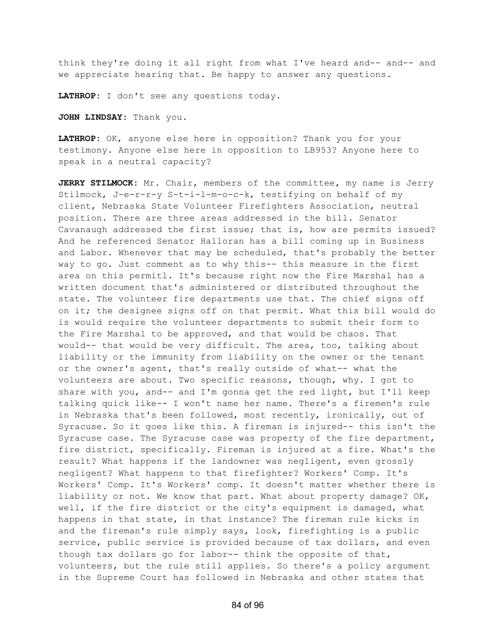think they're doing it all right from what I've heard and-- and-- and we appreciate hearing that. Be happy to answer any questions.

**LATHROP:** I don't see any questions today.

**JOHN LINDSAY:** Thank you.

**LATHROP:** OK, anyone else here in opposition? Thank you for your testimony. Anyone else here in opposition to LB953? Anyone here to speak in a neutral capacity?

**JERRY STILMOCK:** Mr. Chair, members of the committee, my name is Jerry Stilmock, J-e-r-r-y S-t-i-l-m-o-c-k, testifying on behalf of my client, Nebraska State Volunteer Firefighters Association, neutral position. There are three areas addressed in the bill. Senator Cavanaugh addressed the first issue; that is, how are permits issued? And he referenced Senator Halloran has a bill coming up in Business and Labor. Whenever that may be scheduled, that's probably the better way to go. Just comment as to why this-- this measure in the first area on this permitl. It's because right now the Fire Marshal has a written document that's administered or distributed throughout the state. The volunteer fire departments use that. The chief signs off on it; the designee signs off on that permit. What this bill would do is would require the volunteer departments to submit their form to the Fire Marshal to be approved, and that would be chaos. That would-- that would be very difficult. The area, too, talking about liability or the immunity from liability on the owner or the tenant or the owner's agent, that's really outside of what-- what the volunteers are about. Two specific reasons, though, why. I got to share with you, and-- and I'm gonna get the red light, but I'll keep talking quick like-- I won't name her name. There's a firemen's rule in Nebraska that's been followed, most recently, ironically, out of Syracuse. So it goes like this. A fireman is injured-- this isn't the Syracuse case. The Syracuse case was property of the fire department, fire district, specifically. Fireman is injured at a fire. What's the result? What happens if the landowner was negligent, even grossly negligent? What happens to that firefighter? Workers' Comp. It's Workers' Comp. It's Workers' comp. It doesn't matter whether there is liability or not. We know that part. What about property damage? OK, well, if the fire district or the city's equipment is damaged, what happens in that state, in that instance? The fireman rule kicks in and the fireman's rule simply says, look, firefighting is a public service, public service is provided because of tax dollars, and even though tax dollars go for labor-- think the opposite of that, volunteers, but the rule still applies. So there's a policy argument in the Supreme Court has followed in Nebraska and other states that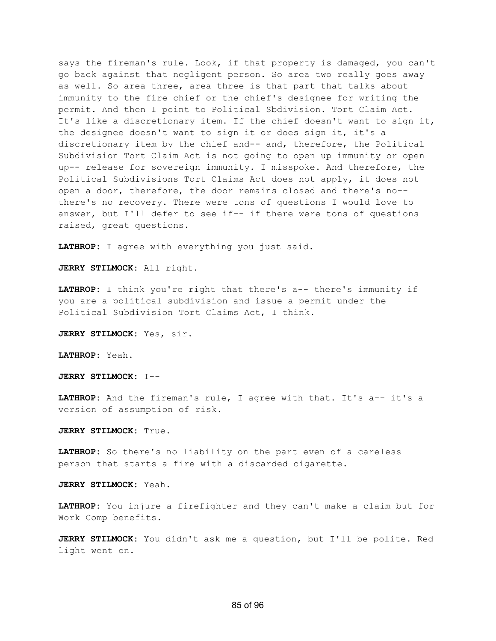says the fireman's rule. Look, if that property is damaged, you can't go back against that negligent person. So area two really goes away as well. So area three, area three is that part that talks about immunity to the fire chief or the chief's designee for writing the permit. And then I point to Political Sbdivision. Tort Claim Act. It's like a discretionary item. If the chief doesn't want to sign it, the designee doesn't want to sign it or does sign it, it's a discretionary item by the chief and-- and, therefore, the Political Subdivision Tort Claim Act is not going to open up immunity or open up-- release for sovereign immunity. I misspoke. And therefore, the Political Subdivisions Tort Claims Act does not apply, it does not open a door, therefore, the door remains closed and there's no- there's no recovery. There were tons of questions I would love to answer, but I'll defer to see if-- if there were tons of questions raised, great questions.

**LATHROP:** I agree with everything you just said.

**JERRY STILMOCK:** All right.

**LATHROP:** I think you're right that there's a-- there's immunity if you are a political subdivision and issue a permit under the Political Subdivision Tort Claims Act, I think.

**JERRY STILMOCK:** Yes, sir.

**LATHROP:** Yeah.

**JERRY STILMOCK:** I--

**LATHROP:** And the fireman's rule, I agree with that. It's a-- it's a version of assumption of risk.

**JERRY STILMOCK:** True.

**LATHROP:** So there's no liability on the part even of a careless person that starts a fire with a discarded cigarette.

**JERRY STILMOCK:** Yeah.

**LATHROP:** You injure a firefighter and they can't make a claim but for Work Comp benefits.

**JERRY STILMOCK:** You didn't ask me a question, but I'll be polite. Red light went on.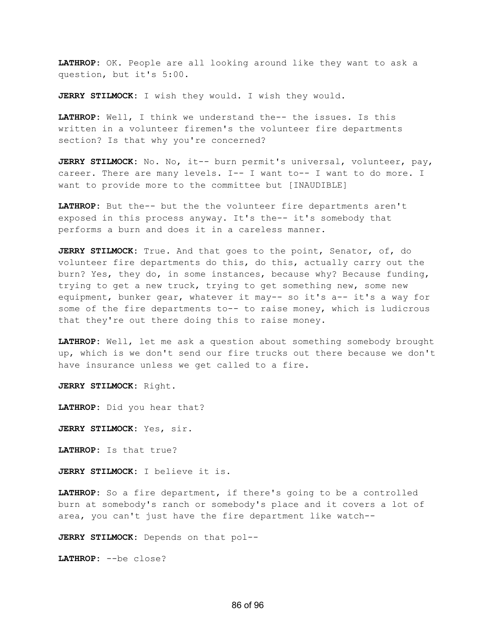**LATHROP:** OK. People are all looking around like they want to ask a question, but it's 5:00.

**JERRY STILMOCK:** I wish they would. I wish they would.

**LATHROP:** Well, I think we understand the-- the issues. Is this written in a volunteer firemen's the volunteer fire departments section? Is that why you're concerned?

**JERRY STILMOCK:** No. No, it-- burn permit's universal, volunteer, pay, career. There are many levels. I-- I want to-- I want to do more. I want to provide more to the committee but [INAUDIBLE]

**LATHROP:** But the-- but the the volunteer fire departments aren't exposed in this process anyway. It's the-- it's somebody that performs a burn and does it in a careless manner.

**JERRY STILMOCK:** True. And that goes to the point, Senator, of, do volunteer fire departments do this, do this, actually carry out the burn? Yes, they do, in some instances, because why? Because funding, trying to get a new truck, trying to get something new, some new equipment, bunker gear, whatever it may-- so it's a-- it's a way for some of the fire departments to-- to raise money, which is ludicrous that they're out there doing this to raise money.

**LATHROP:** Well, let me ask a question about something somebody brought up, which is we don't send our fire trucks out there because we don't have insurance unless we get called to a fire.

**JERRY STILMOCK:** Right.

**LATHROP:** Did you hear that?

**JERRY STILMOCK:** Yes, sir.

**LATHROP:** Is that true?

**JERRY STILMOCK:** I believe it is.

**LATHROP:** So a fire department, if there's going to be a controlled burn at somebody's ranch or somebody's place and it covers a lot of area, you can't just have the fire department like watch--

**JERRY STILMOCK:** Depends on that pol--

**LATHROP:** --be close?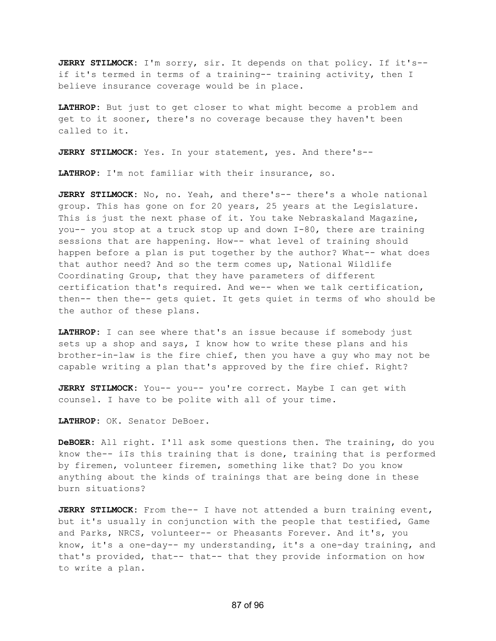**JERRY STILMOCK:** I'm sorry, sir. It depends on that policy. If it's- if it's termed in terms of a training-- training activity, then I believe insurance coverage would be in place.

**LATHROP:** But just to get closer to what might become a problem and get to it sooner, there's no coverage because they haven't been called to it.

**JERRY STILMOCK:** Yes. In your statement, yes. And there's--

**LATHROP:** I'm not familiar with their insurance, so.

**JERRY STILMOCK:** No, no. Yeah, and there's-- there's a whole national group. This has gone on for 20 years, 25 years at the Legislature. This is just the next phase of it. You take Nebraskaland Magazine, you-- you stop at a truck stop up and down I-80, there are training sessions that are happening. How-- what level of training should happen before a plan is put together by the author? What-- what does that author need? And so the term comes up, National Wildlife Coordinating Group, that they have parameters of different certification that's required. And we-- when we talk certification, then-- then the-- gets quiet. It gets quiet in terms of who should be the author of these plans.

**LATHROP:** I can see where that's an issue because if somebody just sets up a shop and says, I know how to write these plans and his brother-in-law is the fire chief, then you have a guy who may not be capable writing a plan that's approved by the fire chief. Right?

**JERRY STILMOCK:** You-- you-- you're correct. Maybe I can get with counsel. I have to be polite with all of your time.

**LATHROP:** OK. Senator DeBoer.

**DeBOER:** All right. I'll ask some questions then. The training, do you know the-- iIs this training that is done, training that is performed by firemen, volunteer firemen, something like that? Do you know anything about the kinds of trainings that are being done in these burn situations?

**JERRY STILMOCK:** From the-- I have not attended a burn training event, but it's usually in conjunction with the people that testified, Game and Parks, NRCS, volunteer-- or Pheasants Forever. And it's, you know, it's a one-day-- my understanding, it's a one-day training, and that's provided, that-- that-- that they provide information on how to write a plan.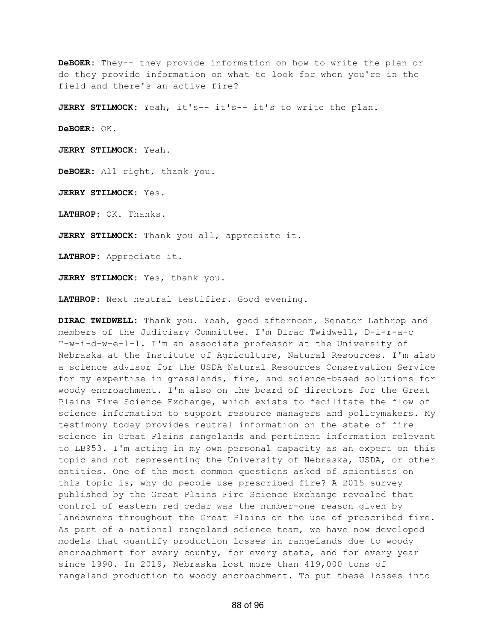**DeBOER:** They-- they provide information on how to write the plan or do they provide information on what to look for when you're in the field and there's an active fire?

**JERRY STILMOCK:** Yeah, it's-- it's-- it's to write the plan.

**DeBOER:** OK.

**JERRY STILMOCK:** Yeah.

**DeBOER:** All right, thank you.

**JERRY STILMOCK:** Yes.

**LATHROP:** OK. Thanks.

**JERRY STILMOCK:** Thank you all, appreciate it.

**LATHROP:** Appreciate it.

**JERRY STILMOCK:** Yes, thank you.

**LATHROP:** Next neutral testifier. Good evening.

**DIRAC TWIDWELL:** Thank you. Yeah, good afternoon, Senator Lathrop and members of the Judiciary Committee. I'm Dirac Twidwell, D-i-r-a-c T-w-i-d-w-e-l-l. I'm an associate professor at the University of Nebraska at the Institute of Agriculture, Natural Resources. I'm also a science advisor for the USDA Natural Resources Conservation Service for my expertise in grasslands, fire, and science-based solutions for woody encroachment. I'm also on the board of directors for the Great Plains Fire Science Exchange, which exists to facilitate the flow of science information to support resource managers and policymakers. My testimony today provides neutral information on the state of fire science in Great Plains rangelands and pertinent information relevant to LB953. I'm acting in my own personal capacity as an expert on this topic and not representing the University of Nebraska, USDA, or other entities. One of the most common questions asked of scientists on this topic is, why do people use prescribed fire? A 2015 survey published by the Great Plains Fire Science Exchange revealed that control of eastern red cedar was the number-one reason given by landowners throughout the Great Plains on the use of prescribed fire. As part of a national rangeland science team, we have now developed models that quantify production losses in rangelands due to woody encroachment for every county, for every state, and for every year since 1990. In 2019, Nebraska lost more than 419,000 tons of rangeland production to woody encroachment. To put these losses into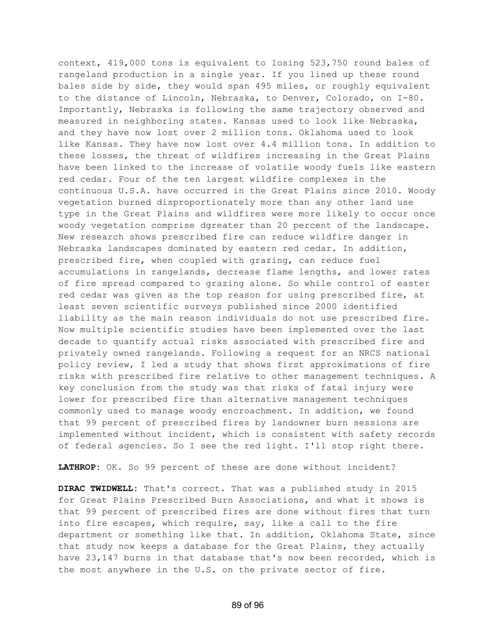context, 419,000 tons is equivalent to losing 523,750 round bales of rangeland production in a single year. If you lined up these round bales side by side, they would span 495 miles, or roughly equivalent to the distance of Lincoln, Nebraska, to Denver, Colorado, on I-80. Importantly, Nebraska is following the same trajectory observed and measured in neighboring states. Kansas used to look like Nebraska, and they have now lost over 2 million tons. Oklahoma used to look like Kansas. They have now lost over 4.4 million tons. In addition to these losses, the threat of wildfires increasing in the Great Plains have been linked to the increase of volatile woody fuels like eastern red cedar. Four of the ten largest wildfire complexes in the continuous U.S.A. have occurred in the Great Plains since 2010. Woody vegetation burned disproportionately more than any other land use type in the Great Plains and wildfires were more likely to occur once woody vegetation comprise dgreater than 20 percent of the landscape. New research shows prescribed fire can reduce wildfire danger in Nebraska landscapes dominated by eastern red cedar. In addition, prescribed fire, when coupled with grazing, can reduce fuel accumulations in rangelands, decrease flame lengths, and lower rates of fire spread compared to grazing alone. So while control of easter red cedar was given as the top reason for using prescribed fire, at least seven scientific surveys published since 2000 identified liability as the main reason individuals do not use prescribed fire. Now multiple scientific studies have been implemented over the last decade to quantify actual risks associated with prescribed fire and privately owned rangelands. Following a request for an NRCS national policy review, I led a study that shows first approximations of fire risks with prescribed fire relative to other management techniques. A key conclusion from the study was that risks of fatal injury were lower for prescribed fire than alternative management techniques commonly used to manage woody encroachment. In addition, we found that 99 percent of prescribed fires by landowner burn sessions are implemented without incident, which is consistent with safety records of federal agencies. So I see the red light. I'll stop right there.

**LATHROP:** OK. So 99 percent of these are done without incident?

**DIRAC TWIDWELL:** That's correct. That was a published study in 2015 for Great Plains Prescribed Burn Associations, and what it shows is that 99 percent of prescribed fires are done without fires that turn into fire escapes, which require, say, like a call to the fire department or something like that. In addition, Oklahoma State, since that study now keeps a database for the Great Plains, they actually have 23,147 burns in that database that's now been recorded, which is the most anywhere in the U.S. on the private sector of fire.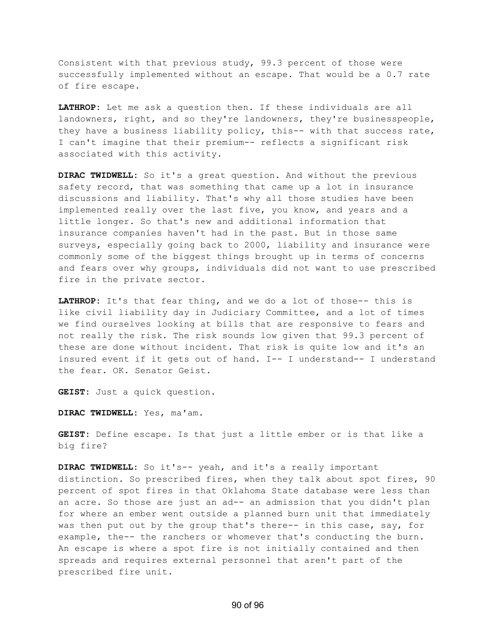Consistent with that previous study, 99.3 percent of those were successfully implemented without an escape. That would be a 0.7 rate of fire escape.

**LATHROP:** Let me ask a question then. If these individuals are all landowners, right, and so they're landowners, they're businesspeople, they have a business liability policy, this-- with that success rate, I can't imagine that their premium-- reflects a significant risk associated with this activity.

**DIRAC TWIDWELL:** So it's a great question. And without the previous safety record, that was something that came up a lot in insurance discussions and liability. That's why all those studies have been implemented really over the last five, you know, and years and a little longer. So that's new and additional information that insurance companies haven't had in the past. But in those same surveys, especially going back to 2000, liability and insurance were commonly some of the biggest things brought up in terms of concerns and fears over why groups, individuals did not want to use prescribed fire in the private sector.

**LATHROP:** It's that fear thing, and we do a lot of those-- this is like civil liability day in Judiciary Committee, and a lot of times we find ourselves looking at bills that are responsive to fears and not really the risk. The risk sounds low given that 99.3 percent of these are done without incident. That risk is quite low and it's an insured event if it gets out of hand. I-- I understand-- I understand the fear. OK. Senator Geist.

**GEIST:** Just a quick question.

**DIRAC TWIDWELL:** Yes, ma'am.

**GEIST:** Define escape. Is that just a little ember or is that like a big fire?

**DIRAC TWIDWELL:** So it's-- yeah, and it's a really important distinction. So prescribed fires, when they talk about spot fires, 90 percent of spot fires in that Oklahoma State database were less than an acre. So those are just an ad-- an admission that you didn't plan for where an ember went outside a planned burn unit that immediately was then put out by the group that's there-- in this case, say, for example, the-- the ranchers or whomever that's conducting the burn. An escape is where a spot fire is not initially contained and then spreads and requires external personnel that aren't part of the prescribed fire unit.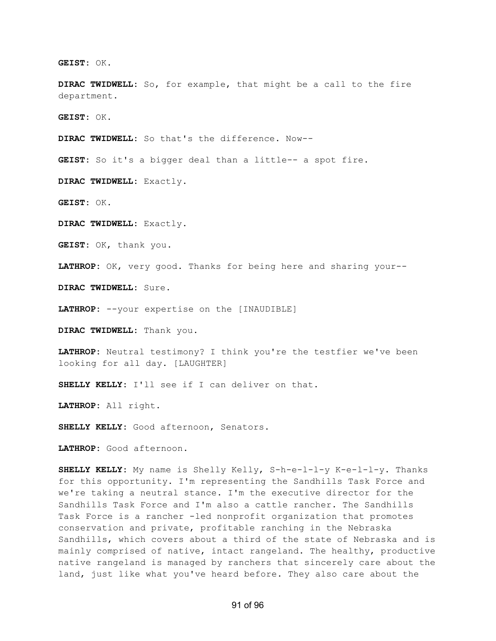**GEIST:** OK.

**DIRAC TWIDWELL:** So, for example, that might be a call to the fire department.

**GEIST:** OK.

**DIRAC TWIDWELL:** So that's the difference. Now--

**GEIST:** So it's a bigger deal than a little-- a spot fire.

**DIRAC TWIDWELL:** Exactly.

**GEIST:** OK.

**DIRAC TWIDWELL:** Exactly.

**GEIST:** OK, thank you.

**LATHROP:** OK, very good. Thanks for being here and sharing your--

**DIRAC TWIDWELL:** Sure.

**LATHROP:** --your expertise on the [INAUDIBLE]

**DIRAC TWIDWELL:** Thank you.

**LATHROP:** Neutral testimony? I think you're the testfier we've been looking for all day. [LAUGHTER]

**SHELLY KELLY:** I'll see if I can deliver on that.

**LATHROP:** All right.

**SHELLY KELLY:** Good afternoon, Senators.

**LATHROP:** Good afternoon.

**SHELLY KELLY:** My name is Shelly Kelly, S-h-e-l-l-y K-e-l-l-y. Thanks for this opportunity. I'm representing the Sandhills Task Force and we're taking a neutral stance. I'm the executive director for the Sandhills Task Force and I'm also a cattle rancher. The Sandhills Task Force is a rancher -led nonprofit organization that promotes conservation and private, profitable ranching in the Nebraska Sandhills, which covers about a third of the state of Nebraska and is mainly comprised of native, intact rangeland. The healthy, productive native rangeland is managed by ranchers that sincerely care about the land, just like what you've heard before. They also care about the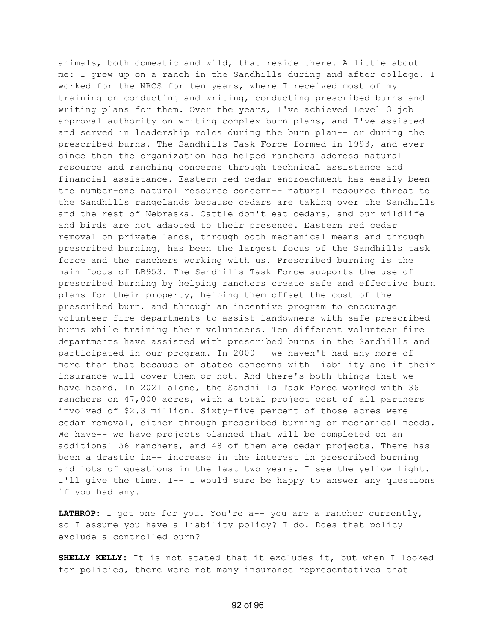animals, both domestic and wild, that reside there. A little about me: I grew up on a ranch in the Sandhills during and after college. I worked for the NRCS for ten years, where I received most of my training on conducting and writing, conducting prescribed burns and writing plans for them. Over the years, I've achieved Level 3 job approval authority on writing complex burn plans, and I've assisted and served in leadership roles during the burn plan-- or during the prescribed burns. The Sandhills Task Force formed in 1993, and ever since then the organization has helped ranchers address natural resource and ranching concerns through technical assistance and financial assistance. Eastern red cedar encroachment has easily been the number-one natural resource concern-- natural resource threat to the Sandhills rangelands because cedars are taking over the Sandhills and the rest of Nebraska. Cattle don't eat cedars, and our wildlife and birds are not adapted to their presence. Eastern red cedar removal on private lands, through both mechanical means and through prescribed burning, has been the largest focus of the Sandhills task force and the ranchers working with us. Prescribed burning is the main focus of LB953. The Sandhills Task Force supports the use of prescribed burning by helping ranchers create safe and effective burn plans for their property, helping them offset the cost of the prescribed burn, and through an incentive program to encourage volunteer fire departments to assist landowners with safe prescribed burns while training their volunteers. Ten different volunteer fire departments have assisted with prescribed burns in the Sandhills and participated in our program. In 2000-- we haven't had any more of- more than that because of stated concerns with liability and if their insurance will cover them or not. And there's both things that we have heard. In 2021 alone, the Sandhills Task Force worked with 36 ranchers on 47,000 acres, with a total project cost of all partners involved of \$2.3 million. Sixty-five percent of those acres were cedar removal, either through prescribed burning or mechanical needs. We have-- we have projects planned that will be completed on an additional 56 ranchers, and 48 of them are cedar projects. There has been a drastic in-- increase in the interest in prescribed burning and lots of questions in the last two years. I see the yellow light. I'll give the time. I-- I would sure be happy to answer any questions if you had any.

**LATHROP:** I got one for you. You're a-- you are a rancher currently, so I assume you have a liability policy? I do. Does that policy exclude a controlled burn?

**SHELLY KELLY:** It is not stated that it excludes it, but when I looked for policies, there were not many insurance representatives that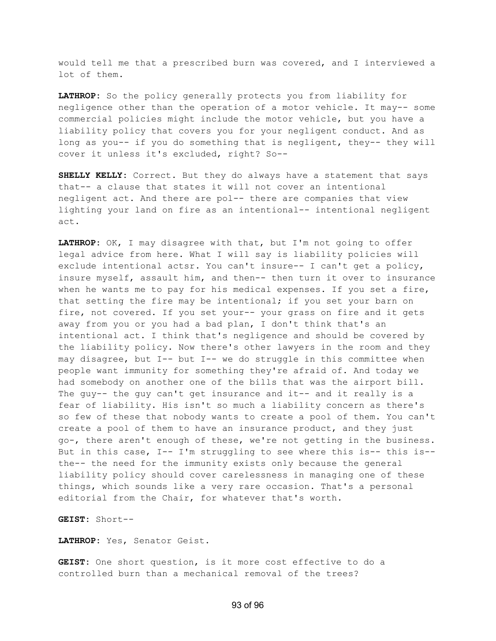would tell me that a prescribed burn was covered, and I interviewed a lot of them.

**LATHROP:** So the policy generally protects you from liability for negligence other than the operation of a motor vehicle. It may-- some commercial policies might include the motor vehicle, but you have a liability policy that covers you for your negligent conduct. And as long as you-- if you do something that is negligent, they-- they will cover it unless it's excluded, right? So--

**SHELLY KELLY:** Correct. But they do always have a statement that says that-- a clause that states it will not cover an intentional negligent act. And there are pol-- there are companies that view lighting your land on fire as an intentional-- intentional negligent act.

**LATHROP:** OK, I may disagree with that, but I'm not going to offer legal advice from here. What I will say is liability policies will exclude intentional actsr. You can't insure-- I can't get a policy, insure myself, assault him, and then-- then turn it over to insurance when he wants me to pay for his medical expenses. If you set a fire, that setting the fire may be intentional; if you set your barn on fire, not covered. If you set your-- your grass on fire and it gets away from you or you had a bad plan, I don't think that's an intentional act. I think that's negligence and should be covered by the liability policy. Now there's other lawyers in the room and they may disagree, but I-- but I-- we do struggle in this committee when people want immunity for something they're afraid of. And today we had somebody on another one of the bills that was the airport bill. The guy-- the guy can't get insurance and it-- and it really is a fear of liability. His isn't so much a liability concern as there's so few of these that nobody wants to create a pool of them. You can't create a pool of them to have an insurance product, and they just go-, there aren't enough of these, we're not getting in the business. But in this case, I-- I'm struggling to see where this is-- this is- the-- the need for the immunity exists only because the general liability policy should cover carelessness in managing one of these things, which sounds like a very rare occasion. That's a personal editorial from the Chair, for whatever that's worth.

**GEIST:** Short--

**LATHROP:** Yes, Senator Geist.

**GEIST:** One short question, is it more cost effective to do a controlled burn than a mechanical removal of the trees?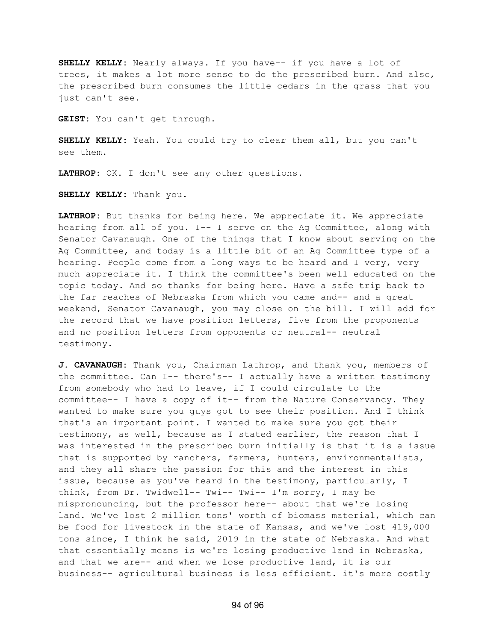**SHELLY KELLY:** Nearly always. If you have-- if you have a lot of trees, it makes a lot more sense to do the prescribed burn. And also, the prescribed burn consumes the little cedars in the grass that you just can't see.

**GEIST:** You can't get through.

**SHELLY KELLY:** Yeah. You could try to clear them all, but you can't see them.

**LATHROP:** OK. I don't see any other questions.

**SHELLY KELLY:** Thank you.

**LATHROP:** But thanks for being here. We appreciate it. We appreciate hearing from all of you. I-- I serve on the Ag Committee, along with Senator Cavanaugh. One of the things that I know about serving on the Ag Committee, and today is a little bit of an Ag Committee type of a hearing. People come from a long ways to be heard and I very, very much appreciate it. I think the committee's been well educated on the topic today. And so thanks for being here. Have a safe trip back to the far reaches of Nebraska from which you came and-- and a great weekend, Senator Cavanaugh, you may close on the bill. I will add for the record that we have position letters, five from the proponents and no position letters from opponents or neutral-- neutral testimony.

**J. CAVANAUGH:** Thank you, Chairman Lathrop, and thank you, members of the committee. Can I-- there's-- I actually have a written testimony from somebody who had to leave, if I could circulate to the committee-- I have a copy of it-- from the Nature Conservancy. They wanted to make sure you guys got to see their position. And I think that's an important point. I wanted to make sure you got their testimony, as well, because as I stated earlier, the reason that I was interested in the prescribed burn initially is that it is a issue that is supported by ranchers, farmers, hunters, environmentalists, and they all share the passion for this and the interest in this issue, because as you've heard in the testimony, particularly, I think, from Dr. Twidwell-- Twi-- Twi-- I'm sorry, I may be mispronouncing, but the professor here-- about that we're losing land. We've lost 2 million tons' worth of biomass material, which can be food for livestock in the state of Kansas, and we've lost 419,000 tons since, I think he said, 2019 in the state of Nebraska. And what that essentially means is we're losing productive land in Nebraska, and that we are-- and when we lose productive land, it is our business-- agricultural business is less efficient. it's more costly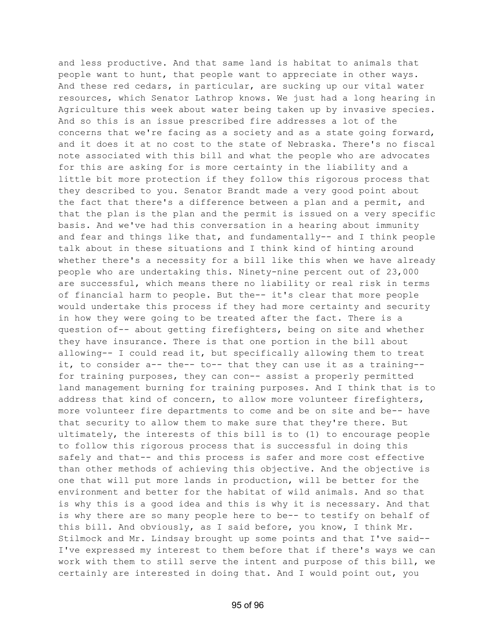and less productive. And that same land is habitat to animals that people want to hunt, that people want to appreciate in other ways. And these red cedars, in particular, are sucking up our vital water resources, which Senator Lathrop knows. We just had a long hearing in Agriculture this week about water being taken up by invasive species. And so this is an issue prescribed fire addresses a lot of the concerns that we're facing as a society and as a state going forward, and it does it at no cost to the state of Nebraska. There's no fiscal note associated with this bill and what the people who are advocates for this are asking for is more certainty in the liability and a little bit more protection if they follow this rigorous process that they described to you. Senator Brandt made a very good point about the fact that there's a difference between a plan and a permit, and that the plan is the plan and the permit is issued on a very specific basis. And we've had this conversation in a hearing about immunity and fear and things like that, and fundamentally-- and I think people talk about in these situations and I think kind of hinting around whether there's a necessity for a bill like this when we have already people who are undertaking this. Ninety-nine percent out of 23,000 are successful, which means there no liability or real risk in terms of financial harm to people. But the-- it's clear that more people would undertake this process if they had more certainty and security in how they were going to be treated after the fact. There is a question of-- about getting firefighters, being on site and whether they have insurance. There is that one portion in the bill about allowing-- I could read it, but specifically allowing them to treat it, to consider a-- the-- to-- that they can use it as a training- for training purposes, they can con-- assist a properly permitted land management burning for training purposes. And I think that is to address that kind of concern, to allow more volunteer firefighters, more volunteer fire departments to come and be on site and be-- have that security to allow them to make sure that they're there. But ultimately, the interests of this bill is to (1) to encourage people to follow this rigorous process that is successful in doing this safely and that-- and this process is safer and more cost effective than other methods of achieving this objective. And the objective is one that will put more lands in production, will be better for the environment and better for the habitat of wild animals. And so that is why this is a good idea and this is why it is necessary. And that is why there are so many people here to be-- to testify on behalf of this bill. And obviously, as I said before, you know, I think Mr. Stilmock and Mr. Lindsay brought up some points and that I've said-- I've expressed my interest to them before that if there's ways we can work with them to still serve the intent and purpose of this bill, we certainly are interested in doing that. And I would point out, you